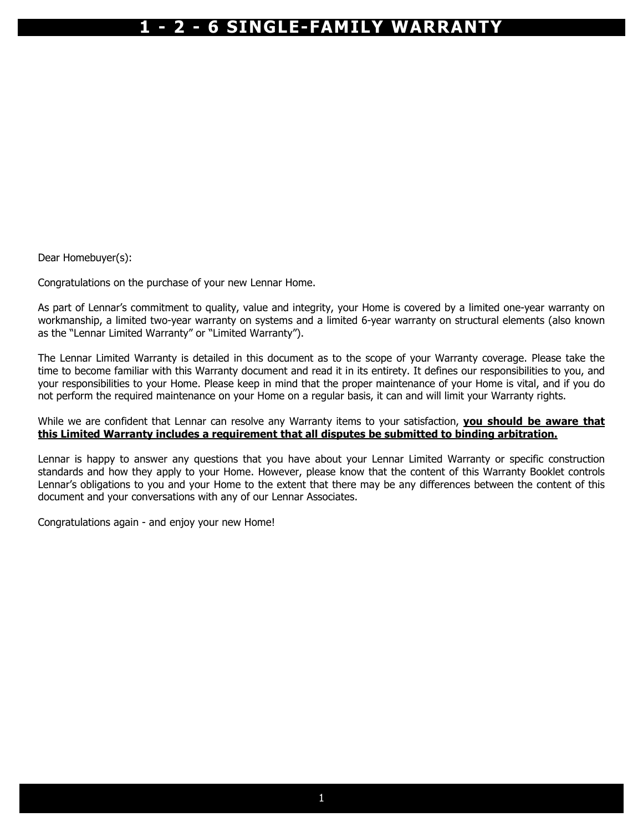Dear Homebuyer(s):

Congratulations on the purchase of your new Lennar Home.

As part of Lennar's commitment to quality, value and integrity, your Home is covered by a limited one-year warranty on workmanship, a limited two-year warranty on systems and a limited 6-year warranty on structural elements (also known as the "Lennar Limited Warranty" or "Limited Warranty").

The Lennar Limited Warranty is detailed in this document as to the scope of your Warranty coverage. Please take the time to become familiar with this Warranty document and read it in its entirety. It defines our responsibilities to you, and your responsibilities to your Home. Please keep in mind that the proper maintenance of your Home is vital, and if you do not perform the required maintenance on your Home on a regular basis, it can and will limit your Warranty rights.

While we are confident that Lennar can resolve any Warranty items to your satisfaction, you should be aware that this Limited Warranty includes a requirement that all disputes be submitted to binding arbitration.

Lennar is happy to answer any questions that you have about your Lennar Limited Warranty or specific construction standards and how they apply to your Home. However, please know that the content of this Warranty Booklet controls Lennar's obligations to you and your Home to the extent that there may be any differences between the content of this document and your conversations with any of our Lennar Associates.

Congratulations again - and enjoy your new Home!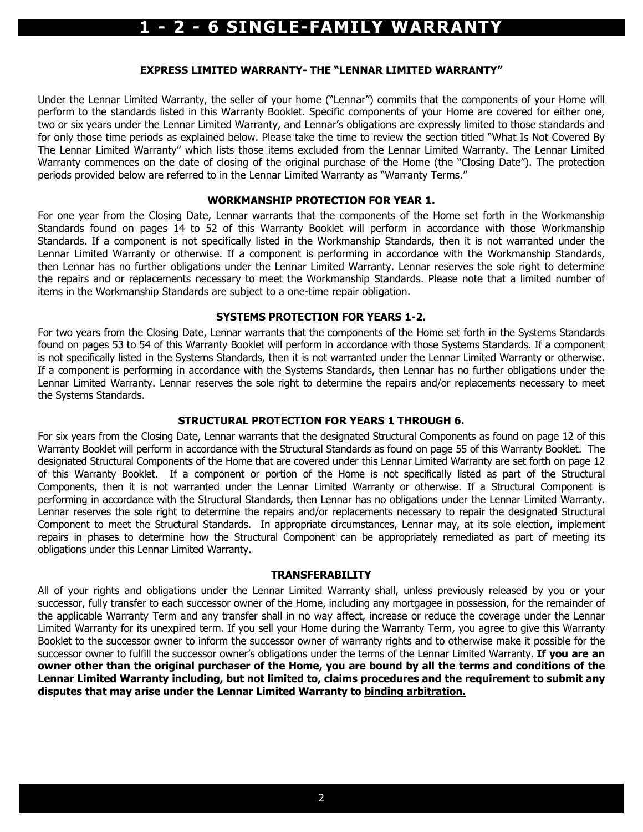#### EXPRESS LIMITED WARRANTY- THE "LENNAR LIMITED WARRANTY"

Under the Lennar Limited Warranty, the seller of your home ("Lennar") commits that the components of your Home will perform to the standards listed in this Warranty Booklet. Specific components of your Home are covered for either one, two or six years under the Lennar Limited Warranty, and Lennar's obligations are expressly limited to those standards and for only those time periods as explained below. Please take the time to review the section titled "What Is Not Covered By The Lennar Limited Warranty" which lists those items excluded from the Lennar Limited Warranty. The Lennar Limited Warranty commences on the date of closing of the original purchase of the Home (the "Closing Date"). The protection periods provided below are referred to in the Lennar Limited Warranty as "Warranty Terms."

#### WORKMANSHIP PROTECTION FOR YEAR 1.

For one year from the Closing Date, Lennar warrants that the components of the Home set forth in the Workmanship Standards found on pages 14 to 52 of this Warranty Booklet will perform in accordance with those Workmanship Standards. If a component is not specifically listed in the Workmanship Standards, then it is not warranted under the Lennar Limited Warranty or otherwise. If a component is performing in accordance with the Workmanship Standards, then Lennar has no further obligations under the Lennar Limited Warranty. Lennar reserves the sole right to determine the repairs and or replacements necessary to meet the Workmanship Standards. Please note that a limited number of items in the Workmanship Standards are subject to a one-time repair obligation.

#### SYSTEMS PROTECTION FOR YEARS 1-2.

For two years from the Closing Date, Lennar warrants that the components of the Home set forth in the Systems Standards found on pages 53 to 54 of this Warranty Booklet will perform in accordance with those Systems Standards. If a component is not specifically listed in the Systems Standards, then it is not warranted under the Lennar Limited Warranty or otherwise. If a component is performing in accordance with the Systems Standards, then Lennar has no further obligations under the Lennar Limited Warranty. Lennar reserves the sole right to determine the repairs and/or replacements necessary to meet the Systems Standards.

#### STRUCTURAL PROTECTION FOR YEARS 1 THROUGH 6.

For six years from the Closing Date, Lennar warrants that the designated Structural Components as found on page 12 of this Warranty Booklet will perform in accordance with the Structural Standards as found on page 55 of this Warranty Booklet. The designated Structural Components of the Home that are covered under this Lennar Limited Warranty are set forth on page 12 of this Warranty Booklet. If a component or portion of the Home is not specifically listed as part of the Structural Components, then it is not warranted under the Lennar Limited Warranty or otherwise. If a Structural Component is performing in accordance with the Structural Standards, then Lennar has no obligations under the Lennar Limited Warranty. Lennar reserves the sole right to determine the repairs and/or replacements necessary to repair the designated Structural Component to meet the Structural Standards. In appropriate circumstances, Lennar may, at its sole election, implement repairs in phases to determine how the Structural Component can be appropriately remediated as part of meeting its obligations under this Lennar Limited Warranty.

#### TRANSFERABILITY

All of your rights and obligations under the Lennar Limited Warranty shall, unless previously released by you or your successor, fully transfer to each successor owner of the Home, including any mortgagee in possession, for the remainder of the applicable Warranty Term and any transfer shall in no way affect, increase or reduce the coverage under the Lennar Limited Warranty for its unexpired term. If you sell your Home during the Warranty Term, you agree to give this Warranty Booklet to the successor owner to inform the successor owner of warranty rights and to otherwise make it possible for the successor owner to fulfill the successor owner's obligations under the terms of the Lennar Limited Warranty. If you are an owner other than the original purchaser of the Home, you are bound by all the terms and conditions of the Lennar Limited Warranty including, but not limited to, claims procedures and the requirement to submit any disputes that may arise under the Lennar Limited Warranty to binding arbitration.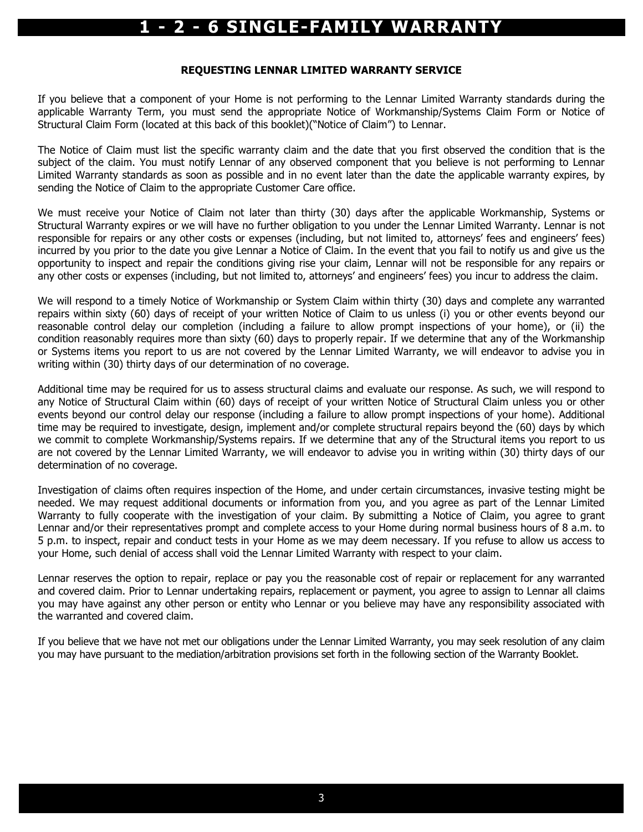#### REQUESTING LENNAR LIMITED WARRANTY SERVICE

If you believe that a component of your Home is not performing to the Lennar Limited Warranty standards during the applicable Warranty Term, you must send the appropriate Notice of Workmanship/Systems Claim Form or Notice of Structural Claim Form (located at this back of this booklet)("Notice of Claim") to Lennar.

The Notice of Claim must list the specific warranty claim and the date that you first observed the condition that is the subject of the claim. You must notify Lennar of any observed component that you believe is not performing to Lennar Limited Warranty standards as soon as possible and in no event later than the date the applicable warranty expires, by sending the Notice of Claim to the appropriate Customer Care office.

We must receive your Notice of Claim not later than thirty (30) days after the applicable Workmanship, Systems or Structural Warranty expires or we will have no further obligation to you under the Lennar Limited Warranty. Lennar is not responsible for repairs or any other costs or expenses (including, but not limited to, attorneys' fees and engineers' fees) incurred by you prior to the date you give Lennar a Notice of Claim. In the event that you fail to notify us and give us the opportunity to inspect and repair the conditions giving rise your claim, Lennar will not be responsible for any repairs or any other costs or expenses (including, but not limited to, attorneys' and engineers' fees) you incur to address the claim.

We will respond to a timely Notice of Workmanship or System Claim within thirty (30) days and complete any warranted repairs within sixty (60) days of receipt of your written Notice of Claim to us unless (i) you or other events beyond our reasonable control delay our completion (including a failure to allow prompt inspections of your home), or (ii) the condition reasonably requires more than sixty (60) days to properly repair. If we determine that any of the Workmanship or Systems items you report to us are not covered by the Lennar Limited Warranty, we will endeavor to advise you in writing within (30) thirty days of our determination of no coverage.

Additional time may be required for us to assess structural claims and evaluate our response. As such, we will respond to any Notice of Structural Claim within (60) days of receipt of your written Notice of Structural Claim unless you or other events beyond our control delay our response (including a failure to allow prompt inspections of your home). Additional time may be required to investigate, design, implement and/or complete structural repairs beyond the (60) days by which we commit to complete Workmanship/Systems repairs. If we determine that any of the Structural items you report to us are not covered by the Lennar Limited Warranty, we will endeavor to advise you in writing within (30) thirty days of our determination of no coverage.

Investigation of claims often requires inspection of the Home, and under certain circumstances, invasive testing might be needed. We may request additional documents or information from you, and you agree as part of the Lennar Limited Warranty to fully cooperate with the investigation of your claim. By submitting a Notice of Claim, you agree to grant Lennar and/or their representatives prompt and complete access to your Home during normal business hours of 8 a.m. to 5 p.m. to inspect, repair and conduct tests in your Home as we may deem necessary. If you refuse to allow us access to your Home, such denial of access shall void the Lennar Limited Warranty with respect to your claim.

Lennar reserves the option to repair, replace or pay you the reasonable cost of repair or replacement for any warranted and covered claim. Prior to Lennar undertaking repairs, replacement or payment, you agree to assign to Lennar all claims you may have against any other person or entity who Lennar or you believe may have any responsibility associated with the warranted and covered claim.

If you believe that we have not met our obligations under the Lennar Limited Warranty, you may seek resolution of any claim you may have pursuant to the mediation/arbitration provisions set forth in the following section of the Warranty Booklet.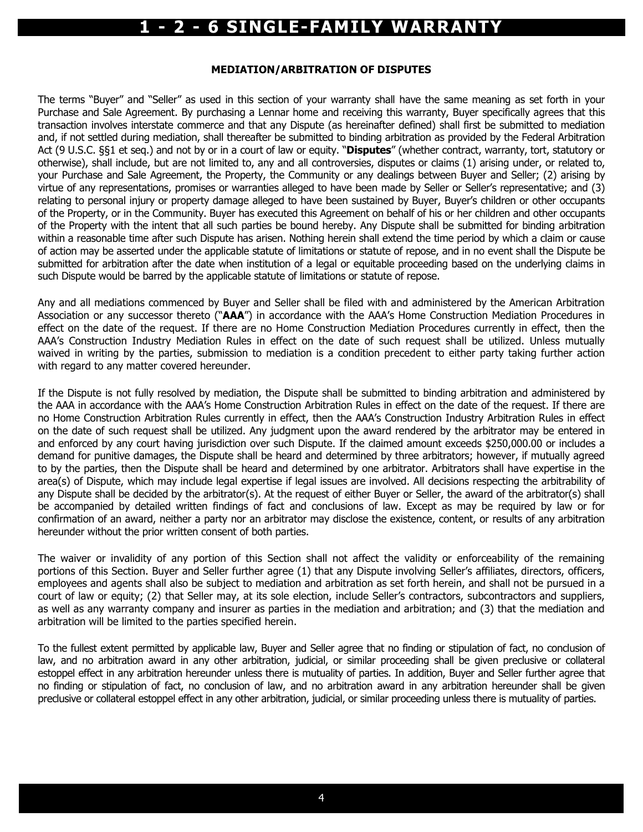#### MEDIATION/ARBITRATION OF DISPUTES

The terms "Buyer" and "Seller" as used in this section of your warranty shall have the same meaning as set forth in your Purchase and Sale Agreement. By purchasing a Lennar home and receiving this warranty, Buyer specifically agrees that this transaction involves interstate commerce and that any Dispute (as hereinafter defined) shall first be submitted to mediation and, if not settled during mediation, shall thereafter be submitted to binding arbitration as provided by the Federal Arbitration Act (9 U.S.C. §§1 et seq.) and not by or in a court of law or equity. "Disputes" (whether contract, warranty, tort, statutory or otherwise), shall include, but are not limited to, any and all controversies, disputes or claims (1) arising under, or related to, your Purchase and Sale Agreement, the Property, the Community or any dealings between Buyer and Seller; (2) arising by virtue of any representations, promises or warranties alleged to have been made by Seller or Seller's representative; and (3) relating to personal injury or property damage alleged to have been sustained by Buyer, Buyer's children or other occupants of the Property, or in the Community. Buyer has executed this Agreement on behalf of his or her children and other occupants of the Property with the intent that all such parties be bound hereby. Any Dispute shall be submitted for binding arbitration within a reasonable time after such Dispute has arisen. Nothing herein shall extend the time period by which a claim or cause of action may be asserted under the applicable statute of limitations or statute of repose, and in no event shall the Dispute be submitted for arbitration after the date when institution of a legal or equitable proceeding based on the underlying claims in such Dispute would be barred by the applicable statute of limitations or statute of repose.

Any and all mediations commenced by Buyer and Seller shall be filed with and administered by the American Arbitration Association or any successor thereto ("AAA") in accordance with the AAA's Home Construction Mediation Procedures in effect on the date of the request. If there are no Home Construction Mediation Procedures currently in effect, then the AAA's Construction Industry Mediation Rules in effect on the date of such request shall be utilized. Unless mutually waived in writing by the parties, submission to mediation is a condition precedent to either party taking further action with regard to any matter covered hereunder.

If the Dispute is not fully resolved by mediation, the Dispute shall be submitted to binding arbitration and administered by the AAA in accordance with the AAA's Home Construction Arbitration Rules in effect on the date of the request. If there are no Home Construction Arbitration Rules currently in effect, then the AAA's Construction Industry Arbitration Rules in effect on the date of such request shall be utilized. Any judgment upon the award rendered by the arbitrator may be entered in and enforced by any court having jurisdiction over such Dispute. If the claimed amount exceeds \$250,000.00 or includes a demand for punitive damages, the Dispute shall be heard and determined by three arbitrators; however, if mutually agreed to by the parties, then the Dispute shall be heard and determined by one arbitrator. Arbitrators shall have expertise in the area(s) of Dispute, which may include legal expertise if legal issues are involved. All decisions respecting the arbitrability of any Dispute shall be decided by the arbitrator(s). At the request of either Buyer or Seller, the award of the arbitrator(s) shall be accompanied by detailed written findings of fact and conclusions of law. Except as may be required by law or for confirmation of an award, neither a party nor an arbitrator may disclose the existence, content, or results of any arbitration hereunder without the prior written consent of both parties.

The waiver or invalidity of any portion of this Section shall not affect the validity or enforceability of the remaining portions of this Section. Buyer and Seller further agree (1) that any Dispute involving Seller's affiliates, directors, officers, employees and agents shall also be subject to mediation and arbitration as set forth herein, and shall not be pursued in a court of law or equity; (2) that Seller may, at its sole election, include Seller's contractors, subcontractors and suppliers, as well as any warranty company and insurer as parties in the mediation and arbitration; and (3) that the mediation and arbitration will be limited to the parties specified herein.

To the fullest extent permitted by applicable law, Buyer and Seller agree that no finding or stipulation of fact, no conclusion of law, and no arbitration award in any other arbitration, judicial, or similar proceeding shall be given preclusive or collateral estoppel effect in any arbitration hereunder unless there is mutuality of parties. In addition, Buyer and Seller further agree that no finding or stipulation of fact, no conclusion of law, and no arbitration award in any arbitration hereunder shall be given preclusive or collateral estoppel effect in any other arbitration, judicial, or similar proceeding unless there is mutuality of parties.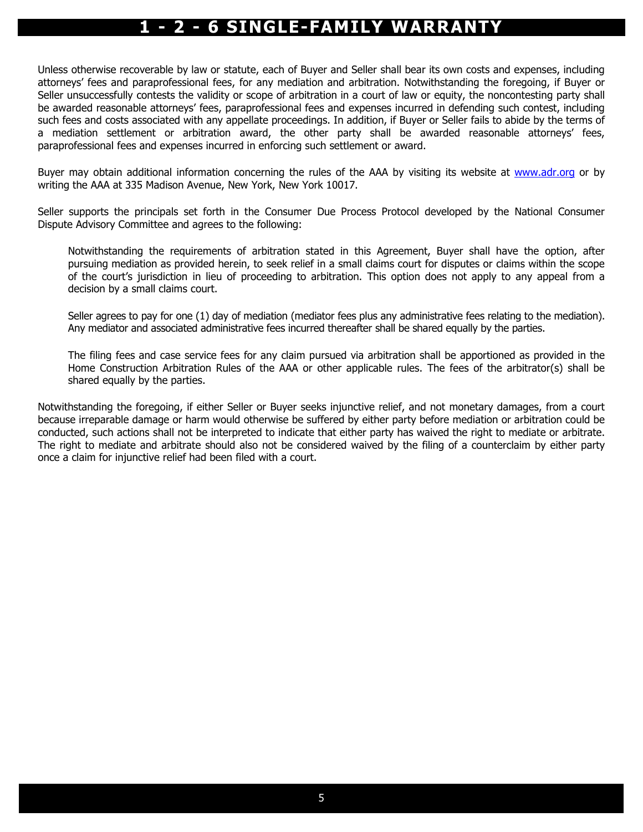Unless otherwise recoverable by law or statute, each of Buyer and Seller shall bear its own costs and expenses, including attorneys' fees and paraprofessional fees, for any mediation and arbitration. Notwithstanding the foregoing, if Buyer or Seller unsuccessfully contests the validity or scope of arbitration in a court of law or equity, the noncontesting party shall be awarded reasonable attorneys' fees, paraprofessional fees and expenses incurred in defending such contest, including such fees and costs associated with any appellate proceedings. In addition, if Buyer or Seller fails to abide by the terms of a mediation settlement or arbitration award, the other party shall be awarded reasonable attorneys' fees, paraprofessional fees and expenses incurred in enforcing such settlement or award.

Buyer may obtain additional information concerning the rules of the AAA by visiting its website at www.adr.org or by writing the AAA at 335 Madison Avenue, New York, New York 10017.

Seller supports the principals set forth in the Consumer Due Process Protocol developed by the National Consumer Dispute Advisory Committee and agrees to the following:

Notwithstanding the requirements of arbitration stated in this Agreement, Buyer shall have the option, after pursuing mediation as provided herein, to seek relief in a small claims court for disputes or claims within the scope of the court's jurisdiction in lieu of proceeding to arbitration. This option does not apply to any appeal from a decision by a small claims court.

Seller agrees to pay for one (1) day of mediation (mediator fees plus any administrative fees relating to the mediation). Any mediator and associated administrative fees incurred thereafter shall be shared equally by the parties.

The filing fees and case service fees for any claim pursued via arbitration shall be apportioned as provided in the Home Construction Arbitration Rules of the AAA or other applicable rules. The fees of the arbitrator(s) shall be shared equally by the parties.

Notwithstanding the foregoing, if either Seller or Buyer seeks injunctive relief, and not monetary damages, from a court because irreparable damage or harm would otherwise be suffered by either party before mediation or arbitration could be conducted, such actions shall not be interpreted to indicate that either party has waived the right to mediate or arbitrate. The right to mediate and arbitrate should also not be considered waived by the filing of a counterclaim by either party once a claim for injunctive relief had been filed with a court.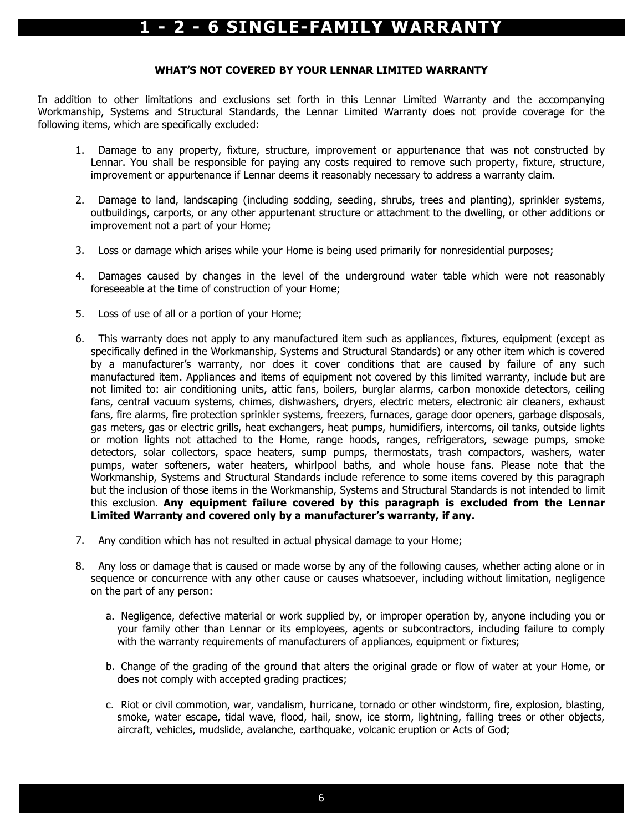#### WHAT'S NOT COVERED BY YOUR LENNAR LIMITED WARRANTY

In addition to other limitations and exclusions set forth in this Lennar Limited Warranty and the accompanying Workmanship, Systems and Structural Standards, the Lennar Limited Warranty does not provide coverage for the following items, which are specifically excluded:

- 1. Damage to any property, fixture, structure, improvement or appurtenance that was not constructed by Lennar. You shall be responsible for paying any costs required to remove such property, fixture, structure, improvement or appurtenance if Lennar deems it reasonably necessary to address a warranty claim.
- 2. Damage to land, landscaping (including sodding, seeding, shrubs, trees and planting), sprinkler systems, outbuildings, carports, or any other appurtenant structure or attachment to the dwelling, or other additions or improvement not a part of your Home;
- 3. Loss or damage which arises while your Home is being used primarily for nonresidential purposes;
- 4. Damages caused by changes in the level of the underground water table which were not reasonably foreseeable at the time of construction of your Home;
- 5. Loss of use of all or a portion of your Home;
- 6. This warranty does not apply to any manufactured item such as appliances, fixtures, equipment (except as specifically defined in the Workmanship, Systems and Structural Standards) or any other item which is covered by a manufacturer's warranty, nor does it cover conditions that are caused by failure of any such manufactured item. Appliances and items of equipment not covered by this limited warranty, include but are not limited to: air conditioning units, attic fans, boilers, burglar alarms, carbon monoxide detectors, ceiling fans, central vacuum systems, chimes, dishwashers, dryers, electric meters, electronic air cleaners, exhaust fans, fire alarms, fire protection sprinkler systems, freezers, furnaces, garage door openers, garbage disposals, gas meters, gas or electric grills, heat exchangers, heat pumps, humidifiers, intercoms, oil tanks, outside lights or motion lights not attached to the Home, range hoods, ranges, refrigerators, sewage pumps, smoke detectors, solar collectors, space heaters, sump pumps, thermostats, trash compactors, washers, water pumps, water softeners, water heaters, whirlpool baths, and whole house fans. Please note that the Workmanship, Systems and Structural Standards include reference to some items covered by this paragraph but the inclusion of those items in the Workmanship, Systems and Structural Standards is not intended to limit this exclusion. Any equipment failure covered by this paragraph is excluded from the Lennar Limited Warranty and covered only by a manufacturer's warranty, if any.
- 7. Any condition which has not resulted in actual physical damage to your Home;
- 8. Any loss or damage that is caused or made worse by any of the following causes, whether acting alone or in sequence or concurrence with any other cause or causes whatsoever, including without limitation, negligence on the part of any person:
	- a. Negligence, defective material or work supplied by, or improper operation by, anyone including you or your family other than Lennar or its employees, agents or subcontractors, including failure to comply with the warranty requirements of manufacturers of appliances, equipment or fixtures;
	- b. Change of the grading of the ground that alters the original grade or flow of water at your Home, or does not comply with accepted grading practices;
	- c. Riot or civil commotion, war, vandalism, hurricane, tornado or other windstorm, fire, explosion, blasting, smoke, water escape, tidal wave, flood, hail, snow, ice storm, lightning, falling trees or other objects, aircraft, vehicles, mudslide, avalanche, earthquake, volcanic eruption or Acts of God;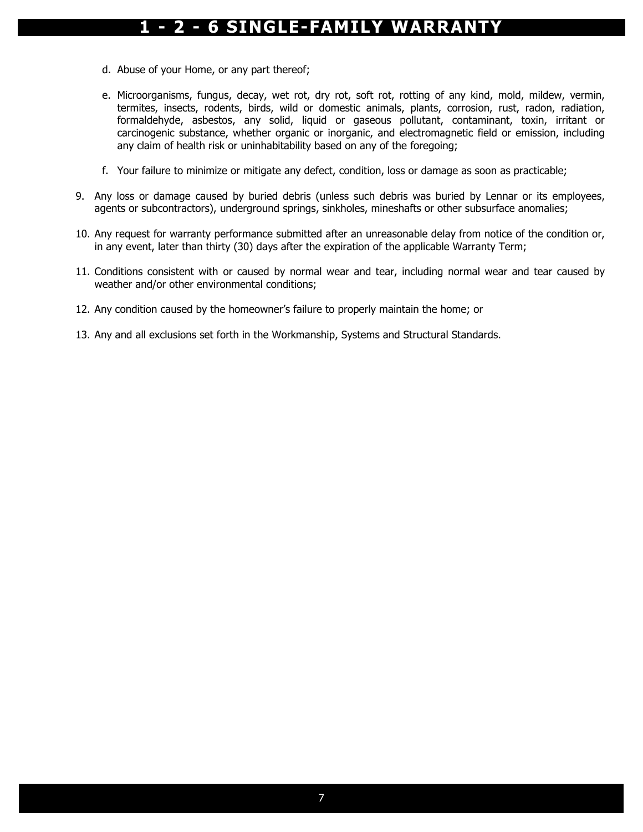- d. Abuse of your Home, or any part thereof;
- e. Microorganisms, fungus, decay, wet rot, dry rot, soft rot, rotting of any kind, mold, mildew, vermin, termites, insects, rodents, birds, wild or domestic animals, plants, corrosion, rust, radon, radiation, formaldehyde, asbestos, any solid, liquid or gaseous pollutant, contaminant, toxin, irritant or carcinogenic substance, whether organic or inorganic, and electromagnetic field or emission, including any claim of health risk or uninhabitability based on any of the foregoing;
- f. Your failure to minimize or mitigate any defect, condition, loss or damage as soon as practicable;
- 9. Any loss or damage caused by buried debris (unless such debris was buried by Lennar or its employees, agents or subcontractors), underground springs, sinkholes, mineshafts or other subsurface anomalies;
- 10. Any request for warranty performance submitted after an unreasonable delay from notice of the condition or, in any event, later than thirty (30) days after the expiration of the applicable Warranty Term;
- 11. Conditions consistent with or caused by normal wear and tear, including normal wear and tear caused by weather and/or other environmental conditions;
- 12. Any condition caused by the homeowner's failure to properly maintain the home; or
- 13. Any and all exclusions set forth in the Workmanship, Systems and Structural Standards.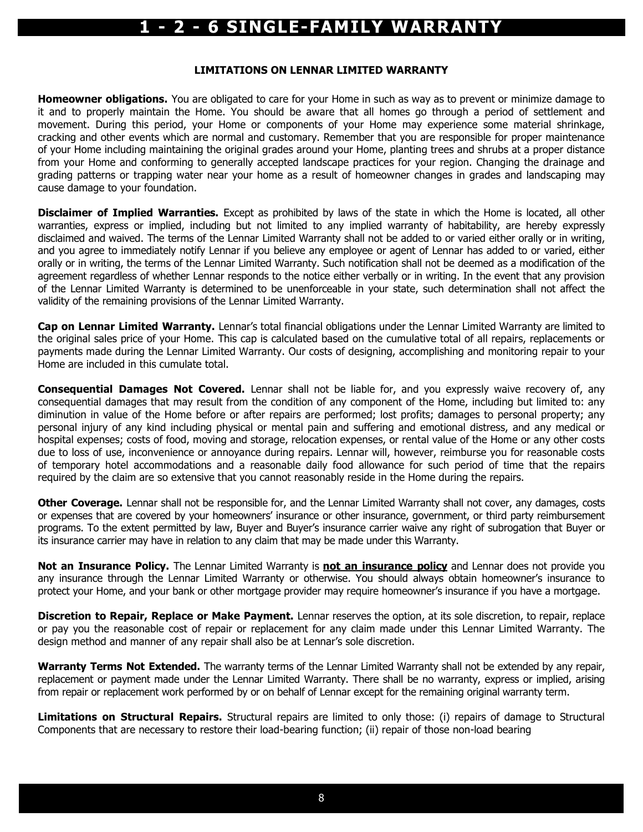#### LIMITATIONS ON LENNAR LIMITED WARRANTY

**Homeowner obligations.** You are obligated to care for your Home in such as way as to prevent or minimize damage to it and to properly maintain the Home. You should be aware that all homes go through a period of settlement and movement. During this period, your Home or components of your Home may experience some material shrinkage, cracking and other events which are normal and customary. Remember that you are responsible for proper maintenance of your Home including maintaining the original grades around your Home, planting trees and shrubs at a proper distance from your Home and conforming to generally accepted landscape practices for your region. Changing the drainage and grading patterns or trapping water near your home as a result of homeowner changes in grades and landscaping may cause damage to your foundation.

**Disclaimer of Implied Warranties.** Except as prohibited by laws of the state in which the Home is located, all other warranties, express or implied, including but not limited to any implied warranty of habitability, are hereby expressly disclaimed and waived. The terms of the Lennar Limited Warranty shall not be added to or varied either orally or in writing, and you agree to immediately notify Lennar if you believe any employee or agent of Lennar has added to or varied, either orally or in writing, the terms of the Lennar Limited Warranty. Such notification shall not be deemed as a modification of the agreement regardless of whether Lennar responds to the notice either verbally or in writing. In the event that any provision of the Lennar Limited Warranty is determined to be unenforceable in your state, such determination shall not affect the validity of the remaining provisions of the Lennar Limited Warranty.

Cap on Lennar Limited Warranty. Lennar's total financial obligations under the Lennar Limited Warranty are limited to the original sales price of your Home. This cap is calculated based on the cumulative total of all repairs, replacements or payments made during the Lennar Limited Warranty. Our costs of designing, accomplishing and monitoring repair to your Home are included in this cumulate total.

Consequential Damages Not Covered. Lennar shall not be liable for, and you expressly waive recovery of, any consequential damages that may result from the condition of any component of the Home, including but limited to: any diminution in value of the Home before or after repairs are performed; lost profits; damages to personal property; any personal injury of any kind including physical or mental pain and suffering and emotional distress, and any medical or hospital expenses; costs of food, moving and storage, relocation expenses, or rental value of the Home or any other costs due to loss of use, inconvenience or annoyance during repairs. Lennar will, however, reimburse you for reasonable costs of temporary hotel accommodations and a reasonable daily food allowance for such period of time that the repairs required by the claim are so extensive that you cannot reasonably reside in the Home during the repairs.

Other Coverage. Lennar shall not be responsible for, and the Lennar Limited Warranty shall not cover, any damages, costs or expenses that are covered by your homeowners' insurance or other insurance, government, or third party reimbursement programs. To the extent permitted by law, Buyer and Buyer's insurance carrier waive any right of subrogation that Buyer or its insurance carrier may have in relation to any claim that may be made under this Warranty.

Not an Insurance Policy. The Lennar Limited Warranty is not an insurance policy and Lennar does not provide you any insurance through the Lennar Limited Warranty or otherwise. You should always obtain homeowner's insurance to protect your Home, and your bank or other mortgage provider may require homeowner's insurance if you have a mortgage.

Discretion to Repair, Replace or Make Payment. Lennar reserves the option, at its sole discretion, to repair, replace or pay you the reasonable cost of repair or replacement for any claim made under this Lennar Limited Warranty. The design method and manner of any repair shall also be at Lennar's sole discretion.

Warranty Terms Not Extended. The warranty terms of the Lennar Limited Warranty shall not be extended by any repair, replacement or payment made under the Lennar Limited Warranty. There shall be no warranty, express or implied, arising from repair or replacement work performed by or on behalf of Lennar except for the remaining original warranty term.

Limitations on Structural Repairs. Structural repairs are limited to only those: (i) repairs of damage to Structural Components that are necessary to restore their load-bearing function; (ii) repair of those non-load bearing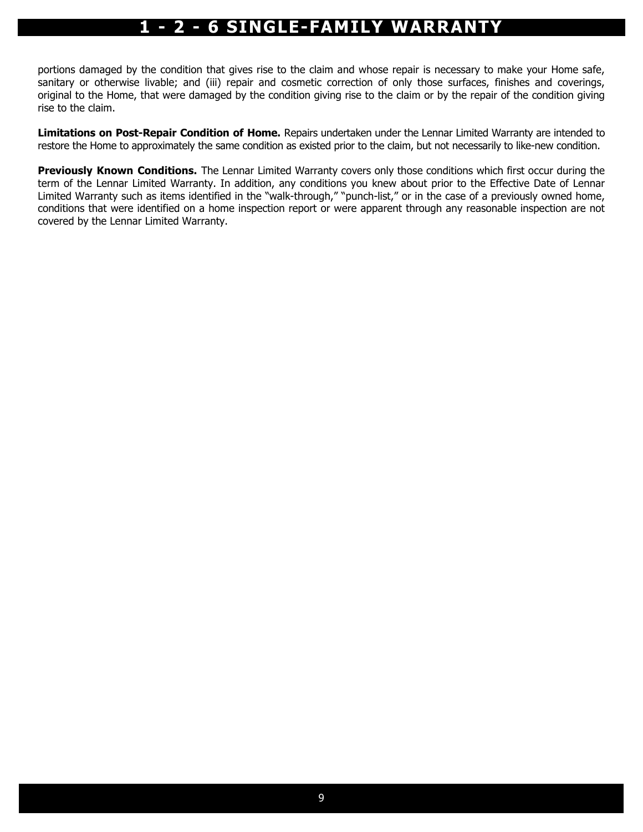portions damaged by the condition that gives rise to the claim and whose repair is necessary to make your Home safe, sanitary or otherwise livable; and (iii) repair and cosmetic correction of only those surfaces, finishes and coverings, original to the Home, that were damaged by the condition giving rise to the claim or by the repair of the condition giving rise to the claim.

Limitations on Post-Repair Condition of Home. Repairs undertaken under the Lennar Limited Warranty are intended to restore the Home to approximately the same condition as existed prior to the claim, but not necessarily to like-new condition.

**Previously Known Conditions.** The Lennar Limited Warranty covers only those conditions which first occur during the term of the Lennar Limited Warranty. In addition, any conditions you knew about prior to the Effective Date of Lennar Limited Warranty such as items identified in the "walk-through," "punch-list," or in the case of a previously owned home, conditions that were identified on a home inspection report or were apparent through any reasonable inspection are not covered by the Lennar Limited Warranty.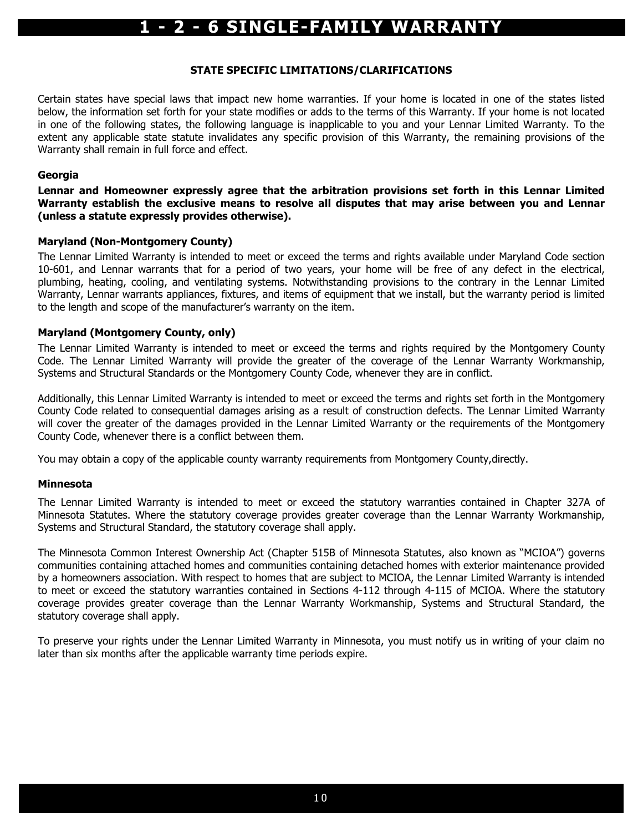#### STATE SPECIFIC LIMITATIONS/CLARIFICATIONS

Certain states have special laws that impact new home warranties. If your home is located in one of the states listed below, the information set forth for your state modifies or adds to the terms of this Warranty. If your home is not located in one of the following states, the following language is inapplicable to you and your Lennar Limited Warranty. To the extent any applicable state statute invalidates any specific provision of this Warranty, the remaining provisions of the Warranty shall remain in full force and effect.

#### **Georgia**

#### Lennar and Homeowner expressly agree that the arbitration provisions set forth in this Lennar Limited Warranty establish the exclusive means to resolve all disputes that may arise between you and Lennar (unless a statute expressly provides otherwise).

#### Maryland (Non-Montgomery County)

The Lennar Limited Warranty is intended to meet or exceed the terms and rights available under Maryland Code section 10-601, and Lennar warrants that for a period of two years, your home will be free of any defect in the electrical, plumbing, heating, cooling, and ventilating systems. Notwithstanding provisions to the contrary in the Lennar Limited Warranty, Lennar warrants appliances, fixtures, and items of equipment that we install, but the warranty period is limited to the length and scope of the manufacturer's warranty on the item.

#### Maryland (Montgomery County, only)

The Lennar Limited Warranty is intended to meet or exceed the terms and rights required by the Montgomery County Code. The Lennar Limited Warranty will provide the greater of the coverage of the Lennar Warranty Workmanship, Systems and Structural Standards or the Montgomery County Code, whenever they are in conflict.

Additionally, this Lennar Limited Warranty is intended to meet or exceed the terms and rights set forth in the Montgomery County Code related to consequential damages arising as a result of construction defects. The Lennar Limited Warranty will cover the greater of the damages provided in the Lennar Limited Warranty or the requirements of the Montgomery County Code, whenever there is a conflict between them.

You may obtain a copy of the applicable county warranty requirements from Montgomery County,directly.

#### Minnesota

The Lennar Limited Warranty is intended to meet or exceed the statutory warranties contained in Chapter 327A of Minnesota Statutes. Where the statutory coverage provides greater coverage than the Lennar Warranty Workmanship, Systems and Structural Standard, the statutory coverage shall apply.

The Minnesota Common Interest Ownership Act (Chapter 515B of Minnesota Statutes, also known as "MCIOA") governs communities containing attached homes and communities containing detached homes with exterior maintenance provided by a homeowners association. With respect to homes that are subject to MCIOA, the Lennar Limited Warranty is intended to meet or exceed the statutory warranties contained in Sections 4-112 through 4-115 of MCIOA. Where the statutory coverage provides greater coverage than the Lennar Warranty Workmanship, Systems and Structural Standard, the statutory coverage shall apply.

To preserve your rights under the Lennar Limited Warranty in Minnesota, you must notify us in writing of your claim no later than six months after the applicable warranty time periods expire.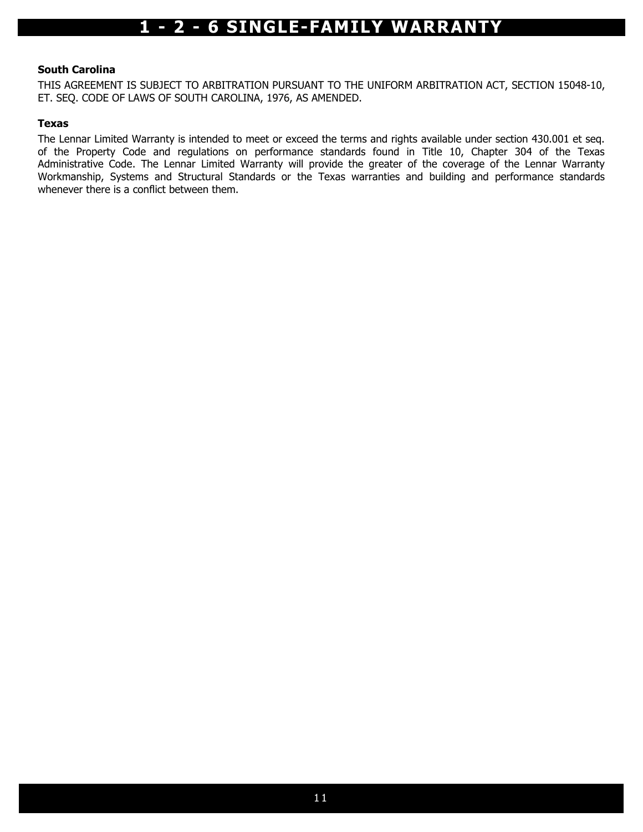#### South Carolina

THIS AGREEMENT IS SUBJECT TO ARBITRATION PURSUANT TO THE UNIFORM ARBITRATION ACT, SECTION 15048-10, ET. SEQ. CODE OF LAWS OF SOUTH CAROLINA, 1976, AS AMENDED.

#### Texas

The Lennar Limited Warranty is intended to meet or exceed the terms and rights available under section 430.001 et seq. of the Property Code and regulations on performance standards found in Title 10, Chapter 304 of the Texas Administrative Code. The Lennar Limited Warranty will provide the greater of the coverage of the Lennar Warranty Workmanship, Systems and Structural Standards or the Texas warranties and building and performance standards whenever there is a conflict between them.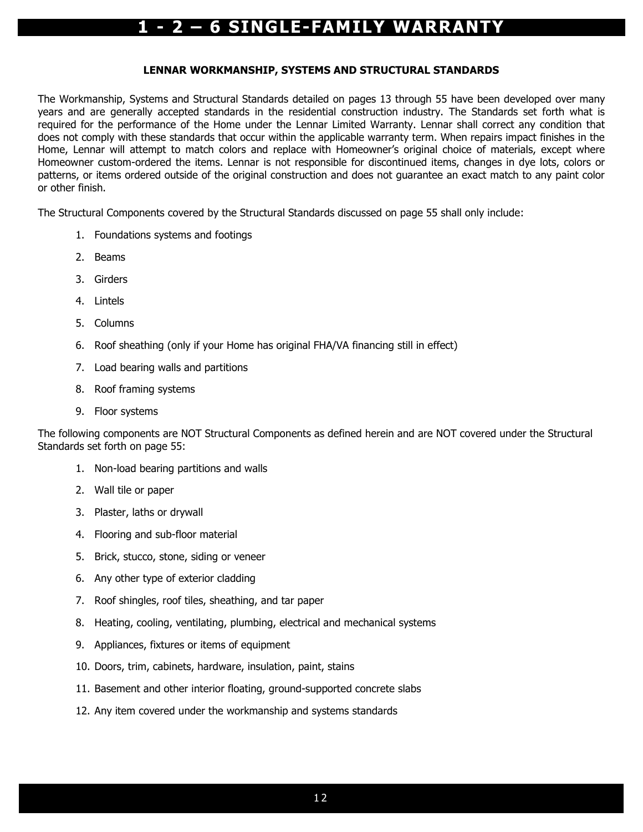#### LENNAR WORKMANSHIP, SYSTEMS AND STRUCTURAL STANDARDS

The Workmanship, Systems and Structural Standards detailed on pages 13 through 55 have been developed over many years and are generally accepted standards in the residential construction industry. The Standards set forth what is required for the performance of the Home under the Lennar Limited Warranty. Lennar shall correct any condition that does not comply with these standards that occur within the applicable warranty term. When repairs impact finishes in the Home, Lennar will attempt to match colors and replace with Homeowner's original choice of materials, except where Homeowner custom-ordered the items. Lennar is not responsible for discontinued items, changes in dye lots, colors or patterns, or items ordered outside of the original construction and does not guarantee an exact match to any paint color or other finish.

The Structural Components covered by the Structural Standards discussed on page 55 shall only include:

- 1. Foundations systems and footings
- 2. Beams
- 3. Girders
- 4. Lintels
- 5. Columns
- 6. Roof sheathing (only if your Home has original FHA/VA financing still in effect)
- 7. Load bearing walls and partitions
- 8. Roof framing systems
- 9. Floor systems

The following components are NOT Structural Components as defined herein and are NOT covered under the Structural Standards set forth on page 55:

- 1. Non-load bearing partitions and walls
- 2. Wall tile or paper
- 3. Plaster, laths or drywall
- 4. Flooring and sub-floor material
- 5. Brick, stucco, stone, siding or veneer
- 6. Any other type of exterior cladding
- 7. Roof shingles, roof tiles, sheathing, and tar paper
- 8. Heating, cooling, ventilating, plumbing, electrical and mechanical systems
- 9. Appliances, fixtures or items of equipment
- 10. Doors, trim, cabinets, hardware, insulation, paint, stains
- 11. Basement and other interior floating, ground-supported concrete slabs
- 12. Any item covered under the workmanship and systems standards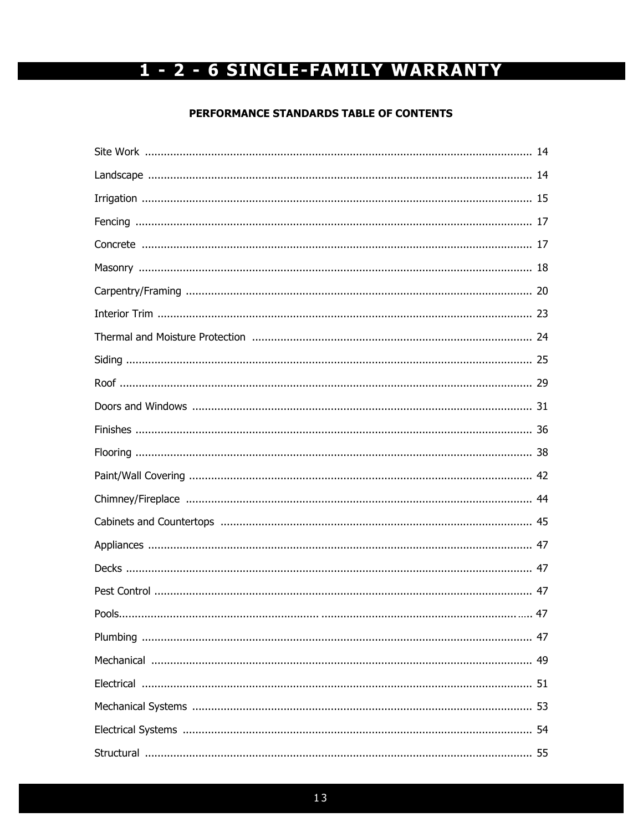#### PERFORMANCE STANDARDS TABLE OF CONTENTS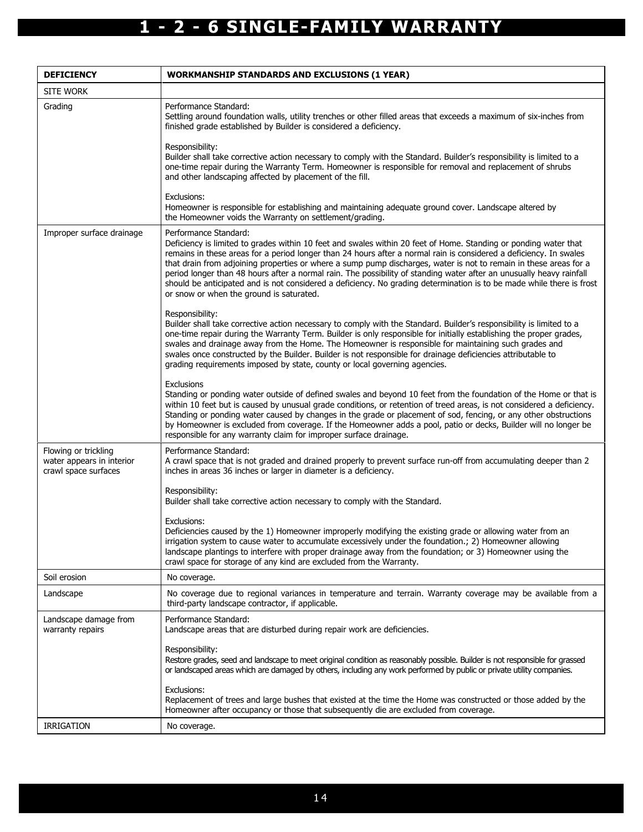| <b>DEFICIENCY</b>                                                         | <b>WORKMANSHIP STANDARDS AND EXCLUSIONS (1 YEAR)</b>                                                                                                                                                                                                                                                                                                                                                                                                                                                                                                                                                                                                                              |
|---------------------------------------------------------------------------|-----------------------------------------------------------------------------------------------------------------------------------------------------------------------------------------------------------------------------------------------------------------------------------------------------------------------------------------------------------------------------------------------------------------------------------------------------------------------------------------------------------------------------------------------------------------------------------------------------------------------------------------------------------------------------------|
| <b>SITE WORK</b>                                                          |                                                                                                                                                                                                                                                                                                                                                                                                                                                                                                                                                                                                                                                                                   |
| Grading                                                                   | Performance Standard:<br>Settling around foundation walls, utility trenches or other filled areas that exceeds a maximum of six-inches from<br>finished grade established by Builder is considered a deficiency.                                                                                                                                                                                                                                                                                                                                                                                                                                                                  |
|                                                                           | Responsibility:<br>Builder shall take corrective action necessary to comply with the Standard. Builder's responsibility is limited to a<br>one-time repair during the Warranty Term. Homeowner is responsible for removal and replacement of shrubs<br>and other landscaping affected by placement of the fill.                                                                                                                                                                                                                                                                                                                                                                   |
|                                                                           | Exclusions:<br>Homeowner is responsible for establishing and maintaining adequate ground cover. Landscape altered by<br>the Homeowner voids the Warranty on settlement/grading.                                                                                                                                                                                                                                                                                                                                                                                                                                                                                                   |
| Improper surface drainage                                                 | Performance Standard:<br>Deficiency is limited to grades within 10 feet and swales within 20 feet of Home. Standing or ponding water that<br>remains in these areas for a period longer than 24 hours after a normal rain is considered a deficiency. In swales<br>that drain from adjoining properties or where a sump pump discharges, water is not to remain in these areas for a<br>period longer than 48 hours after a normal rain. The possibility of standing water after an unusually heavy rainfall<br>should be anticipated and is not considered a deficiency. No grading determination is to be made while there is frost<br>or snow or when the ground is saturated. |
|                                                                           | Responsibility:<br>Builder shall take corrective action necessary to comply with the Standard. Builder's responsibility is limited to a<br>one-time repair during the Warranty Term. Builder is only responsible for initially establishing the proper grades,<br>swales and drainage away from the Home. The Homeowner is responsible for maintaining such grades and<br>swales once constructed by the Builder. Builder is not responsible for drainage deficiencies attributable to<br>grading requirements imposed by state, county or local governing agencies.                                                                                                              |
|                                                                           | <b>Exclusions</b><br>Standing or ponding water outside of defined swales and beyond 10 feet from the foundation of the Home or that is<br>within 10 feet but is caused by unusual grade conditions, or retention of treed areas, is not considered a deficiency.<br>Standing or ponding water caused by changes in the grade or placement of sod, fencing, or any other obstructions<br>by Homeowner is excluded from coverage. If the Homeowner adds a pool, patio or decks, Builder will no longer be<br>responsible for any warranty claim for improper surface drainage.                                                                                                      |
| Flowing or trickling<br>water appears in interior<br>crawl space surfaces | Performance Standard:<br>A crawl space that is not graded and drained properly to prevent surface run-off from accumulating deeper than 2<br>inches in areas 36 inches or larger in diameter is a deficiency.                                                                                                                                                                                                                                                                                                                                                                                                                                                                     |
|                                                                           | Responsibility:<br>Builder shall take corrective action necessary to comply with the Standard.                                                                                                                                                                                                                                                                                                                                                                                                                                                                                                                                                                                    |
|                                                                           | Exclusions:<br>Deficiencies caused by the 1) Homeowner improperly modifying the existing grade or allowing water from an<br>irrigation system to cause water to accumulate excessively under the foundation.; 2) Homeowner allowing<br>landscape plantings to interfere with proper drainage away from the foundation; or 3) Homeowner using the<br>crawl space for storage of any kind are excluded from the Warranty.                                                                                                                                                                                                                                                           |
| Soil erosion                                                              | No coverage.                                                                                                                                                                                                                                                                                                                                                                                                                                                                                                                                                                                                                                                                      |
| Landscape                                                                 | No coverage due to regional variances in temperature and terrain. Warranty coverage may be available from a<br>third-party landscape contractor, if applicable.                                                                                                                                                                                                                                                                                                                                                                                                                                                                                                                   |
| Landscape damage from<br>warranty repairs                                 | Performance Standard:<br>Landscape areas that are disturbed during repair work are deficiencies.                                                                                                                                                                                                                                                                                                                                                                                                                                                                                                                                                                                  |
|                                                                           | Responsibility:<br>Restore grades, seed and landscape to meet original condition as reasonably possible. Builder is not responsible for grassed<br>or landscaped areas which are damaged by others, including any work performed by public or private utility companies.                                                                                                                                                                                                                                                                                                                                                                                                          |
|                                                                           | Exclusions:<br>Replacement of trees and large bushes that existed at the time the Home was constructed or those added by the<br>Homeowner after occupancy or those that subsequently die are excluded from coverage.                                                                                                                                                                                                                                                                                                                                                                                                                                                              |
| <b>IRRIGATION</b>                                                         | No coverage.                                                                                                                                                                                                                                                                                                                                                                                                                                                                                                                                                                                                                                                                      |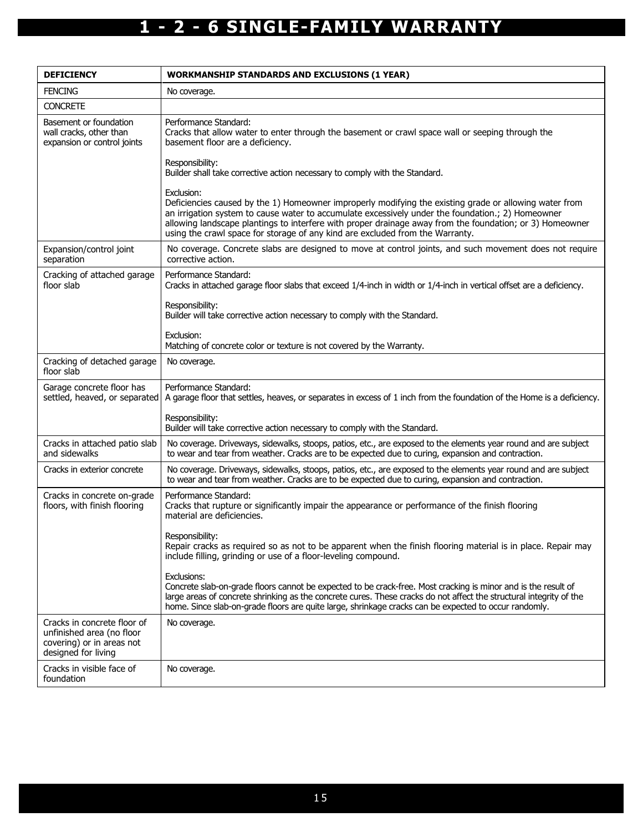| <b>DEFICIENCY</b>                                                                                            | <b>WORKMANSHIP STANDARDS AND EXCLUSIONS (1 YEAR)</b>                                                                                                                                                                                                                                                                                                                                                                   |
|--------------------------------------------------------------------------------------------------------------|------------------------------------------------------------------------------------------------------------------------------------------------------------------------------------------------------------------------------------------------------------------------------------------------------------------------------------------------------------------------------------------------------------------------|
| <b>FENCING</b>                                                                                               | No coverage.                                                                                                                                                                                                                                                                                                                                                                                                           |
| <b>CONCRETE</b>                                                                                              |                                                                                                                                                                                                                                                                                                                                                                                                                        |
| Basement or foundation<br>wall cracks, other than<br>expansion or control joints                             | Performance Standard:<br>Cracks that allow water to enter through the basement or crawl space wall or seeping through the<br>basement floor are a deficiency.                                                                                                                                                                                                                                                          |
|                                                                                                              | Responsibility:<br>Builder shall take corrective action necessary to comply with the Standard.                                                                                                                                                                                                                                                                                                                         |
|                                                                                                              | Exclusion:<br>Deficiencies caused by the 1) Homeowner improperly modifying the existing grade or allowing water from<br>an irrigation system to cause water to accumulate excessively under the foundation.; 2) Homeowner<br>allowing landscape plantings to interfere with proper drainage away from the foundation; or 3) Homeowner<br>using the crawl space for storage of any kind are excluded from the Warranty. |
| Expansion/control joint<br>separation                                                                        | No coverage. Concrete slabs are designed to move at control joints, and such movement does not require<br>corrective action.                                                                                                                                                                                                                                                                                           |
| Cracking of attached garage<br>floor slab                                                                    | Performance Standard:<br>Cracks in attached garage floor slabs that exceed 1/4-inch in width or 1/4-inch in vertical offset are a deficiency.                                                                                                                                                                                                                                                                          |
|                                                                                                              | Responsibility:<br>Builder will take corrective action necessary to comply with the Standard.                                                                                                                                                                                                                                                                                                                          |
|                                                                                                              | Exclusion:<br>Matching of concrete color or texture is not covered by the Warranty.                                                                                                                                                                                                                                                                                                                                    |
| Cracking of detached garage<br>floor slab                                                                    | No coverage.                                                                                                                                                                                                                                                                                                                                                                                                           |
| Garage concrete floor has<br>settled, heaved, or separated                                                   | Performance Standard:<br>A garage floor that settles, heaves, or separates in excess of 1 inch from the foundation of the Home is a deficiency.                                                                                                                                                                                                                                                                        |
|                                                                                                              | Responsibility:<br>Builder will take corrective action necessary to comply with the Standard.                                                                                                                                                                                                                                                                                                                          |
| Cracks in attached patio slab<br>and sidewalks                                                               | No coverage. Driveways, sidewalks, stoops, patios, etc., are exposed to the elements year round and are subject<br>to wear and tear from weather. Cracks are to be expected due to curing, expansion and contraction.                                                                                                                                                                                                  |
| Cracks in exterior concrete                                                                                  | No coverage. Driveways, sidewalks, stoops, patios, etc., are exposed to the elements year round and are subject<br>to wear and tear from weather. Cracks are to be expected due to curing, expansion and contraction.                                                                                                                                                                                                  |
| Cracks in concrete on-grade<br>floors, with finish flooring                                                  | Performance Standard:<br>Cracks that rupture or significantly impair the appearance or performance of the finish flooring<br>material are deficiencies.                                                                                                                                                                                                                                                                |
|                                                                                                              | Responsibility:<br>Repair cracks as required so as not to be apparent when the finish flooring material is in place. Repair may<br>include filling, grinding or use of a floor-leveling compound.                                                                                                                                                                                                                      |
|                                                                                                              | Exclusions:<br>Concrete slab-on-grade floors cannot be expected to be crack-free. Most cracking is minor and is the result of<br>large areas of concrete shrinking as the concrete cures. These cracks do not affect the structural integrity of the<br>home. Since slab-on-grade floors are quite large, shrinkage cracks can be expected to occur randomly.                                                          |
| Cracks in concrete floor of<br>unfinished area (no floor<br>covering) or in areas not<br>designed for living | No coverage.                                                                                                                                                                                                                                                                                                                                                                                                           |
| Cracks in visible face of<br>foundation                                                                      | No coverage.                                                                                                                                                                                                                                                                                                                                                                                                           |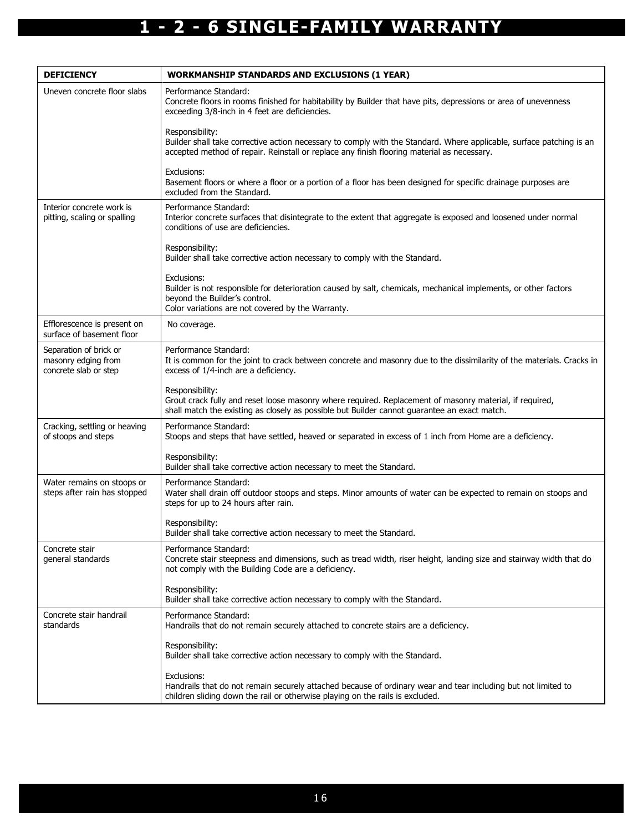| <b>DEFICIENCY</b>                                                      | <b>WORKMANSHIP STANDARDS AND EXCLUSIONS (1 YEAR)</b>                                                                                                                                                                                  |
|------------------------------------------------------------------------|---------------------------------------------------------------------------------------------------------------------------------------------------------------------------------------------------------------------------------------|
| Uneven concrete floor slabs                                            | Performance Standard:<br>Concrete floors in rooms finished for habitability by Builder that have pits, depressions or area of unevenness<br>exceeding 3/8-inch in 4 feet are deficiencies.                                            |
|                                                                        | Responsibility:<br>Builder shall take corrective action necessary to comply with the Standard. Where applicable, surface patching is an<br>accepted method of repair. Reinstall or replace any finish flooring material as necessary. |
|                                                                        | Exclusions:<br>Basement floors or where a floor or a portion of a floor has been designed for specific drainage purposes are<br>excluded from the Standard.                                                                           |
| Interior concrete work is<br>pitting, scaling or spalling              | Performance Standard:<br>Interior concrete surfaces that disintegrate to the extent that aggregate is exposed and loosened under normal<br>conditions of use are deficiencies.                                                        |
|                                                                        | Responsibility:<br>Builder shall take corrective action necessary to comply with the Standard.                                                                                                                                        |
|                                                                        | Exclusions:<br>Builder is not responsible for deterioration caused by salt, chemicals, mechanical implements, or other factors<br>beyond the Builder's control.<br>Color variations are not covered by the Warranty.                  |
| Efflorescence is present on<br>surface of basement floor               | No coverage.                                                                                                                                                                                                                          |
| Separation of brick or<br>masonry edging from<br>concrete slab or step | Performance Standard:<br>It is common for the joint to crack between concrete and masonry due to the dissimilarity of the materials. Cracks in<br>excess of 1/4-inch are a deficiency.                                                |
|                                                                        | Responsibility:<br>Grout crack fully and reset loose masonry where required. Replacement of masonry material, if required,<br>shall match the existing as closely as possible but Builder cannot guarantee an exact match.            |
| Cracking, settling or heaving<br>of stoops and steps                   | Performance Standard:<br>Stoops and steps that have settled, heaved or separated in excess of 1 inch from Home are a deficiency.                                                                                                      |
|                                                                        | Responsibility:<br>Builder shall take corrective action necessary to meet the Standard.                                                                                                                                               |
| Water remains on stoops or<br>steps after rain has stopped             | Performance Standard:<br>Water shall drain off outdoor stoops and steps. Minor amounts of water can be expected to remain on stoops and<br>steps for up to 24 hours after rain.                                                       |
|                                                                        | Responsibility:<br>Builder shall take corrective action necessary to meet the Standard.                                                                                                                                               |
| Concrete stair<br>general standards                                    | Performance Standard:<br>Concrete stair steepness and dimensions, such as tread width, riser height, landing size and stairway width that do<br>not comply with the Building Code are a deficiency.                                   |
|                                                                        | Responsibility:<br>Builder shall take corrective action necessary to comply with the Standard.                                                                                                                                        |
| Concrete stair handrail<br>standards                                   | Performance Standard:<br>Handrails that do not remain securely attached to concrete stairs are a deficiency.                                                                                                                          |
|                                                                        | Responsibility:<br>Builder shall take corrective action necessary to comply with the Standard.                                                                                                                                        |
|                                                                        | Exclusions:<br>Handrails that do not remain securely attached because of ordinary wear and tear including but not limited to<br>children sliding down the rail or otherwise playing on the rails is excluded.                         |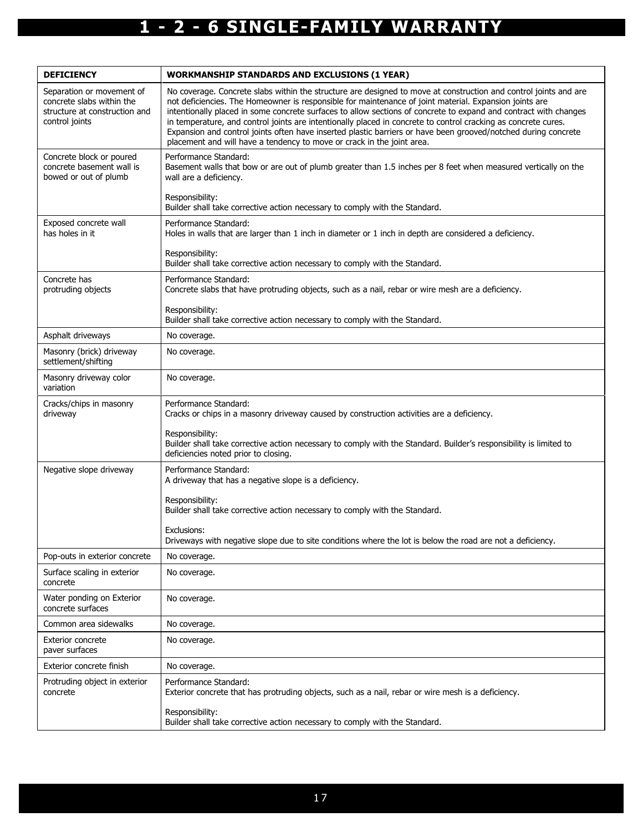| <b>DEFICIENCY</b>                                                                                         | <b>WORKMANSHIP STANDARDS AND EXCLUSIONS (1 YEAR)</b>                                                                                                                                                                                                                                                                                                                                                                                                                                                                                                                                                                                                         |
|-----------------------------------------------------------------------------------------------------------|--------------------------------------------------------------------------------------------------------------------------------------------------------------------------------------------------------------------------------------------------------------------------------------------------------------------------------------------------------------------------------------------------------------------------------------------------------------------------------------------------------------------------------------------------------------------------------------------------------------------------------------------------------------|
| Separation or movement of<br>concrete slabs within the<br>structure at construction and<br>control joints | No coverage. Concrete slabs within the structure are designed to move at construction and control joints and are<br>not deficiencies. The Homeowner is responsible for maintenance of joint material. Expansion joints are<br>intentionally placed in some concrete surfaces to allow sections of concrete to expand and contract with changes<br>in temperature, and control joints are intentionally placed in concrete to control cracking as concrete cures.<br>Expansion and control joints often have inserted plastic barriers or have been grooved/notched during concrete<br>placement and will have a tendency to move or crack in the joint area. |
| Concrete block or poured<br>concrete basement wall is<br>bowed or out of plumb                            | Performance Standard:<br>Basement walls that bow or are out of plumb greater than 1.5 inches per 8 feet when measured vertically on the<br>wall are a deficiency.                                                                                                                                                                                                                                                                                                                                                                                                                                                                                            |
|                                                                                                           | Responsibility:<br>Builder shall take corrective action necessary to comply with the Standard.                                                                                                                                                                                                                                                                                                                                                                                                                                                                                                                                                               |
| Exposed concrete wall<br>has holes in it                                                                  | Performance Standard:<br>Holes in walls that are larger than 1 inch in diameter or 1 inch in depth are considered a deficiency.                                                                                                                                                                                                                                                                                                                                                                                                                                                                                                                              |
|                                                                                                           | Responsibility:<br>Builder shall take corrective action necessary to comply with the Standard.                                                                                                                                                                                                                                                                                                                                                                                                                                                                                                                                                               |
| Concrete has<br>protruding objects                                                                        | Performance Standard:<br>Concrete slabs that have protruding objects, such as a nail, rebar or wire mesh are a deficiency.                                                                                                                                                                                                                                                                                                                                                                                                                                                                                                                                   |
|                                                                                                           | Responsibility:<br>Builder shall take corrective action necessary to comply with the Standard.                                                                                                                                                                                                                                                                                                                                                                                                                                                                                                                                                               |
| Asphalt driveways                                                                                         | No coverage.                                                                                                                                                                                                                                                                                                                                                                                                                                                                                                                                                                                                                                                 |
| Masonry (brick) driveway<br>settlement/shifting                                                           | No coverage.                                                                                                                                                                                                                                                                                                                                                                                                                                                                                                                                                                                                                                                 |
| Masonry driveway color<br>variation                                                                       | No coverage.                                                                                                                                                                                                                                                                                                                                                                                                                                                                                                                                                                                                                                                 |
| Cracks/chips in masonry<br>driveway                                                                       | Performance Standard:<br>Cracks or chips in a masonry driveway caused by construction activities are a deficiency.                                                                                                                                                                                                                                                                                                                                                                                                                                                                                                                                           |
|                                                                                                           | Responsibility:<br>Builder shall take corrective action necessary to comply with the Standard. Builder's responsibility is limited to<br>deficiencies noted prior to closing.                                                                                                                                                                                                                                                                                                                                                                                                                                                                                |
| Negative slope driveway                                                                                   | Performance Standard:<br>A driveway that has a negative slope is a deficiency.                                                                                                                                                                                                                                                                                                                                                                                                                                                                                                                                                                               |
|                                                                                                           | Responsibility:<br>Builder shall take corrective action necessary to comply with the Standard.                                                                                                                                                                                                                                                                                                                                                                                                                                                                                                                                                               |
|                                                                                                           | Exclusions:<br>Driveways with negative slope due to site conditions where the lot is below the road are not a deficiency.                                                                                                                                                                                                                                                                                                                                                                                                                                                                                                                                    |
| Pop-outs in exterior concrete                                                                             | No coverage.                                                                                                                                                                                                                                                                                                                                                                                                                                                                                                                                                                                                                                                 |
| Surface scaling in exterior<br>concrete                                                                   | No coverage.                                                                                                                                                                                                                                                                                                                                                                                                                                                                                                                                                                                                                                                 |
| Water ponding on Exterior<br>concrete surfaces                                                            | No coverage.                                                                                                                                                                                                                                                                                                                                                                                                                                                                                                                                                                                                                                                 |
| Common area sidewalks                                                                                     | No coverage.                                                                                                                                                                                                                                                                                                                                                                                                                                                                                                                                                                                                                                                 |
| <b>Exterior concrete</b><br>paver surfaces                                                                | No coverage.                                                                                                                                                                                                                                                                                                                                                                                                                                                                                                                                                                                                                                                 |
| Exterior concrete finish                                                                                  | No coverage.                                                                                                                                                                                                                                                                                                                                                                                                                                                                                                                                                                                                                                                 |
| Protruding object in exterior<br>concrete                                                                 | Performance Standard:<br>Exterior concrete that has protruding objects, such as a nail, rebar or wire mesh is a deficiency.                                                                                                                                                                                                                                                                                                                                                                                                                                                                                                                                  |
|                                                                                                           | Responsibility:<br>Builder shall take corrective action necessary to comply with the Standard.                                                                                                                                                                                                                                                                                                                                                                                                                                                                                                                                                               |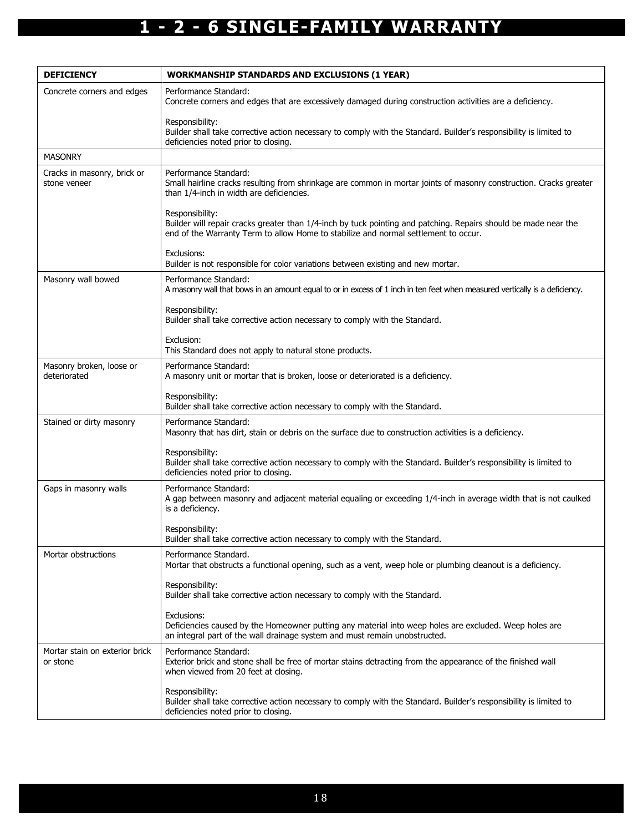| <b>DEFICIENCY</b>                           | <b>WORKMANSHIP STANDARDS AND EXCLUSIONS (1 YEAR)</b>                                                                                                                                                                      |
|---------------------------------------------|---------------------------------------------------------------------------------------------------------------------------------------------------------------------------------------------------------------------------|
| Concrete corners and edges                  | Performance Standard:<br>Concrete corners and edges that are excessively damaged during construction activities are a deficiency.                                                                                         |
|                                             | Responsibility:<br>Builder shall take corrective action necessary to comply with the Standard. Builder's responsibility is limited to<br>deficiencies noted prior to closing.                                             |
| <b>MASONRY</b>                              |                                                                                                                                                                                                                           |
| Cracks in masonry, brick or<br>stone veneer | Performance Standard:<br>Small hairline cracks resulting from shrinkage are common in mortar joints of masonry construction. Cracks greater<br>than 1/4-inch in width are deficiencies.                                   |
|                                             | Responsibility:<br>Builder will repair cracks greater than 1/4-inch by tuck pointing and patching. Repairs should be made near the<br>end of the Warranty Term to allow Home to stabilize and normal settlement to occur. |
|                                             | Exclusions:<br>Builder is not responsible for color variations between existing and new mortar.                                                                                                                           |
| Masonry wall bowed                          | Performance Standard:<br>A masonry wall that bows in an amount equal to or in excess of 1 inch in ten feet when measured vertically is a deficiency.                                                                      |
|                                             | Responsibility:<br>Builder shall take corrective action necessary to comply with the Standard.                                                                                                                            |
|                                             | Exclusion:<br>This Standard does not apply to natural stone products.                                                                                                                                                     |
| Masonry broken, loose or<br>deteriorated    | Performance Standard:<br>A masonry unit or mortar that is broken, loose or deteriorated is a deficiency.                                                                                                                  |
|                                             | Responsibility:<br>Builder shall take corrective action necessary to comply with the Standard.                                                                                                                            |
| Stained or dirty masonry                    | Performance Standard:<br>Masonry that has dirt, stain or debris on the surface due to construction activities is a deficiency.                                                                                            |
|                                             | Responsibility:<br>Builder shall take corrective action necessary to comply with the Standard. Builder's responsibility is limited to<br>deficiencies noted prior to closing.                                             |
| Gaps in masonry walls                       | Performance Standard:<br>A gap between masonry and adjacent material equaling or exceeding 1/4-inch in average width that is not caulked<br>is a deficiency.                                                              |
|                                             | Responsibility:<br>Builder shall take corrective action necessary to comply with the Standard.                                                                                                                            |
| Mortar obstructions                         | Performance Standard.<br>Mortar that obstructs a functional opening, such as a vent, weep hole or plumbing cleanout is a deficiency.                                                                                      |
|                                             | Responsibility:<br>Builder shall take corrective action necessary to comply with the Standard.                                                                                                                            |
|                                             | Exclusions:<br>Deficiencies caused by the Homeowner putting any material into weep holes are excluded. Weep holes are<br>an integral part of the wall drainage system and must remain unobstructed.                       |
| Mortar stain on exterior brick<br>or stone  | Performance Standard:<br>Exterior brick and stone shall be free of mortar stains detracting from the appearance of the finished wall<br>when viewed from 20 feet at closing.                                              |
|                                             | Responsibility:<br>Builder shall take corrective action necessary to comply with the Standard. Builder's responsibility is limited to<br>deficiencies noted prior to closing.                                             |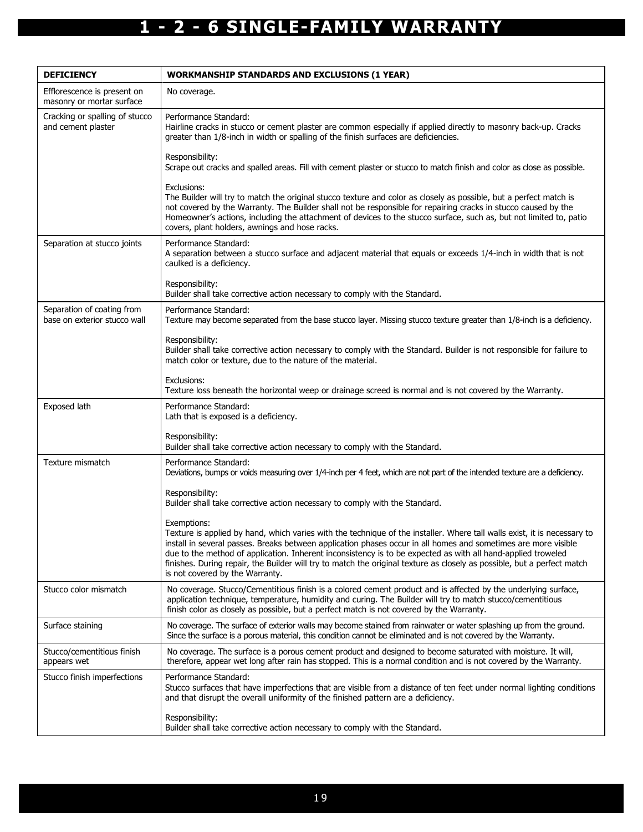| <b>DEFICIENCY</b>                                          | <b>WORKMANSHIP STANDARDS AND EXCLUSIONS (1 YEAR)</b>                                                                                                                                                                                                                                                                                                                                                                                                                                                                                    |
|------------------------------------------------------------|-----------------------------------------------------------------------------------------------------------------------------------------------------------------------------------------------------------------------------------------------------------------------------------------------------------------------------------------------------------------------------------------------------------------------------------------------------------------------------------------------------------------------------------------|
| Efflorescence is present on<br>masonry or mortar surface   | No coverage.                                                                                                                                                                                                                                                                                                                                                                                                                                                                                                                            |
| Cracking or spalling of stucco<br>and cement plaster       | Performance Standard:<br>Hairline cracks in stucco or cement plaster are common especially if applied directly to masonry back-up. Cracks<br>greater than 1/8-inch in width or spalling of the finish surfaces are deficiencies.                                                                                                                                                                                                                                                                                                        |
|                                                            | Responsibility:<br>Scrape out cracks and spalled areas. Fill with cement plaster or stucco to match finish and color as close as possible.                                                                                                                                                                                                                                                                                                                                                                                              |
|                                                            | Exclusions:<br>The Builder will try to match the original stucco texture and color as closely as possible, but a perfect match is<br>not covered by the Warranty. The Builder shall not be responsible for repairing cracks in stucco caused by the<br>Homeowner's actions, including the attachment of devices to the stucco surface, such as, but not limited to, patio<br>covers, plant holders, awnings and hose racks.                                                                                                             |
| Separation at stucco joints                                | Performance Standard:<br>A separation between a stucco surface and adjacent material that equals or exceeds 1/4-inch in width that is not<br>caulked is a deficiency.                                                                                                                                                                                                                                                                                                                                                                   |
|                                                            | Responsibility:<br>Builder shall take corrective action necessary to comply with the Standard.                                                                                                                                                                                                                                                                                                                                                                                                                                          |
| Separation of coating from<br>base on exterior stucco wall | Performance Standard:<br>Texture may become separated from the base stucco layer. Missing stucco texture greater than 1/8-inch is a deficiency.                                                                                                                                                                                                                                                                                                                                                                                         |
|                                                            | Responsibility:<br>Builder shall take corrective action necessary to comply with the Standard. Builder is not responsible for failure to<br>match color or texture, due to the nature of the material.                                                                                                                                                                                                                                                                                                                                  |
|                                                            | Exclusions:<br>Texture loss beneath the horizontal weep or drainage screed is normal and is not covered by the Warranty.                                                                                                                                                                                                                                                                                                                                                                                                                |
| Exposed lath                                               | Performance Standard:<br>Lath that is exposed is a deficiency.                                                                                                                                                                                                                                                                                                                                                                                                                                                                          |
|                                                            | Responsibility:<br>Builder shall take corrective action necessary to comply with the Standard.                                                                                                                                                                                                                                                                                                                                                                                                                                          |
| Texture mismatch                                           | Performance Standard:<br>Deviations, bumps or voids measuring over 1/4-inch per 4 feet, which are not part of the intended texture are a deficiency.                                                                                                                                                                                                                                                                                                                                                                                    |
|                                                            | Responsibility:<br>Builder shall take corrective action necessary to comply with the Standard.                                                                                                                                                                                                                                                                                                                                                                                                                                          |
|                                                            | Exemptions:<br>Texture is applied by hand, which varies with the technique of the installer. Where tall walls exist, it is necessary to<br>install in several passes. Breaks between application phases occur in all homes and sometimes are more visible<br>due to the method of application. Inherent inconsistency is to be expected as with all hand-applied troweled<br>finishes. During repair, the Builder will try to match the original texture as closely as possible, but a perfect match<br>is not covered by the Warranty. |
| Stucco color mismatch                                      | No coverage. Stucco/Cementitious finish is a colored cement product and is affected by the underlying surface,<br>application technique, temperature, humidity and curing. The Builder will try to match stucco/cementitious<br>finish color as closely as possible, but a perfect match is not covered by the Warranty.                                                                                                                                                                                                                |
| Surface staining                                           | No coverage. The surface of exterior walls may become stained from rainwater or water splashing up from the ground.<br>Since the surface is a porous material, this condition cannot be eliminated and is not covered by the Warranty.                                                                                                                                                                                                                                                                                                  |
| Stucco/cementitious finish<br>appears wet                  | No coverage. The surface is a porous cement product and designed to become saturated with moisture. It will,<br>therefore, appear wet long after rain has stopped. This is a normal condition and is not covered by the Warranty.                                                                                                                                                                                                                                                                                                       |
| Stucco finish imperfections                                | Performance Standard:<br>Stucco surfaces that have imperfections that are visible from a distance of ten feet under normal lighting conditions<br>and that disrupt the overall uniformity of the finished pattern are a deficiency.                                                                                                                                                                                                                                                                                                     |
|                                                            | Responsibility:<br>Builder shall take corrective action necessary to comply with the Standard.                                                                                                                                                                                                                                                                                                                                                                                                                                          |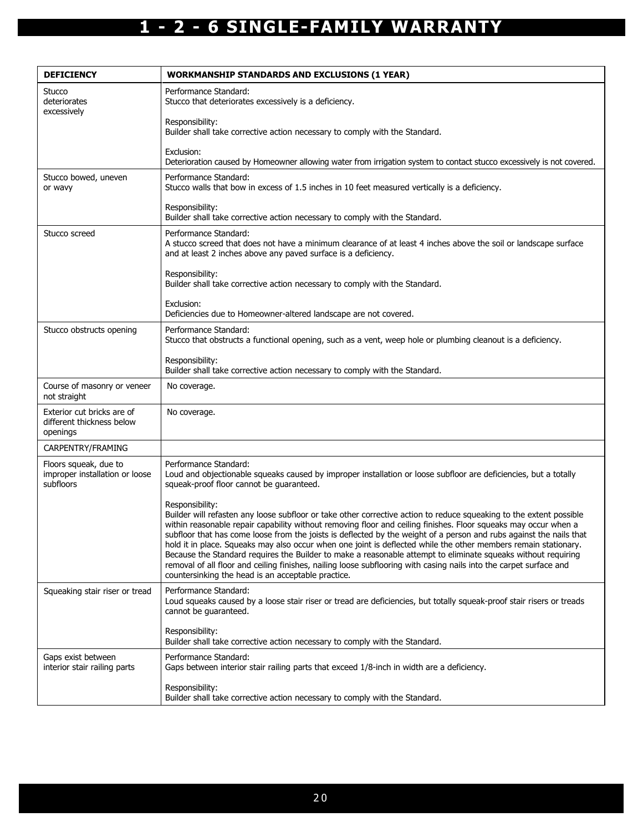| <b>DEFICIENCY</b>                                                    | <b>WORKMANSHIP STANDARDS AND EXCLUSIONS (1 YEAR)</b>                                                                                                                                                                                                                                                                                                                                                                                                                                                                                                                                                                                                                                                                                                                                             |
|----------------------------------------------------------------------|--------------------------------------------------------------------------------------------------------------------------------------------------------------------------------------------------------------------------------------------------------------------------------------------------------------------------------------------------------------------------------------------------------------------------------------------------------------------------------------------------------------------------------------------------------------------------------------------------------------------------------------------------------------------------------------------------------------------------------------------------------------------------------------------------|
| Stucco<br>deteriorates<br>excessively                                | Performance Standard:<br>Stucco that deteriorates excessively is a deficiency.                                                                                                                                                                                                                                                                                                                                                                                                                                                                                                                                                                                                                                                                                                                   |
|                                                                      | Responsibility:<br>Builder shall take corrective action necessary to comply with the Standard.                                                                                                                                                                                                                                                                                                                                                                                                                                                                                                                                                                                                                                                                                                   |
|                                                                      | Exclusion:<br>Deterioration caused by Homeowner allowing water from irrigation system to contact stucco excessively is not covered.                                                                                                                                                                                                                                                                                                                                                                                                                                                                                                                                                                                                                                                              |
| Stucco bowed, uneven<br>or wavy                                      | Performance Standard:<br>Stucco walls that bow in excess of 1.5 inches in 10 feet measured vertically is a deficiency.                                                                                                                                                                                                                                                                                                                                                                                                                                                                                                                                                                                                                                                                           |
|                                                                      | Responsibility:<br>Builder shall take corrective action necessary to comply with the Standard.                                                                                                                                                                                                                                                                                                                                                                                                                                                                                                                                                                                                                                                                                                   |
| Stucco screed                                                        | Performance Standard:<br>A stucco screed that does not have a minimum clearance of at least 4 inches above the soil or landscape surface<br>and at least 2 inches above any paved surface is a deficiency.                                                                                                                                                                                                                                                                                                                                                                                                                                                                                                                                                                                       |
|                                                                      | Responsibility:<br>Builder shall take corrective action necessary to comply with the Standard.                                                                                                                                                                                                                                                                                                                                                                                                                                                                                                                                                                                                                                                                                                   |
|                                                                      | Exclusion:<br>Deficiencies due to Homeowner-altered landscape are not covered.                                                                                                                                                                                                                                                                                                                                                                                                                                                                                                                                                                                                                                                                                                                   |
| Stucco obstructs opening                                             | Performance Standard:<br>Stucco that obstructs a functional opening, such as a vent, weep hole or plumbing cleanout is a deficiency.                                                                                                                                                                                                                                                                                                                                                                                                                                                                                                                                                                                                                                                             |
|                                                                      | Responsibility:<br>Builder shall take corrective action necessary to comply with the Standard.                                                                                                                                                                                                                                                                                                                                                                                                                                                                                                                                                                                                                                                                                                   |
| Course of masonry or veneer<br>not straight                          | No coverage.                                                                                                                                                                                                                                                                                                                                                                                                                                                                                                                                                                                                                                                                                                                                                                                     |
| Exterior cut bricks are of<br>different thickness below<br>openings  | No coverage.                                                                                                                                                                                                                                                                                                                                                                                                                                                                                                                                                                                                                                                                                                                                                                                     |
| CARPENTRY/FRAMING                                                    |                                                                                                                                                                                                                                                                                                                                                                                                                                                                                                                                                                                                                                                                                                                                                                                                  |
| Floors squeak, due to<br>improper installation or loose<br>subfloors | Performance Standard:<br>Loud and objectionable squeaks caused by improper installation or loose subfloor are deficiencies, but a totally<br>squeak-proof floor cannot be guaranteed.                                                                                                                                                                                                                                                                                                                                                                                                                                                                                                                                                                                                            |
|                                                                      | Responsibility:<br>Builder will refasten any loose subfloor or take other corrective action to reduce squeaking to the extent possible<br>within reasonable repair capability without removing floor and ceiling finishes. Floor squeaks may occur when a<br>subfloor that has come loose from the joists is deflected by the weight of a person and rubs against the nails that<br>hold it in place. Squeaks may also occur when one joint is deflected while the other members remain stationary.<br>Because the Standard requires the Builder to make a reasonable attempt to eliminate squeaks without requiring<br>removal of all floor and ceiling finishes, nailing loose subflooring with casing nails into the carpet surface and<br>countersinking the head is an acceptable practice. |
| Squeaking stair riser or tread                                       | Performance Standard:<br>Loud squeaks caused by a loose stair riser or tread are deficiencies, but totally squeak-proof stair risers or treads<br>cannot be guaranteed.                                                                                                                                                                                                                                                                                                                                                                                                                                                                                                                                                                                                                          |
|                                                                      | Responsibility:<br>Builder shall take corrective action necessary to comply with the Standard.                                                                                                                                                                                                                                                                                                                                                                                                                                                                                                                                                                                                                                                                                                   |
| Gaps exist between<br>interior stair railing parts                   | Performance Standard:<br>Gaps between interior stair railing parts that exceed 1/8-inch in width are a deficiency.                                                                                                                                                                                                                                                                                                                                                                                                                                                                                                                                                                                                                                                                               |
|                                                                      | Responsibility:<br>Builder shall take corrective action necessary to comply with the Standard.                                                                                                                                                                                                                                                                                                                                                                                                                                                                                                                                                                                                                                                                                                   |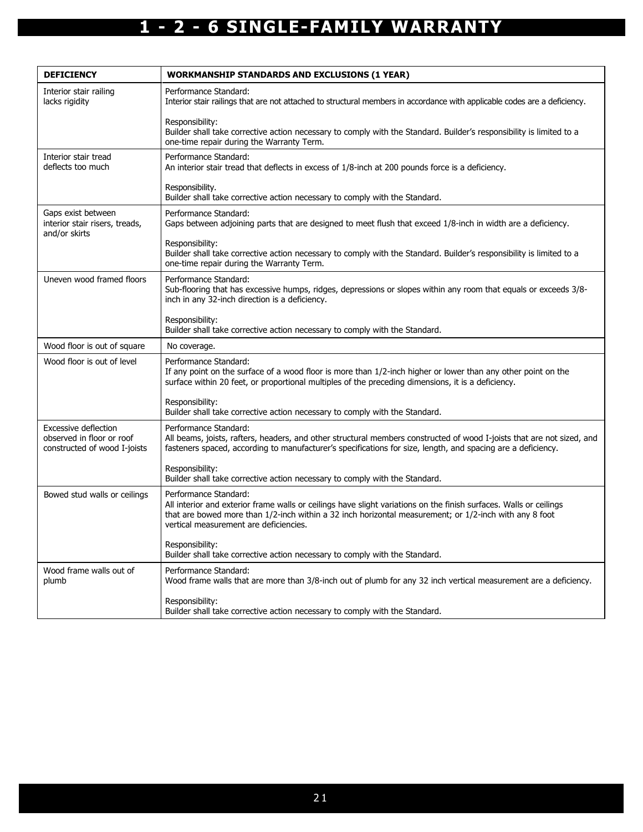| <b>DEFICIENCY</b>                                                                 | <b>WORKMANSHIP STANDARDS AND EXCLUSIONS (1 YEAR)</b>                                                                                                                                                                                                                                            |
|-----------------------------------------------------------------------------------|-------------------------------------------------------------------------------------------------------------------------------------------------------------------------------------------------------------------------------------------------------------------------------------------------|
| Interior stair railing<br>lacks rigidity                                          | Performance Standard:<br>Interior stair railings that are not attached to structural members in accordance with applicable codes are a deficiency.                                                                                                                                              |
|                                                                                   | Responsibility:<br>Builder shall take corrective action necessary to comply with the Standard. Builder's responsibility is limited to a<br>one-time repair during the Warranty Term.                                                                                                            |
| Interior stair tread<br>deflects too much                                         | Performance Standard:<br>An interior stair tread that deflects in excess of 1/8-inch at 200 pounds force is a deficiency.                                                                                                                                                                       |
|                                                                                   | Responsibility.<br>Builder shall take corrective action necessary to comply with the Standard.                                                                                                                                                                                                  |
| Gaps exist between<br>interior stair risers, treads,<br>and/or skirts             | Performance Standard:<br>Gaps between adjoining parts that are designed to meet flush that exceed 1/8-inch in width are a deficiency.                                                                                                                                                           |
|                                                                                   | Responsibility:<br>Builder shall take corrective action necessary to comply with the Standard. Builder's responsibility is limited to a<br>one-time repair during the Warranty Term.                                                                                                            |
| Uneven wood framed floors                                                         | Performance Standard:<br>Sub-flooring that has excessive humps, ridges, depressions or slopes within any room that equals or exceeds 3/8-<br>inch in any 32-inch direction is a deficiency.                                                                                                     |
|                                                                                   | Responsibility:<br>Builder shall take corrective action necessary to comply with the Standard.                                                                                                                                                                                                  |
| Wood floor is out of square                                                       | No coverage.                                                                                                                                                                                                                                                                                    |
| Wood floor is out of level                                                        | Performance Standard:<br>If any point on the surface of a wood floor is more than 1/2-inch higher or lower than any other point on the<br>surface within 20 feet, or proportional multiples of the preceding dimensions, it is a deficiency.                                                    |
|                                                                                   | Responsibility:<br>Builder shall take corrective action necessary to comply with the Standard.                                                                                                                                                                                                  |
| Excessive deflection<br>observed in floor or roof<br>constructed of wood I-joists | Performance Standard:<br>All beams, joists, rafters, headers, and other structural members constructed of wood I-joists that are not sized, and<br>fasteners spaced, according to manufacturer's specifications for size, length, and spacing are a deficiency.                                 |
|                                                                                   | Responsibility:<br>Builder shall take corrective action necessary to comply with the Standard.                                                                                                                                                                                                  |
| Bowed stud walls or ceilings                                                      | Performance Standard:<br>All interior and exterior frame walls or ceilings have slight variations on the finish surfaces. Walls or ceilings<br>that are bowed more than 1/2-inch within a 32 inch horizontal measurement; or 1/2-inch with any 8 foot<br>vertical measurement are deficiencies. |
|                                                                                   | Responsibility:<br>Builder shall take corrective action necessary to comply with the Standard.                                                                                                                                                                                                  |
| Wood frame walls out of<br>plumb                                                  | Performance Standard:<br>Wood frame walls that are more than 3/8-inch out of plumb for any 32 inch vertical measurement are a deficiency.                                                                                                                                                       |
|                                                                                   | Responsibility:<br>Builder shall take corrective action necessary to comply with the Standard.                                                                                                                                                                                                  |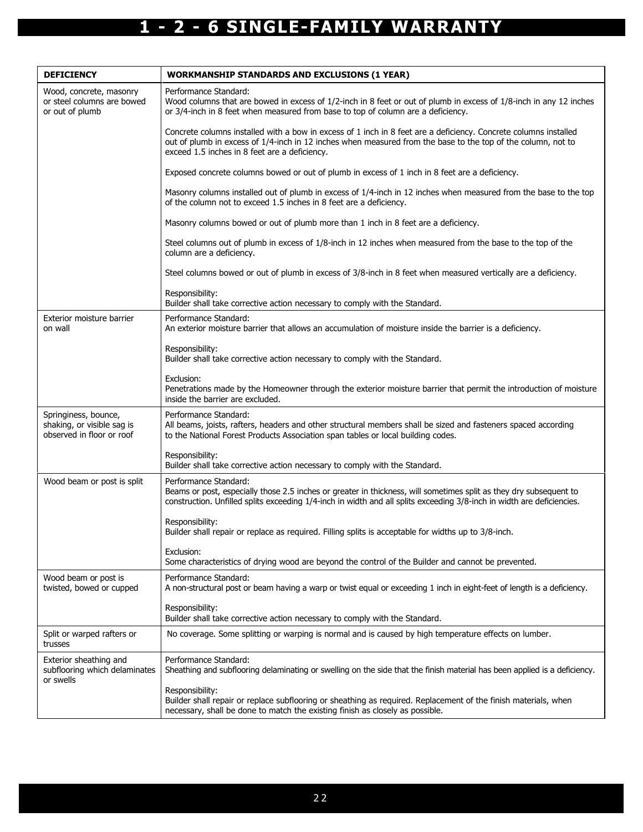| <b>DEFICIENCY</b>                                                               | <b>WORKMANSHIP STANDARDS AND EXCLUSIONS (1 YEAR)</b>                                                                                                                                                                                                                              |
|---------------------------------------------------------------------------------|-----------------------------------------------------------------------------------------------------------------------------------------------------------------------------------------------------------------------------------------------------------------------------------|
| Wood, concrete, masonry<br>or steel columns are bowed<br>or out of plumb        | Performance Standard:<br>Wood columns that are bowed in excess of 1/2-inch in 8 feet or out of plumb in excess of 1/8-inch in any 12 inches<br>or 3/4-inch in 8 feet when measured from base to top of column are a deficiency.                                                   |
|                                                                                 | Concrete columns installed with a bow in excess of 1 inch in 8 feet are a deficiency. Concrete columns installed<br>out of plumb in excess of 1/4-inch in 12 inches when measured from the base to the top of the column, not to<br>exceed 1.5 inches in 8 feet are a deficiency. |
|                                                                                 | Exposed concrete columns bowed or out of plumb in excess of 1 inch in 8 feet are a deficiency.                                                                                                                                                                                    |
|                                                                                 | Masonry columns installed out of plumb in excess of 1/4-inch in 12 inches when measured from the base to the top<br>of the column not to exceed 1.5 inches in 8 feet are a deficiency.                                                                                            |
|                                                                                 | Masonry columns bowed or out of plumb more than 1 inch in 8 feet are a deficiency.                                                                                                                                                                                                |
|                                                                                 | Steel columns out of plumb in excess of 1/8-inch in 12 inches when measured from the base to the top of the<br>column are a deficiency.                                                                                                                                           |
|                                                                                 | Steel columns bowed or out of plumb in excess of 3/8-inch in 8 feet when measured vertically are a deficiency.                                                                                                                                                                    |
|                                                                                 | Responsibility:<br>Builder shall take corrective action necessary to comply with the Standard.                                                                                                                                                                                    |
| Exterior moisture barrier<br>on wall                                            | Performance Standard:<br>An exterior moisture barrier that allows an accumulation of moisture inside the barrier is a deficiency.                                                                                                                                                 |
|                                                                                 | Responsibility:<br>Builder shall take corrective action necessary to comply with the Standard.                                                                                                                                                                                    |
|                                                                                 | Exclusion:<br>Penetrations made by the Homeowner through the exterior moisture barrier that permit the introduction of moisture<br>inside the barrier are excluded.                                                                                                               |
| Springiness, bounce,<br>shaking, or visible sag is<br>observed in floor or roof | Performance Standard:<br>All beams, joists, rafters, headers and other structural members shall be sized and fasteners spaced according<br>to the National Forest Products Association span tables or local building codes.                                                       |
|                                                                                 | Responsibility:<br>Builder shall take corrective action necessary to comply with the Standard.                                                                                                                                                                                    |
| Wood beam or post is split                                                      | Performance Standard:<br>Beams or post, especially those 2.5 inches or greater in thickness, will sometimes split as they dry subsequent to<br>construction. Unfilled splits exceeding 1/4-inch in width and all splits exceeding 3/8-inch in width are deficiencies.             |
|                                                                                 | Responsibility:<br>Builder shall repair or replace as required. Filling splits is acceptable for widths up to 3/8-inch.                                                                                                                                                           |
|                                                                                 | Exclusion:<br>Some characteristics of drying wood are beyond the control of the Builder and cannot be prevented.                                                                                                                                                                  |
| Wood beam or post is<br>twisted, bowed or cupped                                | Performance Standard:<br>A non-structural post or beam having a warp or twist equal or exceeding 1 inch in eight-feet of length is a deficiency.                                                                                                                                  |
|                                                                                 | Responsibility:<br>Builder shall take corrective action necessary to comply with the Standard.                                                                                                                                                                                    |
| Split or warped rafters or<br>trusses                                           | No coverage. Some splitting or warping is normal and is caused by high temperature effects on lumber.                                                                                                                                                                             |
| Exterior sheathing and<br>subflooring which delaminates<br>or swells            | Performance Standard:<br>Sheathing and subflooring delaminating or swelling on the side that the finish material has been applied is a deficiency.                                                                                                                                |
|                                                                                 | Responsibility:<br>Builder shall repair or replace subflooring or sheathing as required. Replacement of the finish materials, when<br>necessary, shall be done to match the existing finish as closely as possible.                                                               |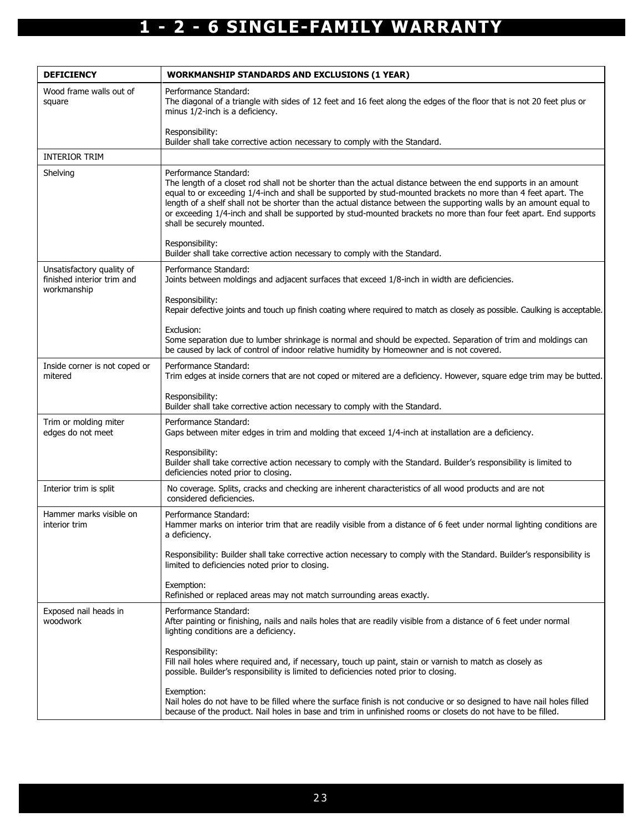| <b>DEFICIENCY</b>                                                      | <b>WORKMANSHIP STANDARDS AND EXCLUSIONS (1 YEAR)</b>                                                                                                                                                                                                                                                                                                                                                                                                                                                                             |
|------------------------------------------------------------------------|----------------------------------------------------------------------------------------------------------------------------------------------------------------------------------------------------------------------------------------------------------------------------------------------------------------------------------------------------------------------------------------------------------------------------------------------------------------------------------------------------------------------------------|
| Wood frame walls out of<br>square                                      | Performance Standard:<br>The diagonal of a triangle with sides of 12 feet and 16 feet along the edges of the floor that is not 20 feet plus or<br>minus 1/2-inch is a deficiency.                                                                                                                                                                                                                                                                                                                                                |
|                                                                        | Responsibility:<br>Builder shall take corrective action necessary to comply with the Standard.                                                                                                                                                                                                                                                                                                                                                                                                                                   |
| <b>INTERIOR TRIM</b>                                                   |                                                                                                                                                                                                                                                                                                                                                                                                                                                                                                                                  |
| Shelving                                                               | Performance Standard:<br>The length of a closet rod shall not be shorter than the actual distance between the end supports in an amount<br>equal to or exceeding 1/4-inch and shall be supported by stud-mounted brackets no more than 4 feet apart. The<br>length of a shelf shall not be shorter than the actual distance between the supporting walls by an amount equal to<br>or exceeding 1/4-inch and shall be supported by stud-mounted brackets no more than four feet apart. End supports<br>shall be securely mounted. |
|                                                                        | Responsibility:<br>Builder shall take corrective action necessary to comply with the Standard.                                                                                                                                                                                                                                                                                                                                                                                                                                   |
| Unsatisfactory quality of<br>finished interior trim and<br>workmanship | Performance Standard:<br>Joints between moldings and adjacent surfaces that exceed 1/8-inch in width are deficiencies.                                                                                                                                                                                                                                                                                                                                                                                                           |
|                                                                        | Responsibility:<br>Repair defective joints and touch up finish coating where required to match as closely as possible. Caulking is acceptable.                                                                                                                                                                                                                                                                                                                                                                                   |
|                                                                        | Exclusion:<br>Some separation due to lumber shrinkage is normal and should be expected. Separation of trim and moldings can<br>be caused by lack of control of indoor relative humidity by Homeowner and is not covered.                                                                                                                                                                                                                                                                                                         |
| Inside corner is not coped or<br>mitered                               | Performance Standard:<br>Trim edges at inside corners that are not coped or mitered are a deficiency. However, square edge trim may be butted.                                                                                                                                                                                                                                                                                                                                                                                   |
|                                                                        | Responsibility:<br>Builder shall take corrective action necessary to comply with the Standard.                                                                                                                                                                                                                                                                                                                                                                                                                                   |
| Trim or molding miter<br>edges do not meet                             | Performance Standard:<br>Gaps between miter edges in trim and molding that exceed 1/4-inch at installation are a deficiency.                                                                                                                                                                                                                                                                                                                                                                                                     |
|                                                                        | Responsibility:<br>Builder shall take corrective action necessary to comply with the Standard. Builder's responsibility is limited to<br>deficiencies noted prior to closing.                                                                                                                                                                                                                                                                                                                                                    |
| Interior trim is split                                                 | No coverage. Splits, cracks and checking are inherent characteristics of all wood products and are not<br>considered deficiencies.                                                                                                                                                                                                                                                                                                                                                                                               |
| Hammer marks visible on<br>interior trim                               | Performance Standard:<br>Hammer marks on interior trim that are readily visible from a distance of 6 feet under normal lighting conditions are<br>a deficiency.                                                                                                                                                                                                                                                                                                                                                                  |
|                                                                        | Responsibility: Builder shall take corrective action necessary to comply with the Standard. Builder's responsibility is<br>limited to deficiencies noted prior to closing.                                                                                                                                                                                                                                                                                                                                                       |
|                                                                        | Exemption:<br>Refinished or replaced areas may not match surrounding areas exactly.                                                                                                                                                                                                                                                                                                                                                                                                                                              |
| Exposed nail heads in<br>woodwork                                      | Performance Standard:<br>After painting or finishing, nails and nails holes that are readily visible from a distance of 6 feet under normal<br>lighting conditions are a deficiency.                                                                                                                                                                                                                                                                                                                                             |
|                                                                        | Responsibility:<br>Fill nail holes where required and, if necessary, touch up paint, stain or varnish to match as closely as<br>possible. Builder's responsibility is limited to deficiencies noted prior to closing.                                                                                                                                                                                                                                                                                                            |
|                                                                        | Exemption:<br>Nail holes do not have to be filled where the surface finish is not conducive or so designed to have nail holes filled<br>because of the product. Nail holes in base and trim in unfinished rooms or closets do not have to be filled.                                                                                                                                                                                                                                                                             |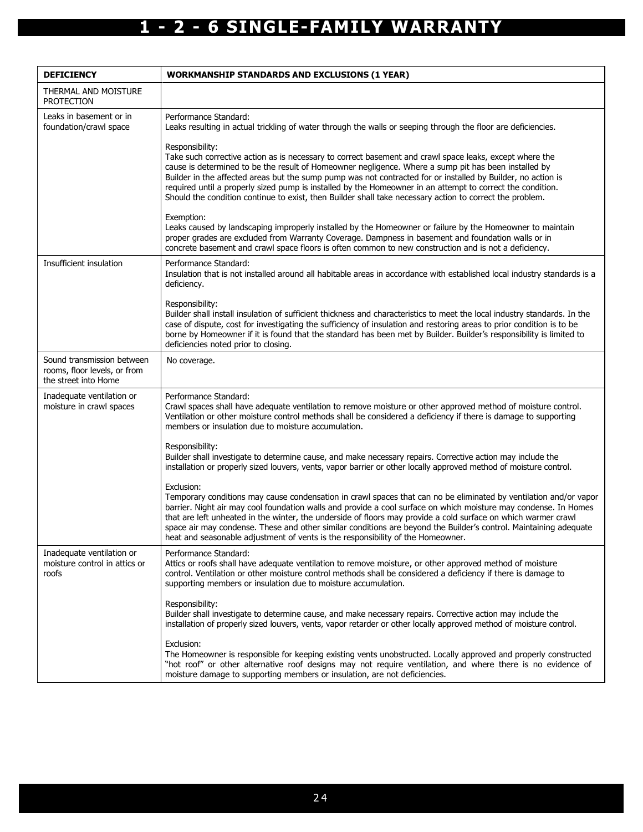| <b>DEFICIENCY</b>                                                                  | <b>WORKMANSHIP STANDARDS AND EXCLUSIONS (1 YEAR)</b>                                                                                                                                                                                                                                                                                                                                                                                                                                                                                                                          |
|------------------------------------------------------------------------------------|-------------------------------------------------------------------------------------------------------------------------------------------------------------------------------------------------------------------------------------------------------------------------------------------------------------------------------------------------------------------------------------------------------------------------------------------------------------------------------------------------------------------------------------------------------------------------------|
| THERMAL AND MOISTURE<br><b>PROTECTION</b>                                          |                                                                                                                                                                                                                                                                                                                                                                                                                                                                                                                                                                               |
| Leaks in basement or in<br>foundation/crawl space                                  | Performance Standard:<br>Leaks resulting in actual trickling of water through the walls or seeping through the floor are deficiencies.                                                                                                                                                                                                                                                                                                                                                                                                                                        |
|                                                                                    | Responsibility:<br>Take such corrective action as is necessary to correct basement and crawl space leaks, except where the<br>cause is determined to be the result of Homeowner negligence. Where a sump pit has been installed by<br>Builder in the affected areas but the sump pump was not contracted for or installed by Builder, no action is<br>required until a properly sized pump is installed by the Homeowner in an attempt to correct the condition.<br>Should the condition continue to exist, then Builder shall take necessary action to correct the problem.  |
|                                                                                    | Exemption:<br>Leaks caused by landscaping improperly installed by the Homeowner or failure by the Homeowner to maintain<br>proper grades are excluded from Warranty Coverage. Dampness in basement and foundation walls or in<br>concrete basement and crawl space floors is often common to new construction and is not a deficiency.                                                                                                                                                                                                                                        |
| Insufficient insulation                                                            | Performance Standard:<br>Insulation that is not installed around all habitable areas in accordance with established local industry standards is a<br>deficiency.                                                                                                                                                                                                                                                                                                                                                                                                              |
|                                                                                    | Responsibility:<br>Builder shall install insulation of sufficient thickness and characteristics to meet the local industry standards. In the<br>case of dispute, cost for investigating the sufficiency of insulation and restoring areas to prior condition is to be<br>borne by Homeowner if it is found that the standard has been met by Builder. Builder's responsibility is limited to<br>deficiencies noted prior to closing.                                                                                                                                          |
| Sound transmission between<br>rooms, floor levels, or from<br>the street into Home | No coverage.                                                                                                                                                                                                                                                                                                                                                                                                                                                                                                                                                                  |
| Inadequate ventilation or<br>moisture in crawl spaces                              | Performance Standard:<br>Crawl spaces shall have adequate ventilation to remove moisture or other approved method of moisture control.<br>Ventilation or other moisture control methods shall be considered a deficiency if there is damage to supporting<br>members or insulation due to moisture accumulation.                                                                                                                                                                                                                                                              |
|                                                                                    | Responsibility:<br>Builder shall investigate to determine cause, and make necessary repairs. Corrective action may include the<br>installation or properly sized louvers, vents, vapor barrier or other locally approved method of moisture control.                                                                                                                                                                                                                                                                                                                          |
|                                                                                    | Exclusion:<br>Temporary conditions may cause condensation in crawl spaces that can no be eliminated by ventilation and/or vapor<br>barrier. Night air may cool foundation walls and provide a cool surface on which moisture may condense. In Homes<br>that are left unheated in the winter, the underside of floors may provide a cold surface on which warmer crawl<br>space air may condense. These and other similar conditions are beyond the Builder's control. Maintaining adequate<br>heat and seasonable adjustment of vents is the responsibility of the Homeowner. |
| Inadequate ventilation or<br>moisture control in attics or<br>roofs                | Performance Standard:<br>Attics or roofs shall have adequate ventilation to remove moisture, or other approved method of moisture<br>control. Ventilation or other moisture control methods shall be considered a deficiency if there is damage to<br>supporting members or insulation due to moisture accumulation.                                                                                                                                                                                                                                                          |
|                                                                                    | Responsibility:<br>Builder shall investigate to determine cause, and make necessary repairs. Corrective action may include the<br>installation of properly sized louvers, vents, vapor retarder or other locally approved method of moisture control.                                                                                                                                                                                                                                                                                                                         |
|                                                                                    | Exclusion:<br>The Homeowner is responsible for keeping existing vents unobstructed. Locally approved and properly constructed<br>"hot roof" or other alternative roof designs may not require ventilation, and where there is no evidence of<br>moisture damage to supporting members or insulation, are not deficiencies.                                                                                                                                                                                                                                                    |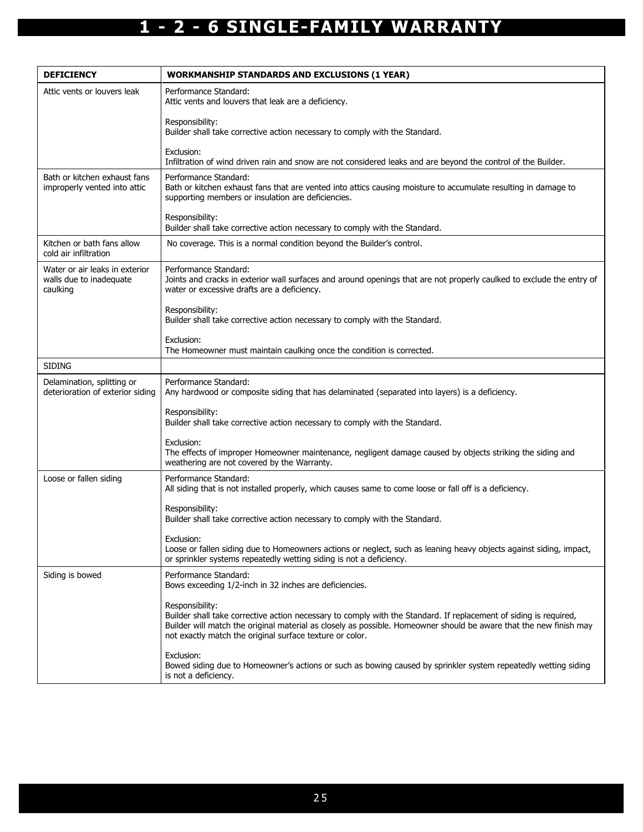| <b>DEFICIENCY</b>                                                     | <b>WORKMANSHIP STANDARDS AND EXCLUSIONS (1 YEAR)</b>                                                                                                                                                                                                                                                                   |
|-----------------------------------------------------------------------|------------------------------------------------------------------------------------------------------------------------------------------------------------------------------------------------------------------------------------------------------------------------------------------------------------------------|
| Attic vents or louvers leak                                           | Performance Standard:<br>Attic vents and louvers that leak are a deficiency.                                                                                                                                                                                                                                           |
|                                                                       | Responsibility:<br>Builder shall take corrective action necessary to comply with the Standard.                                                                                                                                                                                                                         |
|                                                                       | Exclusion:<br>Infiltration of wind driven rain and snow are not considered leaks and are beyond the control of the Builder.                                                                                                                                                                                            |
| Bath or kitchen exhaust fans<br>improperly vented into attic          | Performance Standard:<br>Bath or kitchen exhaust fans that are vented into attics causing moisture to accumulate resulting in damage to<br>supporting members or insulation are deficiencies.                                                                                                                          |
|                                                                       | Responsibility:<br>Builder shall take corrective action necessary to comply with the Standard.                                                                                                                                                                                                                         |
| Kitchen or bath fans allow<br>cold air infiltration                   | No coverage. This is a normal condition beyond the Builder's control.                                                                                                                                                                                                                                                  |
| Water or air leaks in exterior<br>walls due to inadequate<br>caulking | Performance Standard:<br>Joints and cracks in exterior wall surfaces and around openings that are not properly caulked to exclude the entry of<br>water or excessive drafts are a deficiency.                                                                                                                          |
|                                                                       | Responsibility:<br>Builder shall take corrective action necessary to comply with the Standard.                                                                                                                                                                                                                         |
|                                                                       | Exclusion:<br>The Homeowner must maintain caulking once the condition is corrected.                                                                                                                                                                                                                                    |
| <b>SIDING</b>                                                         |                                                                                                                                                                                                                                                                                                                        |
| Delamination, splitting or<br>deterioration of exterior siding        | Performance Standard:<br>Any hardwood or composite siding that has delaminated (separated into layers) is a deficiency.                                                                                                                                                                                                |
|                                                                       | Responsibility:<br>Builder shall take corrective action necessary to comply with the Standard.                                                                                                                                                                                                                         |
|                                                                       | Exclusion:<br>The effects of improper Homeowner maintenance, negligent damage caused by objects striking the siding and<br>weathering are not covered by the Warranty.                                                                                                                                                 |
| Loose or fallen siding                                                | Performance Standard:<br>All siding that is not installed properly, which causes same to come loose or fall off is a deficiency.                                                                                                                                                                                       |
|                                                                       | Responsibility:<br>Builder shall take corrective action necessary to comply with the Standard.                                                                                                                                                                                                                         |
|                                                                       | Exclusion:<br>Loose or fallen siding due to Homeowners actions or neglect, such as leaning heavy objects against siding, impact,<br>or sprinkler systems repeatedly wetting siding is not a deficiency.                                                                                                                |
| Siding is bowed                                                       | Performance Standard:<br>Bows exceeding 1/2-inch in 32 inches are deficiencies.                                                                                                                                                                                                                                        |
|                                                                       | Responsibility:<br>Builder shall take corrective action necessary to comply with the Standard. If replacement of siding is required,<br>Builder will match the original material as closely as possible. Homeowner should be aware that the new finish may<br>not exactly match the original surface texture or color. |
|                                                                       | Exclusion:<br>Bowed siding due to Homeowner's actions or such as bowing caused by sprinkler system repeatedly wetting siding<br>is not a deficiency.                                                                                                                                                                   |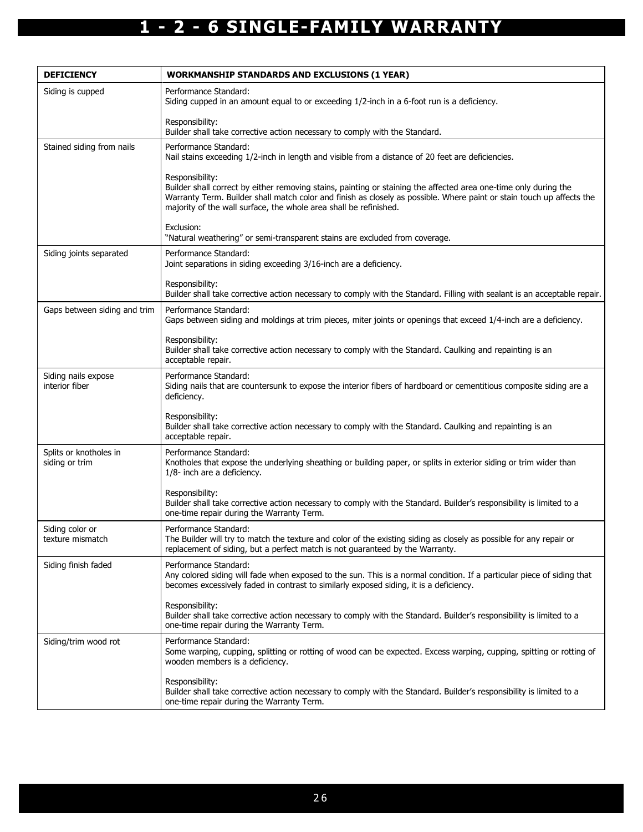| <b>DEFICIENCY</b>                        | <b>WORKMANSHIP STANDARDS AND EXCLUSIONS (1 YEAR)</b>                                                                                                                                                                                                                                                                              |
|------------------------------------------|-----------------------------------------------------------------------------------------------------------------------------------------------------------------------------------------------------------------------------------------------------------------------------------------------------------------------------------|
| Siding is cupped                         | Performance Standard:<br>Siding cupped in an amount equal to or exceeding 1/2-inch in a 6-foot run is a deficiency.                                                                                                                                                                                                               |
|                                          | Responsibility:<br>Builder shall take corrective action necessary to comply with the Standard.                                                                                                                                                                                                                                    |
| Stained siding from nails                | Performance Standard:<br>Nail stains exceeding 1/2-inch in length and visible from a distance of 20 feet are deficiencies.                                                                                                                                                                                                        |
|                                          | Responsibility:<br>Builder shall correct by either removing stains, painting or staining the affected area one-time only during the<br>Warranty Term. Builder shall match color and finish as closely as possible. Where paint or stain touch up affects the<br>majority of the wall surface, the whole area shall be refinished. |
|                                          | Exclusion:<br>"Natural weathering" or semi-transparent stains are excluded from coverage.                                                                                                                                                                                                                                         |
| Siding joints separated                  | Performance Standard:<br>Joint separations in siding exceeding 3/16-inch are a deficiency.                                                                                                                                                                                                                                        |
|                                          | Responsibility:<br>Builder shall take corrective action necessary to comply with the Standard. Filling with sealant is an acceptable repair.                                                                                                                                                                                      |
| Gaps between siding and trim             | Performance Standard:<br>Gaps between siding and moldings at trim pieces, miter joints or openings that exceed 1/4-inch are a deficiency.                                                                                                                                                                                         |
|                                          | Responsibility:<br>Builder shall take corrective action necessary to comply with the Standard. Caulking and repainting is an<br>acceptable repair.                                                                                                                                                                                |
| Siding nails expose<br>interior fiber    | Performance Standard:<br>Siding nails that are countersunk to expose the interior fibers of hardboard or cementitious composite siding are a<br>deficiency.                                                                                                                                                                       |
|                                          | Responsibility:<br>Builder shall take corrective action necessary to comply with the Standard. Caulking and repainting is an<br>acceptable repair.                                                                                                                                                                                |
| Splits or knotholes in<br>siding or trim | Performance Standard:<br>Knotholes that expose the underlying sheathing or building paper, or splits in exterior siding or trim wider than<br>1/8- inch are a deficiency.                                                                                                                                                         |
|                                          | Responsibility:<br>Builder shall take corrective action necessary to comply with the Standard. Builder's responsibility is limited to a<br>one-time repair during the Warranty Term.                                                                                                                                              |
| Siding color or<br>texture mismatch      | Performance Standard:<br>The Builder will try to match the texture and color of the existing siding as closely as possible for any repair or<br>replacement of siding, but a perfect match is not guaranteed by the Warranty.                                                                                                     |
| Siding finish faded                      | Performance Standard:<br>Any colored siding will fade when exposed to the sun. This is a normal condition. If a particular piece of siding that<br>becomes excessively faded in contrast to similarly exposed siding, it is a deficiency.                                                                                         |
|                                          | Responsibility:<br>Builder shall take corrective action necessary to comply with the Standard. Builder's responsibility is limited to a<br>one-time repair during the Warranty Term.                                                                                                                                              |
| Siding/trim wood rot                     | Performance Standard:<br>Some warping, cupping, splitting or rotting of wood can be expected. Excess warping, cupping, spitting or rotting of<br>wooden members is a deficiency.                                                                                                                                                  |
|                                          | Responsibility:<br>Builder shall take corrective action necessary to comply with the Standard. Builder's responsibility is limited to a<br>one-time repair during the Warranty Term.                                                                                                                                              |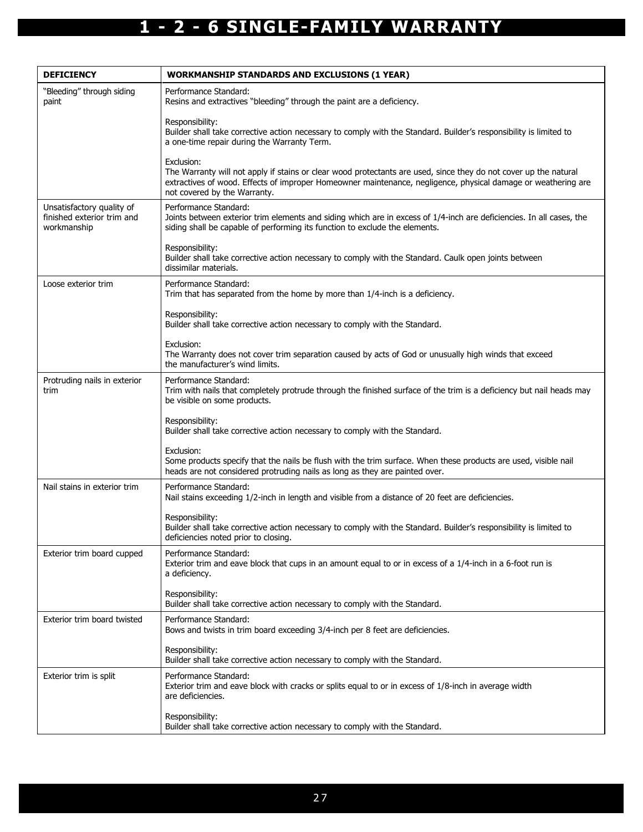| <b>DEFICIENCY</b>                                                      | <b>WORKMANSHIP STANDARDS AND EXCLUSIONS (1 YEAR)</b>                                                                                                                                                                                                                            |
|------------------------------------------------------------------------|---------------------------------------------------------------------------------------------------------------------------------------------------------------------------------------------------------------------------------------------------------------------------------|
| "Bleeding" through siding<br>paint                                     | Performance Standard:<br>Resins and extractives "bleeding" through the paint are a deficiency.                                                                                                                                                                                  |
|                                                                        | Responsibility:<br>Builder shall take corrective action necessary to comply with the Standard. Builder's responsibility is limited to<br>a one-time repair during the Warranty Term.                                                                                            |
|                                                                        | Exclusion:<br>The Warranty will not apply if stains or clear wood protectants are used, since they do not cover up the natural<br>extractives of wood. Effects of improper Homeowner maintenance, negligence, physical damage or weathering are<br>not covered by the Warranty. |
| Unsatisfactory quality of<br>finished exterior trim and<br>workmanship | Performance Standard:<br>Joints between exterior trim elements and siding which are in excess of 1/4-inch are deficiencies. In all cases, the<br>siding shall be capable of performing its function to exclude the elements.                                                    |
|                                                                        | Responsibility:<br>Builder shall take corrective action necessary to comply with the Standard. Caulk open joints between<br>dissimilar materials.                                                                                                                               |
| Loose exterior trim                                                    | Performance Standard:<br>Trim that has separated from the home by more than 1/4-inch is a deficiency.                                                                                                                                                                           |
|                                                                        | Responsibility:<br>Builder shall take corrective action necessary to comply with the Standard.                                                                                                                                                                                  |
|                                                                        | Exclusion:<br>The Warranty does not cover trim separation caused by acts of God or unusually high winds that exceed<br>the manufacturer's wind limits.                                                                                                                          |
| Protruding nails in exterior<br>trim                                   | Performance Standard:<br>Trim with nails that completely protrude through the finished surface of the trim is a deficiency but nail heads may<br>be visible on some products.                                                                                                   |
|                                                                        | Responsibility:<br>Builder shall take corrective action necessary to comply with the Standard.                                                                                                                                                                                  |
|                                                                        | Exclusion:<br>Some products specify that the nails be flush with the trim surface. When these products are used, visible nail<br>heads are not considered protruding nails as long as they are painted over.                                                                    |
| Nail stains in exterior trim                                           | Performance Standard:<br>Nail stains exceeding 1/2-inch in length and visible from a distance of 20 feet are deficiencies.                                                                                                                                                      |
|                                                                        | Responsibility:<br>Builder shall take corrective action necessary to comply with the Standard. Builder's responsibility is limited to<br>deficiencies noted prior to closing.                                                                                                   |
| Exterior trim board cupped                                             | Performance Standard:<br>Exterior trim and eave block that cups in an amount equal to or in excess of a 1/4-inch in a 6-foot run is<br>a deficiency.                                                                                                                            |
|                                                                        | Responsibility:<br>Builder shall take corrective action necessary to comply with the Standard.                                                                                                                                                                                  |
| Exterior trim board twisted                                            | Performance Standard:<br>Bows and twists in trim board exceeding 3/4-inch per 8 feet are deficiencies.                                                                                                                                                                          |
|                                                                        | Responsibility:<br>Builder shall take corrective action necessary to comply with the Standard.                                                                                                                                                                                  |
| Exterior trim is split                                                 | Performance Standard:<br>Exterior trim and eave block with cracks or splits equal to or in excess of 1/8-inch in average width<br>are deficiencies.                                                                                                                             |
|                                                                        | Responsibility:<br>Builder shall take corrective action necessary to comply with the Standard.                                                                                                                                                                                  |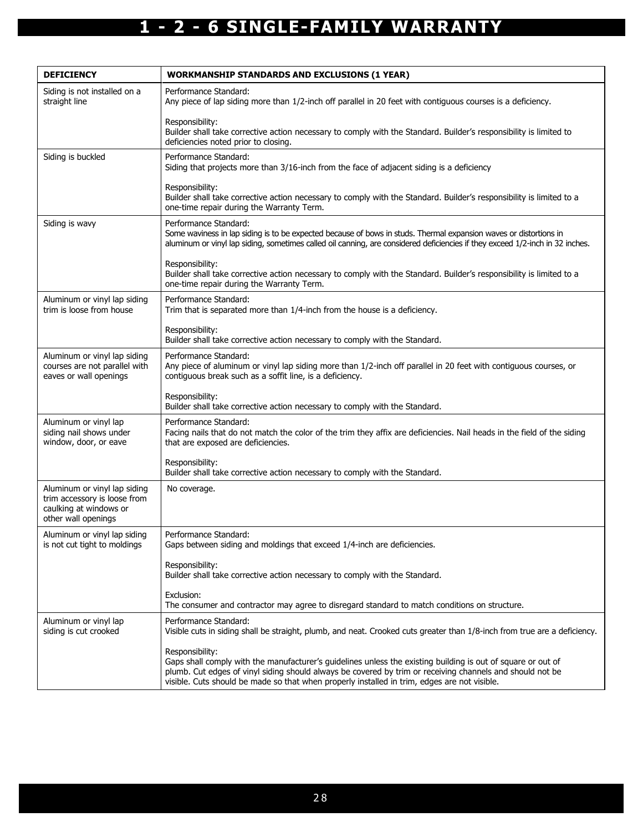| <b>DEFICIENCY</b>                                                                                             | <b>WORKMANSHIP STANDARDS AND EXCLUSIONS (1 YEAR)</b>                                                                                                                                                                                                                                                                                         |
|---------------------------------------------------------------------------------------------------------------|----------------------------------------------------------------------------------------------------------------------------------------------------------------------------------------------------------------------------------------------------------------------------------------------------------------------------------------------|
| Siding is not installed on a<br>straight line                                                                 | Performance Standard:<br>Any piece of lap siding more than 1/2-inch off parallel in 20 feet with contiguous courses is a deficiency.                                                                                                                                                                                                         |
|                                                                                                               | Responsibility:<br>Builder shall take corrective action necessary to comply with the Standard. Builder's responsibility is limited to<br>deficiencies noted prior to closing.                                                                                                                                                                |
| Siding is buckled                                                                                             | Performance Standard:<br>Siding that projects more than 3/16-inch from the face of adjacent siding is a deficiency                                                                                                                                                                                                                           |
|                                                                                                               | Responsibility:<br>Builder shall take corrective action necessary to comply with the Standard. Builder's responsibility is limited to a<br>one-time repair during the Warranty Term.                                                                                                                                                         |
| Siding is wavy                                                                                                | Performance Standard:<br>Some waviness in lap siding is to be expected because of bows in studs. Thermal expansion waves or distortions in<br>aluminum or vinyl lap siding, sometimes called oil canning, are considered deficiencies if they exceed 1/2-inch in 32 inches.                                                                  |
|                                                                                                               | Responsibility:<br>Builder shall take corrective action necessary to comply with the Standard. Builder's responsibility is limited to a<br>one-time repair during the Warranty Term.                                                                                                                                                         |
| Aluminum or vinyl lap siding<br>trim is loose from house                                                      | Performance Standard:<br>Trim that is separated more than 1/4-inch from the house is a deficiency.                                                                                                                                                                                                                                           |
|                                                                                                               | Responsibility:<br>Builder shall take corrective action necessary to comply with the Standard.                                                                                                                                                                                                                                               |
| Aluminum or vinyl lap siding<br>courses are not parallel with<br>eaves or wall openings                       | Performance Standard:<br>Any piece of aluminum or vinyl lap siding more than 1/2-inch off parallel in 20 feet with contiguous courses, or<br>contiguous break such as a soffit line, is a deficiency.                                                                                                                                        |
|                                                                                                               | Responsibility:<br>Builder shall take corrective action necessary to comply with the Standard.                                                                                                                                                                                                                                               |
| Aluminum or vinyl lap<br>siding nail shows under<br>window, door, or eave                                     | Performance Standard:<br>Facing nails that do not match the color of the trim they affix are deficiencies. Nail heads in the field of the siding<br>that are exposed are deficiencies.                                                                                                                                                       |
|                                                                                                               | Responsibility:<br>Builder shall take corrective action necessary to comply with the Standard.                                                                                                                                                                                                                                               |
| Aluminum or vinyl lap siding<br>trim accessory is loose from<br>caulking at windows or<br>other wall openings | No coverage.                                                                                                                                                                                                                                                                                                                                 |
| Aluminum or vinyl lap siding<br>is not cut tight to moldings                                                  | Performance Standard:<br>Gaps between siding and moldings that exceed 1/4-inch are deficiencies.                                                                                                                                                                                                                                             |
|                                                                                                               | Responsibility:<br>Builder shall take corrective action necessary to comply with the Standard.                                                                                                                                                                                                                                               |
|                                                                                                               | Exclusion:<br>The consumer and contractor may agree to disregard standard to match conditions on structure.                                                                                                                                                                                                                                  |
| Aluminum or vinyl lap<br>siding is cut crooked                                                                | Performance Standard:<br>Visible cuts in siding shall be straight, plumb, and neat. Crooked cuts greater than 1/8-inch from true are a deficiency.                                                                                                                                                                                           |
|                                                                                                               | Responsibility:<br>Gaps shall comply with the manufacturer's guidelines unless the existing building is out of square or out of<br>plumb. Cut edges of vinyl siding should always be covered by trim or receiving channels and should not be<br>visible. Cuts should be made so that when properly installed in trim, edges are not visible. |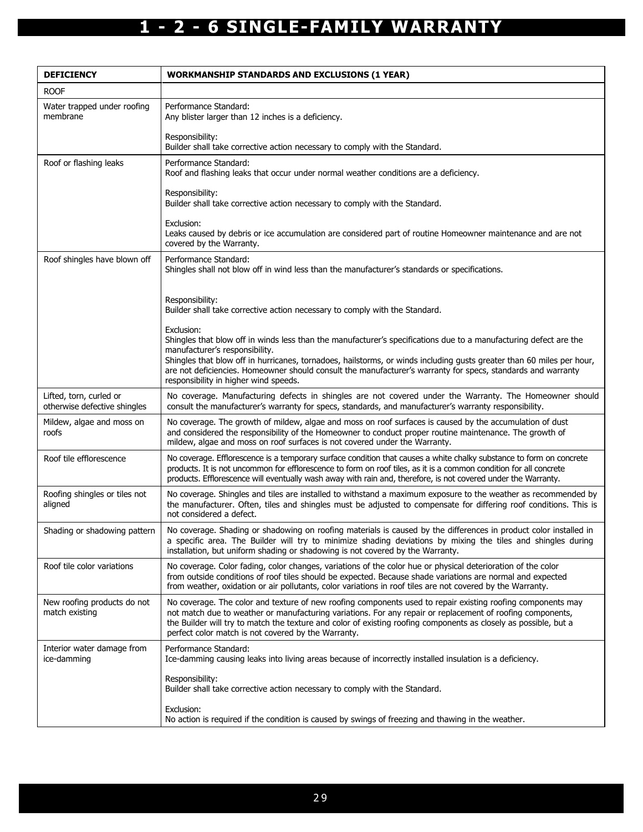| <b>DEFICIENCY</b>                                       | <b>WORKMANSHIP STANDARDS AND EXCLUSIONS (1 YEAR)</b>                                                                                                                                                                                                                                                                                                                                                 |
|---------------------------------------------------------|------------------------------------------------------------------------------------------------------------------------------------------------------------------------------------------------------------------------------------------------------------------------------------------------------------------------------------------------------------------------------------------------------|
| <b>ROOF</b>                                             |                                                                                                                                                                                                                                                                                                                                                                                                      |
| Water trapped under roofing<br>membrane                 | Performance Standard:<br>Any blister larger than 12 inches is a deficiency.                                                                                                                                                                                                                                                                                                                          |
|                                                         | Responsibility:<br>Builder shall take corrective action necessary to comply with the Standard.                                                                                                                                                                                                                                                                                                       |
| Roof or flashing leaks                                  | Performance Standard:<br>Roof and flashing leaks that occur under normal weather conditions are a deficiency.                                                                                                                                                                                                                                                                                        |
|                                                         | Responsibility:<br>Builder shall take corrective action necessary to comply with the Standard.                                                                                                                                                                                                                                                                                                       |
|                                                         | Exclusion:<br>Leaks caused by debris or ice accumulation are considered part of routine Homeowner maintenance and are not<br>covered by the Warranty.                                                                                                                                                                                                                                                |
| Roof shingles have blown off                            | Performance Standard:<br>Shingles shall not blow off in wind less than the manufacturer's standards or specifications.                                                                                                                                                                                                                                                                               |
|                                                         | Responsibility:<br>Builder shall take corrective action necessary to comply with the Standard.                                                                                                                                                                                                                                                                                                       |
|                                                         | Exclusion:<br>Shingles that blow off in winds less than the manufacturer's specifications due to a manufacturing defect are the<br>manufacturer's responsibility.<br>Shingles that blow off in hurricanes, tornadoes, hailstorms, or winds including gusts greater than 60 miles per hour,                                                                                                           |
|                                                         | are not deficiencies. Homeowner should consult the manufacturer's warranty for specs, standards and warranty<br>responsibility in higher wind speeds.                                                                                                                                                                                                                                                |
| Lifted, torn, curled or<br>otherwise defective shingles | No coverage. Manufacturing defects in shingles are not covered under the Warranty. The Homeowner should<br>consult the manufacturer's warranty for specs, standards, and manufacturer's warranty responsibility.                                                                                                                                                                                     |
| Mildew, algae and moss on<br>roofs                      | No coverage. The growth of mildew, algae and moss on roof surfaces is caused by the accumulation of dust<br>and considered the responsibility of the Homeowner to conduct proper routine maintenance. The growth of<br>mildew, algae and moss on roof surfaces is not covered under the Warranty.                                                                                                    |
| Roof tile efflorescence                                 | No coverage. Efflorescence is a temporary surface condition that causes a white chalky substance to form on concrete<br>products. It is not uncommon for efflorescence to form on roof tiles, as it is a common condition for all concrete<br>products. Efflorescence will eventually wash away with rain and, therefore, is not covered under the Warranty.                                         |
| Roofing shingles or tiles not<br>aligned                | No coverage. Shingles and tiles are installed to withstand a maximum exposure to the weather as recommended by<br>the manufacturer. Often, tiles and shingles must be adjusted to compensate for differing roof conditions. This is<br>not considered a defect.                                                                                                                                      |
| Shading or shadowing pattern                            | No coverage. Shading or shadowing on roofing materials is caused by the differences in product color installed in<br>a specific area. The Builder will try to minimize shading deviations by mixing the tiles and shingles during<br>installation, but uniform shading or shadowing is not covered by the Warranty.                                                                                  |
| Roof tile color variations                              | No coverage. Color fading, color changes, variations of the color hue or physical deterioration of the color<br>from outside conditions of roof tiles should be expected. Because shade variations are normal and expected<br>from weather, oxidation or air pollutants, color variations in roof tiles are not covered by the Warranty.                                                             |
| New roofing products do not<br>match existing           | No coverage. The color and texture of new roofing components used to repair existing roofing components may<br>not match due to weather or manufacturing variations. For any repair or replacement of roofing components,<br>the Builder will try to match the texture and color of existing roofing components as closely as possible, but a<br>perfect color match is not covered by the Warranty. |
| Interior water damage from<br>ice-damming               | Performance Standard:<br>Ice-damming causing leaks into living areas because of incorrectly installed insulation is a deficiency.                                                                                                                                                                                                                                                                    |
|                                                         | Responsibility:<br>Builder shall take corrective action necessary to comply with the Standard.                                                                                                                                                                                                                                                                                                       |
|                                                         | Exclusion:<br>No action is required if the condition is caused by swings of freezing and thawing in the weather.                                                                                                                                                                                                                                                                                     |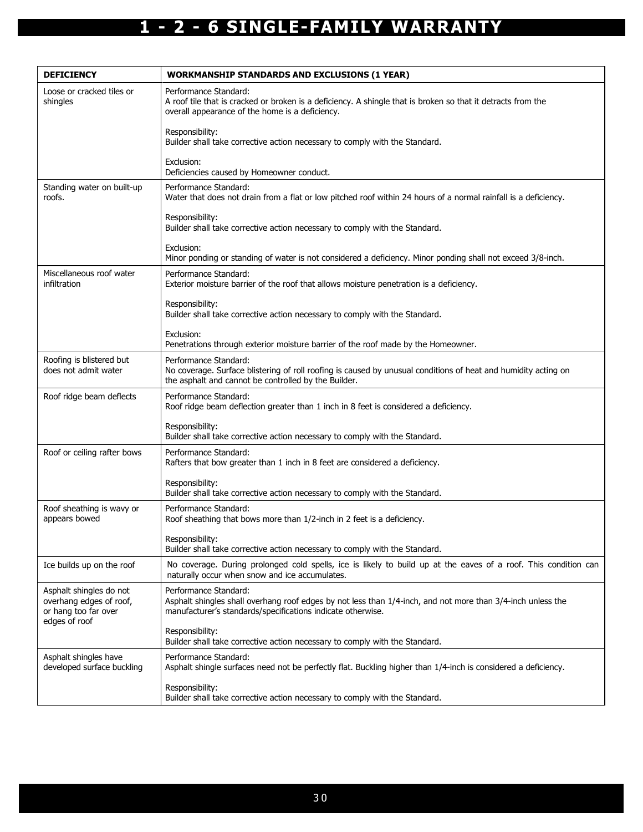| <b>DEFICIENCY</b>                                                                           | <b>WORKMANSHIP STANDARDS AND EXCLUSIONS (1 YEAR)</b>                                                                                                                                                |
|---------------------------------------------------------------------------------------------|-----------------------------------------------------------------------------------------------------------------------------------------------------------------------------------------------------|
| Loose or cracked tiles or<br>shingles                                                       | Performance Standard:<br>A roof tile that is cracked or broken is a deficiency. A shingle that is broken so that it detracts from the<br>overall appearance of the home is a deficiency.            |
|                                                                                             | Responsibility:<br>Builder shall take corrective action necessary to comply with the Standard.                                                                                                      |
|                                                                                             | Exclusion:<br>Deficiencies caused by Homeowner conduct.                                                                                                                                             |
| Standing water on built-up<br>roofs.                                                        | Performance Standard:<br>Water that does not drain from a flat or low pitched roof within 24 hours of a normal rainfall is a deficiency.                                                            |
|                                                                                             | Responsibility:<br>Builder shall take corrective action necessary to comply with the Standard.                                                                                                      |
|                                                                                             | Exclusion:<br>Minor ponding or standing of water is not considered a deficiency. Minor ponding shall not exceed 3/8-inch.                                                                           |
| Miscellaneous roof water<br>infiltration                                                    | Performance Standard:<br>Exterior moisture barrier of the roof that allows moisture penetration is a deficiency.                                                                                    |
|                                                                                             | Responsibility:<br>Builder shall take corrective action necessary to comply with the Standard.                                                                                                      |
|                                                                                             | Exclusion:<br>Penetrations through exterior moisture barrier of the roof made by the Homeowner.                                                                                                     |
| Roofing is blistered but<br>does not admit water                                            | Performance Standard:<br>No coverage. Surface blistering of roll roofing is caused by unusual conditions of heat and humidity acting on<br>the asphalt and cannot be controlled by the Builder.     |
| Roof ridge beam deflects                                                                    | Performance Standard:<br>Roof ridge beam deflection greater than 1 inch in 8 feet is considered a deficiency.                                                                                       |
|                                                                                             | Responsibility:<br>Builder shall take corrective action necessary to comply with the Standard.                                                                                                      |
| Roof or ceiling rafter bows                                                                 | Performance Standard:<br>Rafters that bow greater than 1 inch in 8 feet are considered a deficiency.                                                                                                |
|                                                                                             | Responsibility:<br>Builder shall take corrective action necessary to comply with the Standard.                                                                                                      |
| Roof sheathing is wavy or<br>appears bowed                                                  | Performance Standard:<br>Roof sheathing that bows more than 1/2-inch in 2 feet is a deficiency.                                                                                                     |
|                                                                                             | Responsibility:<br>Builder shall take corrective action necessary to comply with the Standard.                                                                                                      |
| Ice builds up on the roof                                                                   | No coverage. During prolonged cold spells, ice is likely to build up at the eaves of a roof. This condition can<br>naturally occur when snow and ice accumulates.                                   |
| Asphalt shingles do not<br>overhang edges of roof,<br>or hang too far over<br>edges of roof | Performance Standard:<br>Asphalt shingles shall overhang roof edges by not less than 1/4-inch, and not more than 3/4-inch unless the<br>manufacturer's standards/specifications indicate otherwise. |
|                                                                                             | Responsibility:<br>Builder shall take corrective action necessary to comply with the Standard.                                                                                                      |
| Asphalt shingles have<br>developed surface buckling                                         | Performance Standard:<br>Asphalt shingle surfaces need not be perfectly flat. Buckling higher than 1/4-inch is considered a deficiency.                                                             |
|                                                                                             | Responsibility:<br>Builder shall take corrective action necessary to comply with the Standard.                                                                                                      |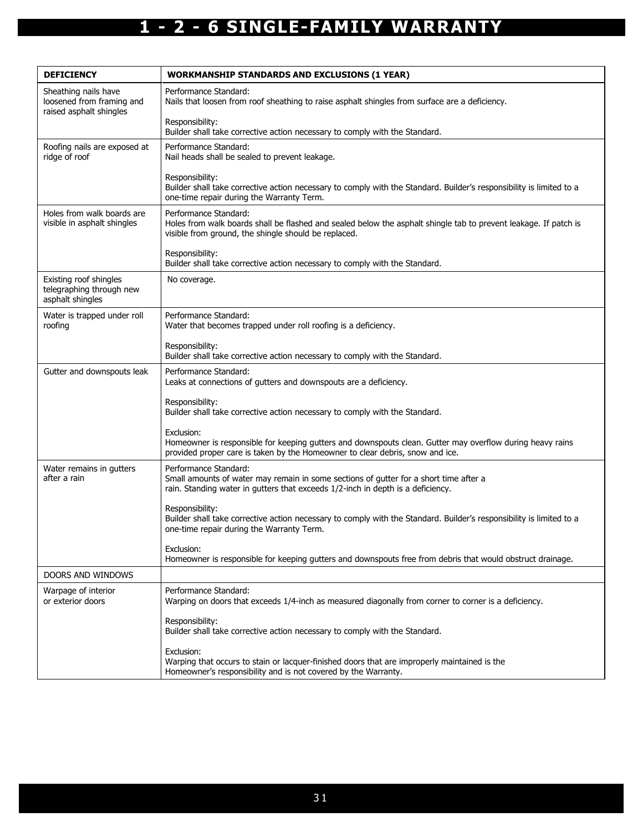| <b>DEFICIENCY</b>                                                            | <b>WORKMANSHIP STANDARDS AND EXCLUSIONS (1 YEAR)</b>                                                                                                                                                     |
|------------------------------------------------------------------------------|----------------------------------------------------------------------------------------------------------------------------------------------------------------------------------------------------------|
| Sheathing nails have<br>loosened from framing and<br>raised asphalt shingles | Performance Standard:<br>Nails that loosen from roof sheathing to raise asphalt shingles from surface are a deficiency.                                                                                  |
|                                                                              | Responsibility:<br>Builder shall take corrective action necessary to comply with the Standard.                                                                                                           |
| Roofing nails are exposed at<br>ridge of roof                                | Performance Standard:<br>Nail heads shall be sealed to prevent leakage.                                                                                                                                  |
|                                                                              | Responsibility:<br>Builder shall take corrective action necessary to comply with the Standard. Builder's responsibility is limited to a<br>one-time repair during the Warranty Term.                     |
| Holes from walk boards are<br>visible in asphalt shingles                    | Performance Standard:<br>Holes from walk boards shall be flashed and sealed below the asphalt shingle tab to prevent leakage. If patch is<br>visible from ground, the shingle should be replaced.        |
|                                                                              | Responsibility:<br>Builder shall take corrective action necessary to comply with the Standard.                                                                                                           |
| Existing roof shingles<br>telegraphing through new<br>asphalt shingles       | No coverage.                                                                                                                                                                                             |
| Water is trapped under roll<br>roofing                                       | Performance Standard:<br>Water that becomes trapped under roll roofing is a deficiency.                                                                                                                  |
|                                                                              | Responsibility:<br>Builder shall take corrective action necessary to comply with the Standard.                                                                                                           |
| Gutter and downspouts leak                                                   | Performance Standard:<br>Leaks at connections of gutters and downspouts are a deficiency.                                                                                                                |
|                                                                              | Responsibility:<br>Builder shall take corrective action necessary to comply with the Standard.                                                                                                           |
|                                                                              | Exclusion:<br>Homeowner is responsible for keeping gutters and downspouts clean. Gutter may overflow during heavy rains<br>provided proper care is taken by the Homeowner to clear debris, snow and ice. |
| Water remains in gutters<br>after a rain                                     | Performance Standard:<br>Small amounts of water may remain in some sections of gutter for a short time after a<br>rain. Standing water in gutters that exceeds 1/2-inch in depth is a deficiency.        |
|                                                                              | Responsibility:<br>Builder shall take corrective action necessary to comply with the Standard. Builder's responsibility is limited to a<br>one-time repair during the Warranty Term.                     |
|                                                                              | Exclusion:<br>Homeowner is responsible for keeping gutters and downspouts free from debris that would obstruct drainage.                                                                                 |
| DOORS AND WINDOWS                                                            |                                                                                                                                                                                                          |
| Warpage of interior<br>or exterior doors                                     | Performance Standard:<br>Warping on doors that exceeds 1/4-inch as measured diagonally from corner to corner is a deficiency.                                                                            |
|                                                                              | Responsibility:<br>Builder shall take corrective action necessary to comply with the Standard.                                                                                                           |
|                                                                              | Exclusion:<br>Warping that occurs to stain or lacquer-finished doors that are improperly maintained is the<br>Homeowner's responsibility and is not covered by the Warranty.                             |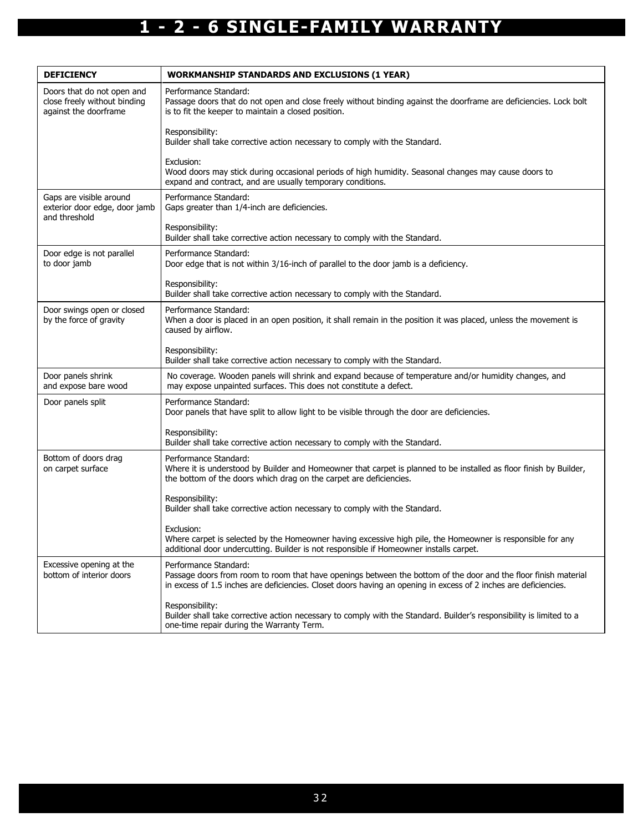| <b>DEFICIENCY</b>                                                                   | <b>WORKMANSHIP STANDARDS AND EXCLUSIONS (1 YEAR)</b>                                                                                                                                                                                                         |
|-------------------------------------------------------------------------------------|--------------------------------------------------------------------------------------------------------------------------------------------------------------------------------------------------------------------------------------------------------------|
| Doors that do not open and<br>close freely without binding<br>against the doorframe | Performance Standard:<br>Passage doors that do not open and close freely without binding against the doorframe are deficiencies. Lock bolt<br>is to fit the keeper to maintain a closed position.                                                            |
|                                                                                     | Responsibility:<br>Builder shall take corrective action necessary to comply with the Standard.                                                                                                                                                               |
|                                                                                     | Exclusion:<br>Wood doors may stick during occasional periods of high humidity. Seasonal changes may cause doors to<br>expand and contract, and are usually temporary conditions.                                                                             |
| Gaps are visible around<br>exterior door edge, door jamb<br>and threshold           | Performance Standard:<br>Gaps greater than 1/4-inch are deficiencies.                                                                                                                                                                                        |
|                                                                                     | Responsibility:<br>Builder shall take corrective action necessary to comply with the Standard.                                                                                                                                                               |
| Door edge is not parallel<br>to door jamb                                           | Performance Standard:<br>Door edge that is not within 3/16-inch of parallel to the door jamb is a deficiency.                                                                                                                                                |
|                                                                                     | Responsibility:<br>Builder shall take corrective action necessary to comply with the Standard.                                                                                                                                                               |
| Door swings open or closed<br>by the force of gravity                               | Performance Standard:<br>When a door is placed in an open position, it shall remain in the position it was placed, unless the movement is<br>caused by airflow.                                                                                              |
|                                                                                     | Responsibility:<br>Builder shall take corrective action necessary to comply with the Standard.                                                                                                                                                               |
| Door panels shrink<br>and expose bare wood                                          | No coverage. Wooden panels will shrink and expand because of temperature and/or humidity changes, and<br>may expose unpainted surfaces. This does not constitute a defect.                                                                                   |
| Door panels split                                                                   | Performance Standard:<br>Door panels that have split to allow light to be visible through the door are deficiencies.                                                                                                                                         |
|                                                                                     | Responsibility:<br>Builder shall take corrective action necessary to comply with the Standard.                                                                                                                                                               |
| Bottom of doors drag<br>on carpet surface                                           | Performance Standard:<br>Where it is understood by Builder and Homeowner that carpet is planned to be installed as floor finish by Builder,<br>the bottom of the doors which drag on the carpet are deficiencies.                                            |
|                                                                                     | Responsibility:<br>Builder shall take corrective action necessary to comply with the Standard.                                                                                                                                                               |
|                                                                                     | Exclusion:<br>Where carpet is selected by the Homeowner having excessive high pile, the Homeowner is responsible for any<br>additional door undercutting. Builder is not responsible if Homeowner installs carpet.                                           |
| Excessive opening at the<br>bottom of interior doors                                | Performance Standard:<br>Passage doors from room to room that have openings between the bottom of the door and the floor finish material<br>in excess of 1.5 inches are deficiencies. Closet doors having an opening in excess of 2 inches are deficiencies. |
|                                                                                     | Responsibility:<br>Builder shall take corrective action necessary to comply with the Standard. Builder's responsibility is limited to a<br>one-time repair during the Warranty Term.                                                                         |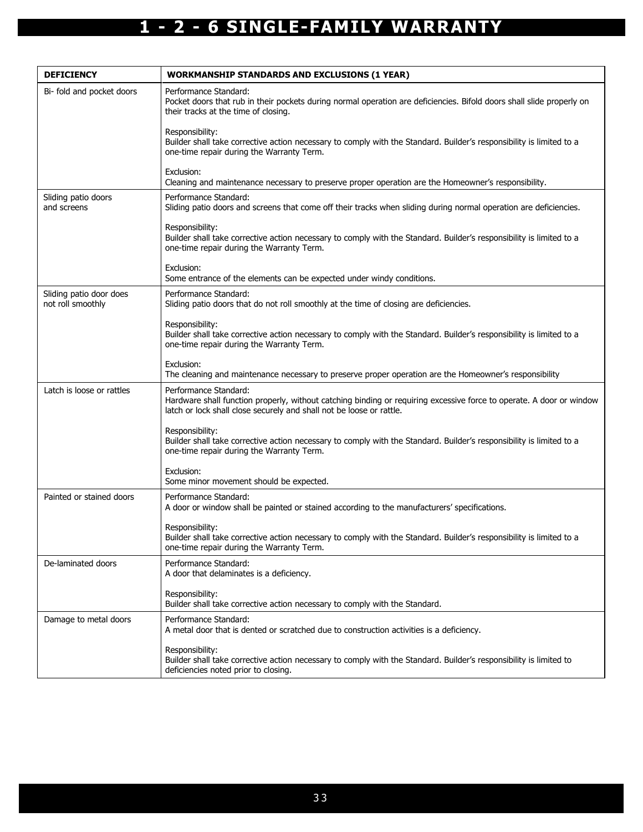| <b>DEFICIENCY</b>                            | <b>WORKMANSHIP STANDARDS AND EXCLUSIONS (1 YEAR)</b>                                                                                                                                                                  |
|----------------------------------------------|-----------------------------------------------------------------------------------------------------------------------------------------------------------------------------------------------------------------------|
| Bi- fold and pocket doors                    | Performance Standard:<br>Pocket doors that rub in their pockets during normal operation are deficiencies. Bifold doors shall slide properly on<br>their tracks at the time of closing.                                |
|                                              | Responsibility:<br>Builder shall take corrective action necessary to comply with the Standard. Builder's responsibility is limited to a<br>one-time repair during the Warranty Term.                                  |
|                                              | Exclusion:<br>Cleaning and maintenance necessary to preserve proper operation are the Homeowner's responsibility.                                                                                                     |
| Sliding patio doors<br>and screens           | Performance Standard:<br>Sliding patio doors and screens that come off their tracks when sliding during normal operation are deficiencies.                                                                            |
|                                              | Responsibility:<br>Builder shall take corrective action necessary to comply with the Standard. Builder's responsibility is limited to a<br>one-time repair during the Warranty Term.                                  |
|                                              | Exclusion:<br>Some entrance of the elements can be expected under windy conditions.                                                                                                                                   |
| Sliding patio door does<br>not roll smoothly | Performance Standard:<br>Sliding patio doors that do not roll smoothly at the time of closing are deficiencies.                                                                                                       |
|                                              | Responsibility:<br>Builder shall take corrective action necessary to comply with the Standard. Builder's responsibility is limited to a<br>one-time repair during the Warranty Term.                                  |
|                                              | Exclusion:<br>The cleaning and maintenance necessary to preserve proper operation are the Homeowner's responsibility                                                                                                  |
| Latch is loose or rattles                    | Performance Standard:<br>Hardware shall function properly, without catching binding or requiring excessive force to operate. A door or window<br>latch or lock shall close securely and shall not be loose or rattle. |
|                                              | Responsibility:<br>Builder shall take corrective action necessary to comply with the Standard. Builder's responsibility is limited to a<br>one-time repair during the Warranty Term.                                  |
|                                              | Exclusion:<br>Some minor movement should be expected.                                                                                                                                                                 |
| Painted or stained doors                     | Performance Standard:<br>A door or window shall be painted or stained according to the manufacturers' specifications.                                                                                                 |
|                                              | Responsibility:<br>Builder shall take corrective action necessary to comply with the Standard. Builder's responsibility is limited to a<br>one-time repair during the Warranty Term.                                  |
| De-laminated doors                           | Performance Standard:<br>A door that delaminates is a deficiency.                                                                                                                                                     |
|                                              | Responsibility:<br>Builder shall take corrective action necessary to comply with the Standard.                                                                                                                        |
| Damage to metal doors                        | Performance Standard:<br>A metal door that is dented or scratched due to construction activities is a deficiency.                                                                                                     |
|                                              | Responsibility:<br>Builder shall take corrective action necessary to comply with the Standard. Builder's responsibility is limited to<br>deficiencies noted prior to closing.                                         |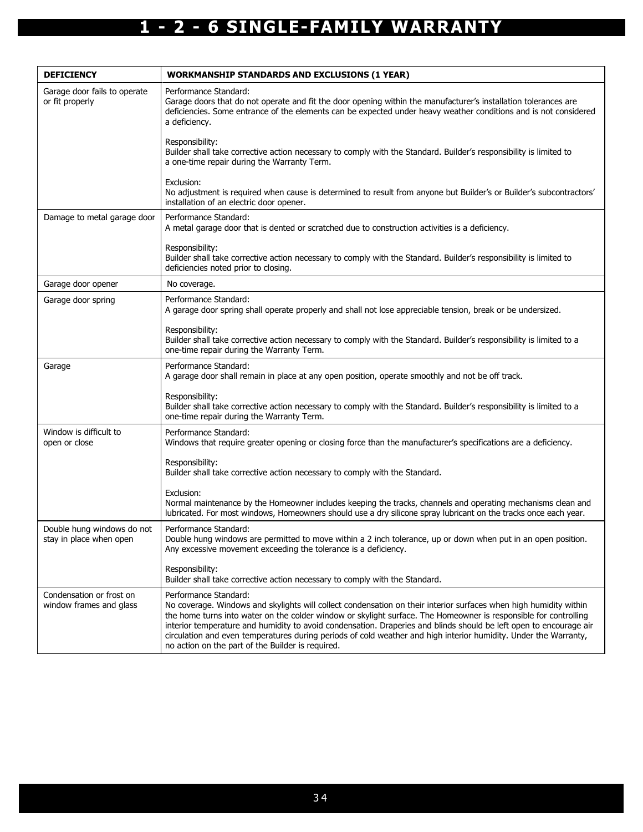| <b>DEFICIENCY</b>                                     | <b>WORKMANSHIP STANDARDS AND EXCLUSIONS (1 YEAR)</b>                                                                                                                                                                                                                                                                                                                                                                                                                                                                                                          |
|-------------------------------------------------------|---------------------------------------------------------------------------------------------------------------------------------------------------------------------------------------------------------------------------------------------------------------------------------------------------------------------------------------------------------------------------------------------------------------------------------------------------------------------------------------------------------------------------------------------------------------|
| Garage door fails to operate<br>or fit properly       | Performance Standard:<br>Garage doors that do not operate and fit the door opening within the manufacturer's installation tolerances are<br>deficiencies. Some entrance of the elements can be expected under heavy weather conditions and is not considered<br>a deficiency.                                                                                                                                                                                                                                                                                 |
|                                                       | Responsibility:<br>Builder shall take corrective action necessary to comply with the Standard. Builder's responsibility is limited to<br>a one-time repair during the Warranty Term.                                                                                                                                                                                                                                                                                                                                                                          |
|                                                       | Exclusion:<br>No adjustment is required when cause is determined to result from anyone but Builder's or Builder's subcontractors'<br>installation of an electric door opener.                                                                                                                                                                                                                                                                                                                                                                                 |
| Damage to metal garage door                           | Performance Standard:<br>A metal garage door that is dented or scratched due to construction activities is a deficiency.                                                                                                                                                                                                                                                                                                                                                                                                                                      |
|                                                       | Responsibility:<br>Builder shall take corrective action necessary to comply with the Standard. Builder's responsibility is limited to<br>deficiencies noted prior to closing.                                                                                                                                                                                                                                                                                                                                                                                 |
| Garage door opener                                    | No coverage.                                                                                                                                                                                                                                                                                                                                                                                                                                                                                                                                                  |
| Garage door spring                                    | Performance Standard:<br>A garage door spring shall operate properly and shall not lose appreciable tension, break or be undersized.                                                                                                                                                                                                                                                                                                                                                                                                                          |
|                                                       | Responsibility:<br>Builder shall take corrective action necessary to comply with the Standard. Builder's responsibility is limited to a<br>one-time repair during the Warranty Term.                                                                                                                                                                                                                                                                                                                                                                          |
| Garage                                                | Performance Standard:<br>A garage door shall remain in place at any open position, operate smoothly and not be off track.                                                                                                                                                                                                                                                                                                                                                                                                                                     |
|                                                       | Responsibility:<br>Builder shall take corrective action necessary to comply with the Standard. Builder's responsibility is limited to a<br>one-time repair during the Warranty Term.                                                                                                                                                                                                                                                                                                                                                                          |
| Window is difficult to<br>open or close               | Performance Standard:<br>Windows that require greater opening or closing force than the manufacturer's specifications are a deficiency.                                                                                                                                                                                                                                                                                                                                                                                                                       |
|                                                       | Responsibility:<br>Builder shall take corrective action necessary to comply with the Standard.                                                                                                                                                                                                                                                                                                                                                                                                                                                                |
|                                                       | Exclusion:<br>Normal maintenance by the Homeowner includes keeping the tracks, channels and operating mechanisms clean and<br>lubricated. For most windows, Homeowners should use a dry silicone spray lubricant on the tracks once each year.                                                                                                                                                                                                                                                                                                                |
| Double hung windows do not<br>stay in place when open | Performance Standard:<br>Double hung windows are permitted to move within a 2 inch tolerance, up or down when put in an open position.<br>Any excessive movement exceeding the tolerance is a deficiency.                                                                                                                                                                                                                                                                                                                                                     |
|                                                       | Responsibility:<br>Builder shall take corrective action necessary to comply with the Standard.                                                                                                                                                                                                                                                                                                                                                                                                                                                                |
| Condensation or frost on<br>window frames and glass   | Performance Standard:<br>No coverage. Windows and skylights will collect condensation on their interior surfaces when high humidity within<br>the home turns into water on the colder window or skylight surface. The Homeowner is responsible for controlling<br>interior temperature and humidity to avoid condensation. Draperies and blinds should be left open to encourage air<br>circulation and even temperatures during periods of cold weather and high interior humidity. Under the Warranty,<br>no action on the part of the Builder is required. |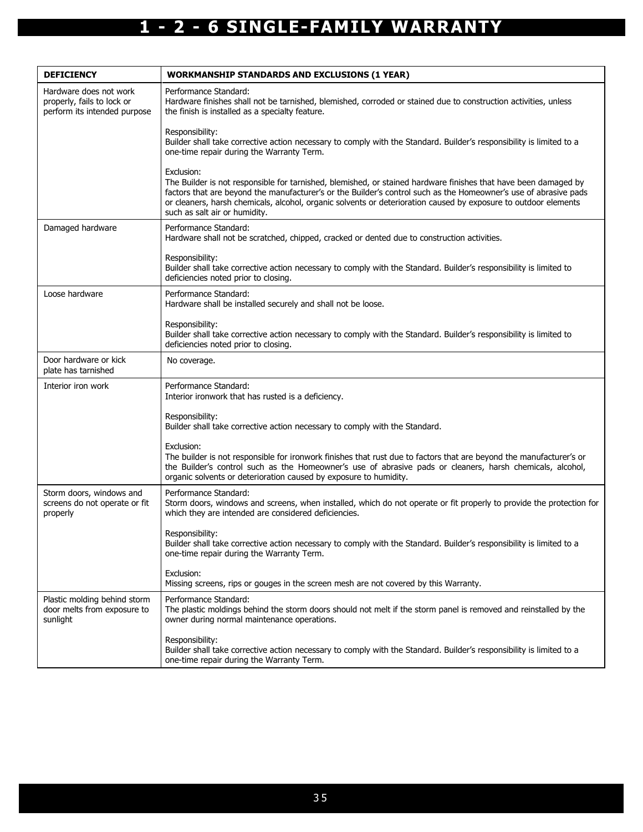| <b>DEFICIENCY</b>                                                                    | <b>WORKMANSHIP STANDARDS AND EXCLUSIONS (1 YEAR)</b>                                                                                                                                                                                                                                                                                                                                                  |
|--------------------------------------------------------------------------------------|-------------------------------------------------------------------------------------------------------------------------------------------------------------------------------------------------------------------------------------------------------------------------------------------------------------------------------------------------------------------------------------------------------|
| Hardware does not work<br>properly, fails to lock or<br>perform its intended purpose | Performance Standard:<br>Hardware finishes shall not be tarnished, blemished, corroded or stained due to construction activities, unless<br>the finish is installed as a specialty feature.                                                                                                                                                                                                           |
|                                                                                      | Responsibility:<br>Builder shall take corrective action necessary to comply with the Standard. Builder's responsibility is limited to a<br>one-time repair during the Warranty Term.                                                                                                                                                                                                                  |
|                                                                                      | Exclusion:<br>The Builder is not responsible for tarnished, blemished, or stained hardware finishes that have been damaged by<br>factors that are beyond the manufacturer's or the Builder's control such as the Homeowner's use of abrasive pads<br>or cleaners, harsh chemicals, alcohol, organic solvents or deterioration caused by exposure to outdoor elements<br>such as salt air or humidity. |
| Damaged hardware                                                                     | Performance Standard:<br>Hardware shall not be scratched, chipped, cracked or dented due to construction activities.                                                                                                                                                                                                                                                                                  |
|                                                                                      | Responsibility:<br>Builder shall take corrective action necessary to comply with the Standard. Builder's responsibility is limited to<br>deficiencies noted prior to closing.                                                                                                                                                                                                                         |
| Loose hardware                                                                       | Performance Standard:<br>Hardware shall be installed securely and shall not be loose.                                                                                                                                                                                                                                                                                                                 |
|                                                                                      | Responsibility:<br>Builder shall take corrective action necessary to comply with the Standard. Builder's responsibility is limited to<br>deficiencies noted prior to closing.                                                                                                                                                                                                                         |
| Door hardware or kick<br>plate has tarnished                                         | No coverage.                                                                                                                                                                                                                                                                                                                                                                                          |
| Interior iron work                                                                   | Performance Standard:<br>Interior ironwork that has rusted is a deficiency.                                                                                                                                                                                                                                                                                                                           |
|                                                                                      | Responsibility:<br>Builder shall take corrective action necessary to comply with the Standard.                                                                                                                                                                                                                                                                                                        |
|                                                                                      | Exclusion:<br>The builder is not responsible for ironwork finishes that rust due to factors that are beyond the manufacturer's or<br>the Builder's control such as the Homeowner's use of abrasive pads or cleaners, harsh chemicals, alcohol,<br>organic solvents or deterioration caused by exposure to humidity.                                                                                   |
| Storm doors, windows and<br>screens do not operate or fit<br>properly                | Performance Standard:<br>Storm doors, windows and screens, when installed, which do not operate or fit properly to provide the protection for<br>which they are intended are considered deficiencies.                                                                                                                                                                                                 |
|                                                                                      | Responsibility:<br>Builder shall take corrective action necessary to comply with the Standard. Builder's responsibility is limited to a<br>one-time repair during the Warranty Term.                                                                                                                                                                                                                  |
|                                                                                      | Exclusion:<br>Missing screens, rips or gouges in the screen mesh are not covered by this Warranty.                                                                                                                                                                                                                                                                                                    |
| Plastic molding behind storm<br>door melts from exposure to<br>sunlight              | Performance Standard:<br>The plastic moldings behind the storm doors should not melt if the storm panel is removed and reinstalled by the<br>owner during normal maintenance operations.                                                                                                                                                                                                              |
|                                                                                      | Responsibility:<br>Builder shall take corrective action necessary to comply with the Standard. Builder's responsibility is limited to a<br>one-time repair during the Warranty Term.                                                                                                                                                                                                                  |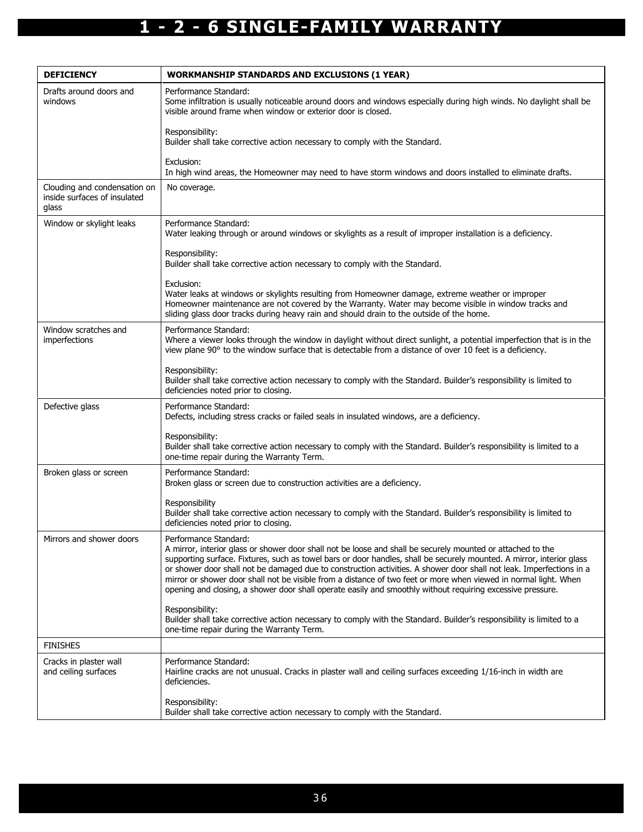| <b>DEFICIENCY</b>                                                     | <b>WORKMANSHIP STANDARDS AND EXCLUSIONS (1 YEAR)</b>                                                                                                                                                                                                                                                                                                                                                                                                                                                                                                                                                                    |
|-----------------------------------------------------------------------|-------------------------------------------------------------------------------------------------------------------------------------------------------------------------------------------------------------------------------------------------------------------------------------------------------------------------------------------------------------------------------------------------------------------------------------------------------------------------------------------------------------------------------------------------------------------------------------------------------------------------|
| Drafts around doors and<br>windows                                    | Performance Standard:<br>Some infiltration is usually noticeable around doors and windows especially during high winds. No daylight shall be<br>visible around frame when window or exterior door is closed.                                                                                                                                                                                                                                                                                                                                                                                                            |
|                                                                       | Responsibility:<br>Builder shall take corrective action necessary to comply with the Standard.                                                                                                                                                                                                                                                                                                                                                                                                                                                                                                                          |
|                                                                       | Exclusion:<br>In high wind areas, the Homeowner may need to have storm windows and doors installed to eliminate drafts.                                                                                                                                                                                                                                                                                                                                                                                                                                                                                                 |
| Clouding and condensation on<br>inside surfaces of insulated<br>glass | No coverage.                                                                                                                                                                                                                                                                                                                                                                                                                                                                                                                                                                                                            |
| Window or skylight leaks                                              | Performance Standard:<br>Water leaking through or around windows or skylights as a result of improper installation is a deficiency.                                                                                                                                                                                                                                                                                                                                                                                                                                                                                     |
|                                                                       | Responsibility:<br>Builder shall take corrective action necessary to comply with the Standard.                                                                                                                                                                                                                                                                                                                                                                                                                                                                                                                          |
|                                                                       | Exclusion:<br>Water leaks at windows or skylights resulting from Homeowner damage, extreme weather or improper<br>Homeowner maintenance are not covered by the Warranty. Water may become visible in window tracks and<br>sliding glass door tracks during heavy rain and should drain to the outside of the home.                                                                                                                                                                                                                                                                                                      |
| Window scratches and<br>imperfections                                 | Performance Standard:<br>Where a viewer looks through the window in daylight without direct sunlight, a potential imperfection that is in the<br>view plane 90° to the window surface that is detectable from a distance of over 10 feet is a deficiency.                                                                                                                                                                                                                                                                                                                                                               |
|                                                                       | Responsibility:<br>Builder shall take corrective action necessary to comply with the Standard. Builder's responsibility is limited to<br>deficiencies noted prior to closing.                                                                                                                                                                                                                                                                                                                                                                                                                                           |
| Defective glass                                                       | Performance Standard:<br>Defects, including stress cracks or failed seals in insulated windows, are a deficiency.                                                                                                                                                                                                                                                                                                                                                                                                                                                                                                       |
|                                                                       | Responsibility:<br>Builder shall take corrective action necessary to comply with the Standard. Builder's responsibility is limited to a<br>one-time repair during the Warranty Term.                                                                                                                                                                                                                                                                                                                                                                                                                                    |
| Broken glass or screen                                                | Performance Standard:<br>Broken glass or screen due to construction activities are a deficiency.                                                                                                                                                                                                                                                                                                                                                                                                                                                                                                                        |
|                                                                       | Responsibility<br>Builder shall take corrective action necessary to comply with the Standard. Builder's responsibility is limited to<br>deficiencies noted prior to closing.                                                                                                                                                                                                                                                                                                                                                                                                                                            |
| Mirrors and shower doors                                              | Performance Standard:<br>A mirror, interior glass or shower door shall not be loose and shall be securely mounted or attached to the<br>supporting surface. Fixtures, such as towel bars or door handles, shall be securely mounted. A mirror, interior glass<br>or shower door shall not be damaged due to construction activities. A shower door shall not leak. Imperfections in a<br>mirror or shower door shall not be visible from a distance of two feet or more when viewed in normal light. When<br>opening and closing, a shower door shall operate easily and smoothly without requiring excessive pressure. |
|                                                                       | Responsibility:<br>Builder shall take corrective action necessary to comply with the Standard. Builder's responsibility is limited to a<br>one-time repair during the Warranty Term.                                                                                                                                                                                                                                                                                                                                                                                                                                    |
| <b>FINISHES</b>                                                       |                                                                                                                                                                                                                                                                                                                                                                                                                                                                                                                                                                                                                         |
| Cracks in plaster wall<br>and ceiling surfaces                        | Performance Standard:<br>Hairline cracks are not unusual. Cracks in plaster wall and ceiling surfaces exceeding 1/16-inch in width are<br>deficiencies.                                                                                                                                                                                                                                                                                                                                                                                                                                                                 |
|                                                                       | Responsibility:<br>Builder shall take corrective action necessary to comply with the Standard.                                                                                                                                                                                                                                                                                                                                                                                                                                                                                                                          |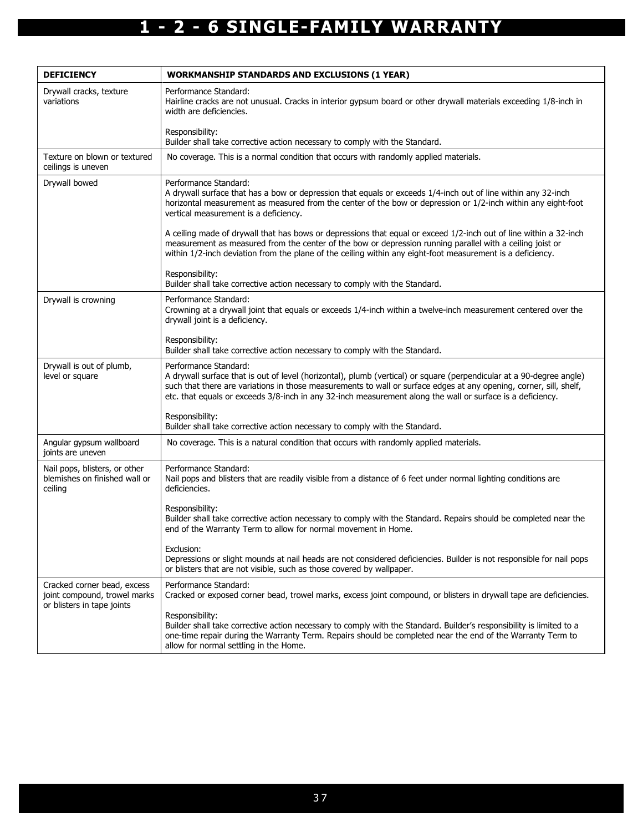| <b>DEFICIENCY</b>                                                                         | <b>WORKMANSHIP STANDARDS AND EXCLUSIONS (1 YEAR)</b>                                                                                                                                                                                                                                                                                                                              |
|-------------------------------------------------------------------------------------------|-----------------------------------------------------------------------------------------------------------------------------------------------------------------------------------------------------------------------------------------------------------------------------------------------------------------------------------------------------------------------------------|
| Drywall cracks, texture<br>variations                                                     | Performance Standard:<br>Hairline cracks are not unusual. Cracks in interior gypsum board or other drywall materials exceeding 1/8-inch in<br>width are deficiencies.                                                                                                                                                                                                             |
|                                                                                           | Responsibility:<br>Builder shall take corrective action necessary to comply with the Standard.                                                                                                                                                                                                                                                                                    |
| Texture on blown or textured<br>ceilings is uneven                                        | No coverage. This is a normal condition that occurs with randomly applied materials.                                                                                                                                                                                                                                                                                              |
| Drywall bowed                                                                             | Performance Standard:<br>A drywall surface that has a bow or depression that equals or exceeds 1/4-inch out of line within any 32-inch<br>horizontal measurement as measured from the center of the bow or depression or 1/2-inch within any eight-foot<br>vertical measurement is a deficiency.                                                                                  |
|                                                                                           | A ceiling made of drywall that has bows or depressions that equal or exceed 1/2-inch out of line within a 32-inch<br>measurement as measured from the center of the bow or depression running parallel with a ceiling joist or<br>within 1/2-inch deviation from the plane of the ceiling within any eight-foot measurement is a deficiency.                                      |
|                                                                                           | Responsibility:<br>Builder shall take corrective action necessary to comply with the Standard.                                                                                                                                                                                                                                                                                    |
| Drywall is crowning                                                                       | Performance Standard:<br>Crowning at a drywall joint that equals or exceeds 1/4-inch within a twelve-inch measurement centered over the<br>drywall joint is a deficiency.                                                                                                                                                                                                         |
|                                                                                           | Responsibility:<br>Builder shall take corrective action necessary to comply with the Standard.                                                                                                                                                                                                                                                                                    |
| Drywall is out of plumb,<br>level or square                                               | Performance Standard:<br>A drywall surface that is out of level (horizontal), plumb (vertical) or square (perpendicular at a 90-degree angle)<br>such that there are variations in those measurements to wall or surface edges at any opening, corner, sill, shelf,<br>etc. that equals or exceeds 3/8-inch in any 32-inch measurement along the wall or surface is a deficiency. |
|                                                                                           | Responsibility:<br>Builder shall take corrective action necessary to comply with the Standard.                                                                                                                                                                                                                                                                                    |
| Angular gypsum wallboard<br>joints are uneven                                             | No coverage. This is a natural condition that occurs with randomly applied materials.                                                                                                                                                                                                                                                                                             |
| Nail pops, blisters, or other<br>blemishes on finished wall or<br>ceiling                 | Performance Standard:<br>Nail pops and blisters that are readily visible from a distance of 6 feet under normal lighting conditions are<br>deficiencies.                                                                                                                                                                                                                          |
|                                                                                           | Responsibility:<br>Builder shall take corrective action necessary to comply with the Standard. Repairs should be completed near the<br>end of the Warranty Term to allow for normal movement in Home.                                                                                                                                                                             |
|                                                                                           | Exclusion:<br>Depressions or slight mounds at nail heads are not considered deficiencies. Builder is not responsible for nail pops<br>or blisters that are not visible, such as those covered by wallpaper.                                                                                                                                                                       |
| Cracked corner bead, excess<br>joint compound, trowel marks<br>or blisters in tape joints | Performance Standard:<br>Cracked or exposed corner bead, trowel marks, excess joint compound, or blisters in drywall tape are deficiencies.                                                                                                                                                                                                                                       |
|                                                                                           | Responsibility:<br>Builder shall take corrective action necessary to comply with the Standard. Builder's responsibility is limited to a<br>one-time repair during the Warranty Term. Repairs should be completed near the end of the Warranty Term to<br>allow for normal settling in the Home.                                                                                   |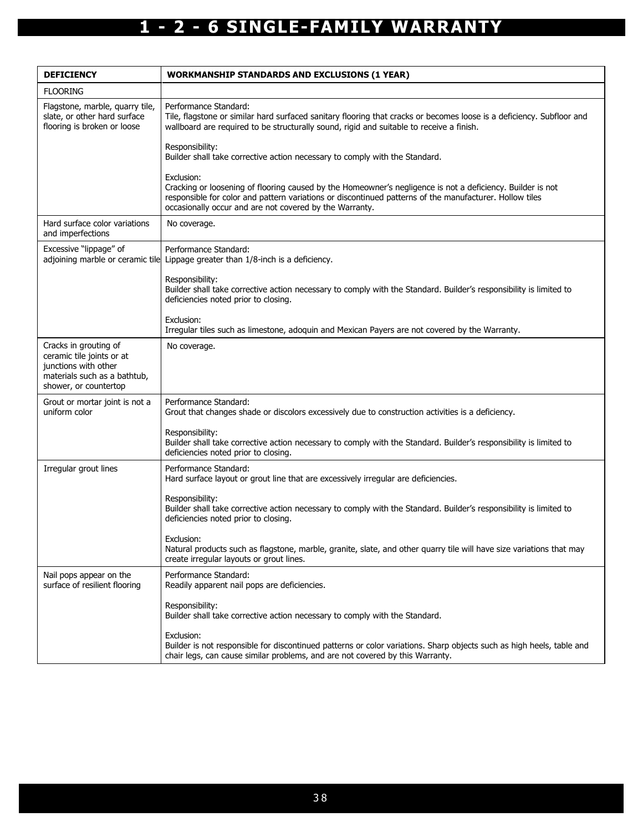| <b>DEFICIENCY</b>                                                                                                                   | <b>WORKMANSHIP STANDARDS AND EXCLUSIONS (1 YEAR)</b>                                                                                                                                                                                                                                           |
|-------------------------------------------------------------------------------------------------------------------------------------|------------------------------------------------------------------------------------------------------------------------------------------------------------------------------------------------------------------------------------------------------------------------------------------------|
| <b>FLOORING</b>                                                                                                                     |                                                                                                                                                                                                                                                                                                |
| Flagstone, marble, quarry tile,<br>slate, or other hard surface<br>flooring is broken or loose                                      | Performance Standard:<br>Tile, flagstone or similar hard surfaced sanitary flooring that cracks or becomes loose is a deficiency. Subfloor and<br>wallboard are required to be structurally sound, rigid and suitable to receive a finish.                                                     |
|                                                                                                                                     | Responsibility:<br>Builder shall take corrective action necessary to comply with the Standard.                                                                                                                                                                                                 |
|                                                                                                                                     | Exclusion:<br>Cracking or loosening of flooring caused by the Homeowner's negligence is not a deficiency. Builder is not<br>responsible for color and pattern variations or discontinued patterns of the manufacturer. Hollow tiles<br>occasionally occur and are not covered by the Warranty. |
| Hard surface color variations<br>and imperfections                                                                                  | No coverage.                                                                                                                                                                                                                                                                                   |
| Excessive "lippage" of                                                                                                              | Performance Standard:<br>adjoining marble or ceramic tile Lippage greater than 1/8-inch is a deficiency.                                                                                                                                                                                       |
|                                                                                                                                     | Responsibility:<br>Builder shall take corrective action necessary to comply with the Standard. Builder's responsibility is limited to<br>deficiencies noted prior to closing.                                                                                                                  |
|                                                                                                                                     | Exclusion:<br>Irregular tiles such as limestone, adoquin and Mexican Payers are not covered by the Warranty.                                                                                                                                                                                   |
| Cracks in grouting of<br>ceramic tile joints or at<br>junctions with other<br>materials such as a bathtub,<br>shower, or countertop | No coverage.                                                                                                                                                                                                                                                                                   |
| Grout or mortar joint is not a<br>uniform color                                                                                     | Performance Standard:<br>Grout that changes shade or discolors excessively due to construction activities is a deficiency.                                                                                                                                                                     |
|                                                                                                                                     | Responsibility:<br>Builder shall take corrective action necessary to comply with the Standard. Builder's responsibility is limited to<br>deficiencies noted prior to closing.                                                                                                                  |
| Irregular grout lines                                                                                                               | Performance Standard:<br>Hard surface layout or grout line that are excessively irregular are deficiencies.                                                                                                                                                                                    |
|                                                                                                                                     | Responsibility:<br>Builder shall take corrective action necessary to comply with the Standard. Builder's responsibility is limited to<br>deficiencies noted prior to closing.                                                                                                                  |
|                                                                                                                                     | Exclusion:<br>Natural products such as flagstone, marble, granite, slate, and other quarry tile will have size variations that may<br>create irregular layouts or grout lines.                                                                                                                 |
| Nail pops appear on the<br>surface of resilient flooring                                                                            | Performance Standard:<br>Readily apparent nail pops are deficiencies.                                                                                                                                                                                                                          |
|                                                                                                                                     | Responsibility:<br>Builder shall take corrective action necessary to comply with the Standard.                                                                                                                                                                                                 |
|                                                                                                                                     | Exclusion:<br>Builder is not responsible for discontinued patterns or color variations. Sharp objects such as high heels, table and<br>chair legs, can cause similar problems, and are not covered by this Warranty.                                                                           |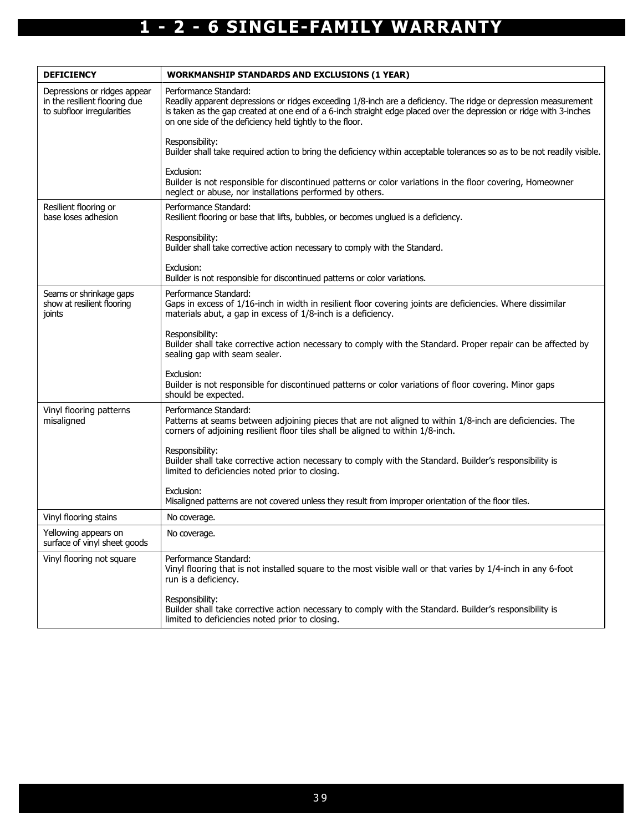| <b>DEFICIENCY</b>                                                                           | <b>WORKMANSHIP STANDARDS AND EXCLUSIONS (1 YEAR)</b>                                                                                                                                                                                                                                                                       |
|---------------------------------------------------------------------------------------------|----------------------------------------------------------------------------------------------------------------------------------------------------------------------------------------------------------------------------------------------------------------------------------------------------------------------------|
| Depressions or ridges appear<br>in the resilient flooring due<br>to subfloor irregularities | Performance Standard:<br>Readily apparent depressions or ridges exceeding 1/8-inch are a deficiency. The ridge or depression measurement<br>is taken as the gap created at one end of a 6-inch straight edge placed over the depression or ridge with 3-inches<br>on one side of the deficiency held tightly to the floor. |
|                                                                                             | Responsibility:<br>Builder shall take required action to bring the deficiency within acceptable tolerances so as to be not readily visible.                                                                                                                                                                                |
|                                                                                             | Exclusion:<br>Builder is not responsible for discontinued patterns or color variations in the floor covering, Homeowner<br>neglect or abuse, nor installations performed by others.                                                                                                                                        |
| Resilient flooring or<br>base loses adhesion                                                | Performance Standard:<br>Resilient flooring or base that lifts, bubbles, or becomes unglued is a deficiency.                                                                                                                                                                                                               |
|                                                                                             | Responsibility:<br>Builder shall take corrective action necessary to comply with the Standard.                                                                                                                                                                                                                             |
|                                                                                             | Exclusion:<br>Builder is not responsible for discontinued patterns or color variations.                                                                                                                                                                                                                                    |
| Seams or shrinkage gaps<br>show at resilient flooring<br>joints                             | Performance Standard:<br>Gaps in excess of 1/16-inch in width in resilient floor covering joints are deficiencies. Where dissimilar<br>materials abut, a gap in excess of 1/8-inch is a deficiency.                                                                                                                        |
|                                                                                             | Responsibility:<br>Builder shall take corrective action necessary to comply with the Standard. Proper repair can be affected by<br>sealing gap with seam sealer.                                                                                                                                                           |
|                                                                                             | Exclusion:<br>Builder is not responsible for discontinued patterns or color variations of floor covering. Minor gaps<br>should be expected.                                                                                                                                                                                |
| Vinyl flooring patterns<br>misaligned                                                       | Performance Standard:<br>Patterns at seams between adjoining pieces that are not aligned to within 1/8-inch are deficiencies. The<br>corners of adjoining resilient floor tiles shall be aligned to within 1/8-inch.                                                                                                       |
|                                                                                             | Responsibility:<br>Builder shall take corrective action necessary to comply with the Standard. Builder's responsibility is<br>limited to deficiencies noted prior to closing.                                                                                                                                              |
|                                                                                             | Exclusion:<br>Misaligned patterns are not covered unless they result from improper orientation of the floor tiles.                                                                                                                                                                                                         |
| Vinyl flooring stains                                                                       | No coverage.                                                                                                                                                                                                                                                                                                               |
| Yellowing appears on<br>surface of vinyl sheet goods                                        | No coverage.                                                                                                                                                                                                                                                                                                               |
| Vinyl flooring not square                                                                   | Performance Standard:<br>Vinyl flooring that is not installed square to the most visible wall or that varies by 1/4-inch in any 6-foot<br>run is a deficiency.                                                                                                                                                             |
|                                                                                             | Responsibility:<br>Builder shall take corrective action necessary to comply with the Standard. Builder's responsibility is<br>limited to deficiencies noted prior to closing.                                                                                                                                              |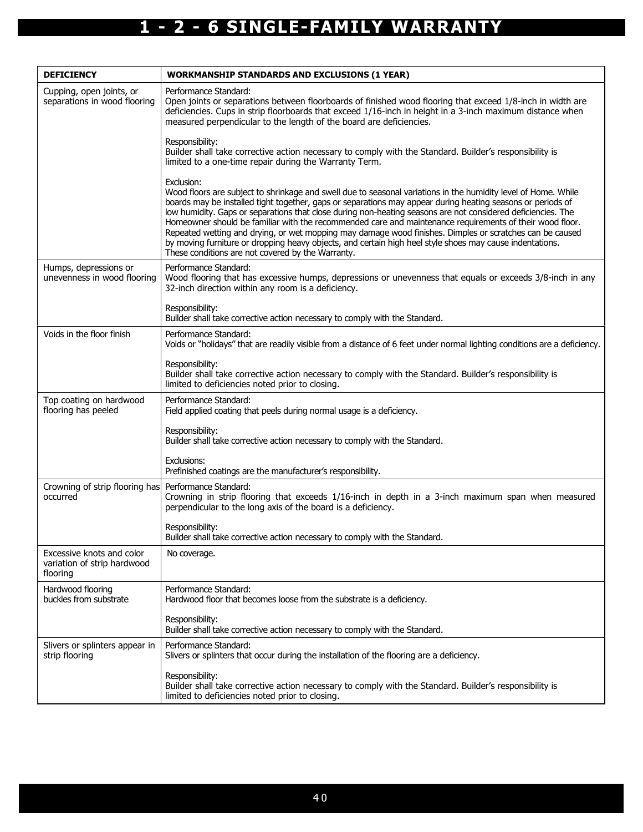| <b>DEFICIENCY</b>                                                    | <b>WORKMANSHIP STANDARDS AND EXCLUSIONS (1 YEAR)</b>                                                                                                                                                                                                                                                                                                                                                                                                                                                                                                                                                                                                                                                                                                 |
|----------------------------------------------------------------------|------------------------------------------------------------------------------------------------------------------------------------------------------------------------------------------------------------------------------------------------------------------------------------------------------------------------------------------------------------------------------------------------------------------------------------------------------------------------------------------------------------------------------------------------------------------------------------------------------------------------------------------------------------------------------------------------------------------------------------------------------|
| Cupping, open joints, or<br>separations in wood flooring             | Performance Standard:<br>Open joints or separations between floorboards of finished wood flooring that exceed 1/8-inch in width are<br>deficiencies. Cups in strip floorboards that exceed 1/16-inch in height in a 3-inch maximum distance when<br>measured perpendicular to the length of the board are deficiencies.                                                                                                                                                                                                                                                                                                                                                                                                                              |
|                                                                      | Responsibility:<br>Builder shall take corrective action necessary to comply with the Standard. Builder's responsibility is<br>limited to a one-time repair during the Warranty Term.                                                                                                                                                                                                                                                                                                                                                                                                                                                                                                                                                                 |
|                                                                      | Exclusion:<br>Wood floors are subject to shrinkage and swell due to seasonal variations in the humidity level of Home. While<br>boards may be installed tight together, gaps or separations may appear during heating seasons or periods of<br>low humidity. Gaps or separations that close during non-heating seasons are not considered deficiencies. The<br>Homeowner should be familiar with the recommended care and maintenance requirements of their wood floor.<br>Repeated wetting and drying, or wet mopping may damage wood finishes. Dimples or scratches can be caused<br>by moving furniture or dropping heavy objects, and certain high heel style shoes may cause indentations.<br>These conditions are not covered by the Warranty. |
| Humps, depressions or<br>unevenness in wood flooring                 | Performance Standard:<br>Wood flooring that has excessive humps, depressions or unevenness that equals or exceeds 3/8-inch in any<br>32-inch direction within any room is a deficiency.                                                                                                                                                                                                                                                                                                                                                                                                                                                                                                                                                              |
|                                                                      | Responsibility:<br>Builder shall take corrective action necessary to comply with the Standard.                                                                                                                                                                                                                                                                                                                                                                                                                                                                                                                                                                                                                                                       |
| Voids in the floor finish                                            | Performance Standard:<br>Voids or "holidays" that are readily visible from a distance of 6 feet under normal lighting conditions are a deficiency.                                                                                                                                                                                                                                                                                                                                                                                                                                                                                                                                                                                                   |
|                                                                      | Responsibility:<br>Builder shall take corrective action necessary to comply with the Standard. Builder's responsibility is<br>limited to deficiencies noted prior to closing.                                                                                                                                                                                                                                                                                                                                                                                                                                                                                                                                                                        |
| Top coating on hardwood<br>flooring has peeled                       | Performance Standard:<br>Field applied coating that peels during normal usage is a deficiency.                                                                                                                                                                                                                                                                                                                                                                                                                                                                                                                                                                                                                                                       |
|                                                                      | Responsibility:<br>Builder shall take corrective action necessary to comply with the Standard.                                                                                                                                                                                                                                                                                                                                                                                                                                                                                                                                                                                                                                                       |
|                                                                      | Exclusions:<br>Prefinished coatings are the manufacturer's responsibility.                                                                                                                                                                                                                                                                                                                                                                                                                                                                                                                                                                                                                                                                           |
| Crowning of strip flooring has<br>occurred                           | Performance Standard:<br>Crowning in strip flooring that exceeds 1/16-inch in depth in a 3-inch maximum span when measured<br>perpendicular to the long axis of the board is a deficiency.                                                                                                                                                                                                                                                                                                                                                                                                                                                                                                                                                           |
|                                                                      | Responsibility:<br>Builder shall take corrective action necessary to comply with the Standard.                                                                                                                                                                                                                                                                                                                                                                                                                                                                                                                                                                                                                                                       |
| Excessive knots and color<br>variation of strip hardwood<br>flooring | No coverage.                                                                                                                                                                                                                                                                                                                                                                                                                                                                                                                                                                                                                                                                                                                                         |
| Hardwood flooring<br>buckles from substrate                          | Performance Standard:<br>Hardwood floor that becomes loose from the substrate is a deficiency.                                                                                                                                                                                                                                                                                                                                                                                                                                                                                                                                                                                                                                                       |
|                                                                      | Responsibility:<br>Builder shall take corrective action necessary to comply with the Standard.                                                                                                                                                                                                                                                                                                                                                                                                                                                                                                                                                                                                                                                       |
| Slivers or splinters appear in<br>strip flooring                     | Performance Standard:<br>Slivers or splinters that occur during the installation of the flooring are a deficiency.                                                                                                                                                                                                                                                                                                                                                                                                                                                                                                                                                                                                                                   |
|                                                                      | Responsibility:<br>Builder shall take corrective action necessary to comply with the Standard. Builder's responsibility is<br>limited to deficiencies noted prior to closing.                                                                                                                                                                                                                                                                                                                                                                                                                                                                                                                                                                        |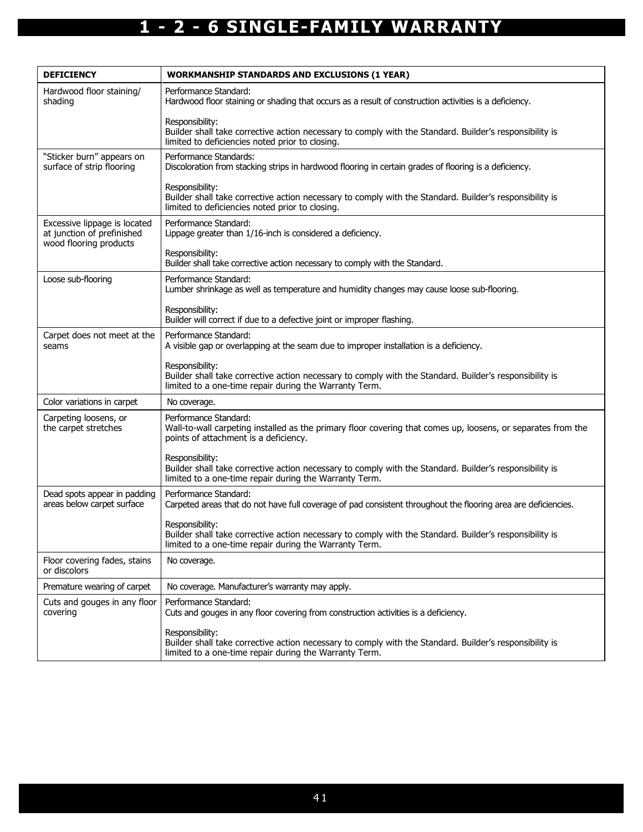| <b>DEFICIENCY</b>                                                                    | <b>WORKMANSHIP STANDARDS AND EXCLUSIONS (1 YEAR)</b>                                                                                                                                 |
|--------------------------------------------------------------------------------------|--------------------------------------------------------------------------------------------------------------------------------------------------------------------------------------|
| Hardwood floor staining/<br>shading                                                  | Performance Standard:<br>Hardwood floor staining or shading that occurs as a result of construction activities is a deficiency.                                                      |
|                                                                                      | Responsibility:<br>Builder shall take corrective action necessary to comply with the Standard. Builder's responsibility is<br>limited to deficiencies noted prior to closing.        |
| "Sticker burn" appears on<br>surface of strip flooring                               | Performance Standards:<br>Discoloration from stacking strips in hardwood flooring in certain grades of flooring is a deficiency.                                                     |
|                                                                                      | Responsibility:<br>Builder shall take corrective action necessary to comply with the Standard. Builder's responsibility is<br>limited to deficiencies noted prior to closing.        |
| Excessive lippage is located<br>at junction of prefinished<br>wood flooring products | Performance Standard:<br>Lippage greater than 1/16-inch is considered a deficiency.                                                                                                  |
|                                                                                      | Responsibility:<br>Builder shall take corrective action necessary to comply with the Standard.                                                                                       |
| Loose sub-flooring                                                                   | Performance Standard:<br>Lumber shrinkage as well as temperature and humidity changes may cause loose sub-flooring.                                                                  |
|                                                                                      | Responsibility:<br>Builder will correct if due to a defective joint or improper flashing.                                                                                            |
| Carpet does not meet at the<br>seams                                                 | Performance Standard:<br>A visible gap or overlapping at the seam due to improper installation is a deficiency.                                                                      |
|                                                                                      | Responsibility:<br>Builder shall take corrective action necessary to comply with the Standard. Builder's responsibility is<br>limited to a one-time repair during the Warranty Term. |
| Color variations in carpet                                                           | No coverage.                                                                                                                                                                         |
| Carpeting loosens, or<br>the carpet stretches                                        | Performance Standard:<br>Wall-to-wall carpeting installed as the primary floor covering that comes up, loosens, or separates from the<br>points of attachment is a deficiency.       |
|                                                                                      | Responsibility:<br>Builder shall take corrective action necessary to comply with the Standard. Builder's responsibility is<br>limited to a one-time repair during the Warranty Term. |
| Dead spots appear in padding<br>areas below carpet surface                           | Performance Standard:<br>Carpeted areas that do not have full coverage of pad consistent throughout the flooring area are deficiencies.                                              |
|                                                                                      | Responsibility:<br>Builder shall take corrective action necessary to comply with the Standard. Builder's responsibility is<br>limited to a one-time repair during the Warranty Term. |
| Floor covering fades, stains<br>or discolors                                         | No coverage.                                                                                                                                                                         |
| Premature wearing of carpet                                                          | No coverage. Manufacturer's warranty may apply.                                                                                                                                      |
| Cuts and gouges in any floor<br>covering                                             | Performance Standard:<br>Cuts and gouges in any floor covering from construction activities is a deficiency.                                                                         |
|                                                                                      | Responsibility:<br>Builder shall take corrective action necessary to comply with the Standard. Builder's responsibility is<br>limited to a one-time repair during the Warranty Term. |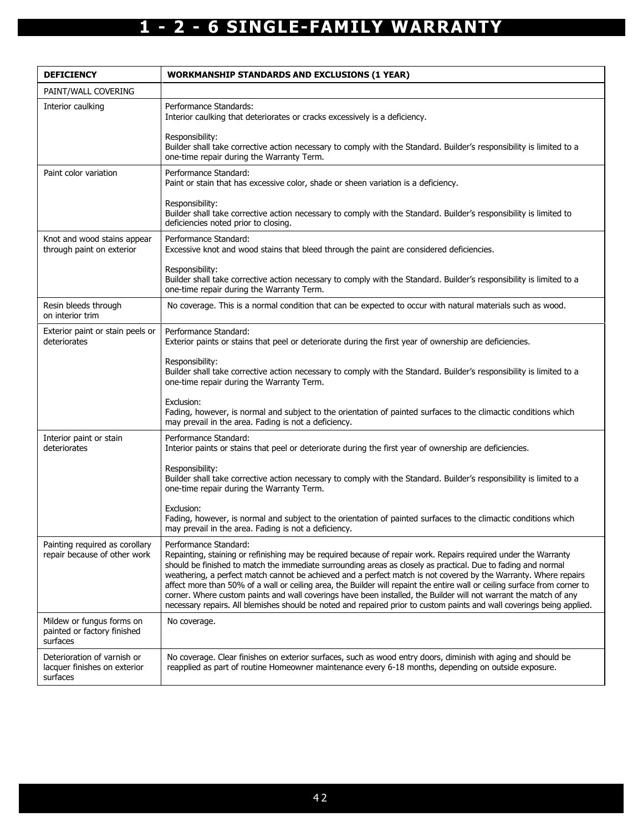| <b>DEFICIENCY</b>                                                       | <b>WORKMANSHIP STANDARDS AND EXCLUSIONS (1 YEAR)</b>                                                                                                                                                                                                                                                                                                                                                                                                                                                                                                                                                                                                                                                                                                       |
|-------------------------------------------------------------------------|------------------------------------------------------------------------------------------------------------------------------------------------------------------------------------------------------------------------------------------------------------------------------------------------------------------------------------------------------------------------------------------------------------------------------------------------------------------------------------------------------------------------------------------------------------------------------------------------------------------------------------------------------------------------------------------------------------------------------------------------------------|
| PAINT/WALL COVERING                                                     |                                                                                                                                                                                                                                                                                                                                                                                                                                                                                                                                                                                                                                                                                                                                                            |
| Interior caulking                                                       | Performance Standards:<br>Interior caulking that deteriorates or cracks excessively is a deficiency.                                                                                                                                                                                                                                                                                                                                                                                                                                                                                                                                                                                                                                                       |
|                                                                         | Responsibility:<br>Builder shall take corrective action necessary to comply with the Standard. Builder's responsibility is limited to a<br>one-time repair during the Warranty Term.                                                                                                                                                                                                                                                                                                                                                                                                                                                                                                                                                                       |
| Paint color variation                                                   | Performance Standard:<br>Paint or stain that has excessive color, shade or sheen variation is a deficiency.                                                                                                                                                                                                                                                                                                                                                                                                                                                                                                                                                                                                                                                |
|                                                                         | Responsibility:<br>Builder shall take corrective action necessary to comply with the Standard. Builder's responsibility is limited to<br>deficiencies noted prior to closing.                                                                                                                                                                                                                                                                                                                                                                                                                                                                                                                                                                              |
| Knot and wood stains appear<br>through paint on exterior                | Performance Standard:<br>Excessive knot and wood stains that bleed through the paint are considered deficiencies.                                                                                                                                                                                                                                                                                                                                                                                                                                                                                                                                                                                                                                          |
|                                                                         | Responsibility:<br>Builder shall take corrective action necessary to comply with the Standard. Builder's responsibility is limited to a<br>one-time repair during the Warranty Term.                                                                                                                                                                                                                                                                                                                                                                                                                                                                                                                                                                       |
| Resin bleeds through<br>on interior trim                                | No coverage. This is a normal condition that can be expected to occur with natural materials such as wood.                                                                                                                                                                                                                                                                                                                                                                                                                                                                                                                                                                                                                                                 |
| Exterior paint or stain peels or<br>deteriorates                        | Performance Standard:<br>Exterior paints or stains that peel or deteriorate during the first year of ownership are deficiencies.                                                                                                                                                                                                                                                                                                                                                                                                                                                                                                                                                                                                                           |
|                                                                         | Responsibility:<br>Builder shall take corrective action necessary to comply with the Standard. Builder's responsibility is limited to a<br>one-time repair during the Warranty Term.                                                                                                                                                                                                                                                                                                                                                                                                                                                                                                                                                                       |
|                                                                         | Exclusion:<br>Fading, however, is normal and subject to the orientation of painted surfaces to the climactic conditions which<br>may prevail in the area. Fading is not a deficiency.                                                                                                                                                                                                                                                                                                                                                                                                                                                                                                                                                                      |
| Interior paint or stain<br>deteriorates                                 | Performance Standard:<br>Interior paints or stains that peel or deteriorate during the first year of ownership are deficiencies.                                                                                                                                                                                                                                                                                                                                                                                                                                                                                                                                                                                                                           |
|                                                                         | Responsibility:<br>Builder shall take corrective action necessary to comply with the Standard. Builder's responsibility is limited to a<br>one-time repair during the Warranty Term.                                                                                                                                                                                                                                                                                                                                                                                                                                                                                                                                                                       |
|                                                                         | Exclusion:<br>Fading, however, is normal and subject to the orientation of painted surfaces to the climactic conditions which<br>may prevail in the area. Fading is not a deficiency.                                                                                                                                                                                                                                                                                                                                                                                                                                                                                                                                                                      |
| Painting required as corollary<br>repair because of other work          | Performance Standard:<br>Repainting, staining or refinishing may be required because of repair work. Repairs required under the Warranty<br>should be finished to match the immediate surrounding areas as closely as practical. Due to fading and normal<br>weathering, a perfect match cannot be achieved and a perfect match is not covered by the Warranty. Where repairs<br>affect more than 50% of a wall or ceiling area, the Builder will repaint the entire wall or ceiling surface from corner to<br>corner. Where custom paints and wall coverings have been installed, the Builder will not warrant the match of any<br>necessary repairs. All blemishes should be noted and repaired prior to custom paints and wall coverings being applied. |
| Mildew or fungus forms on<br>painted or factory finished<br>surfaces    | No coverage.                                                                                                                                                                                                                                                                                                                                                                                                                                                                                                                                                                                                                                                                                                                                               |
| Deterioration of varnish or<br>lacquer finishes on exterior<br>surfaces | No coverage. Clear finishes on exterior surfaces, such as wood entry doors, diminish with aging and should be<br>reapplied as part of routine Homeowner maintenance every 6-18 months, depending on outside exposure.                                                                                                                                                                                                                                                                                                                                                                                                                                                                                                                                      |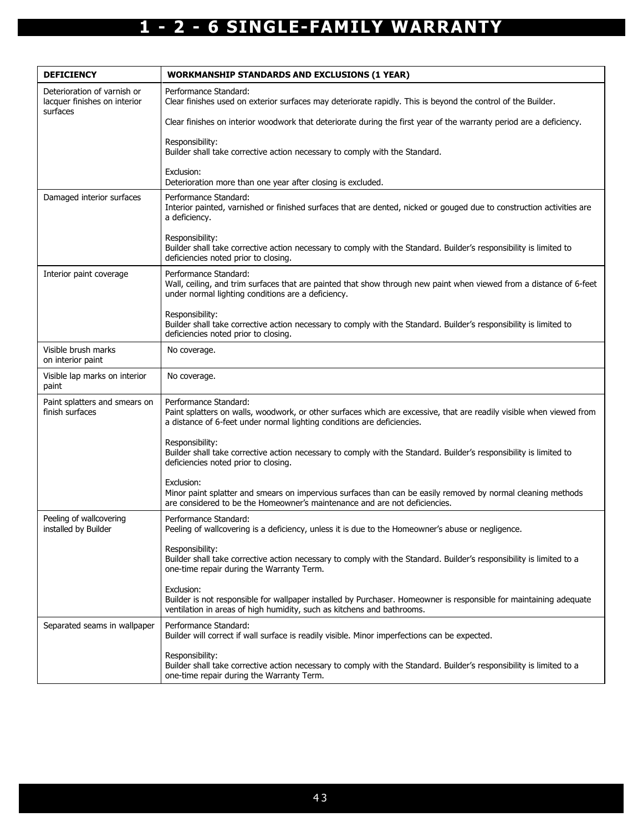| <b>DEFICIENCY</b>                                                       | <b>WORKMANSHIP STANDARDS AND EXCLUSIONS (1 YEAR)</b>                                                                                                                                                                     |
|-------------------------------------------------------------------------|--------------------------------------------------------------------------------------------------------------------------------------------------------------------------------------------------------------------------|
| Deterioration of varnish or<br>lacquer finishes on interior<br>surfaces | Performance Standard:<br>Clear finishes used on exterior surfaces may deteriorate rapidly. This is beyond the control of the Builder.                                                                                    |
|                                                                         | Clear finishes on interior woodwork that deteriorate during the first year of the warranty period are a deficiency.                                                                                                      |
|                                                                         | Responsibility:<br>Builder shall take corrective action necessary to comply with the Standard.                                                                                                                           |
|                                                                         | Exclusion:<br>Deterioration more than one year after closing is excluded.                                                                                                                                                |
| Damaged interior surfaces                                               | Performance Standard:<br>Interior painted, varnished or finished surfaces that are dented, nicked or gouged due to construction activities are<br>a deficiency.                                                          |
|                                                                         | Responsibility:<br>Builder shall take corrective action necessary to comply with the Standard. Builder's responsibility is limited to<br>deficiencies noted prior to closing.                                            |
| Interior paint coverage                                                 | Performance Standard:<br>Wall, ceiling, and trim surfaces that are painted that show through new paint when viewed from a distance of 6-feet<br>under normal lighting conditions are a deficiency.                       |
|                                                                         | Responsibility:<br>Builder shall take corrective action necessary to comply with the Standard. Builder's responsibility is limited to<br>deficiencies noted prior to closing.                                            |
| Visible brush marks<br>on interior paint                                | No coverage.                                                                                                                                                                                                             |
| Visible lap marks on interior<br>paint                                  | No coverage.                                                                                                                                                                                                             |
| Paint splatters and smears on<br>finish surfaces                        | Performance Standard:<br>Paint splatters on walls, woodwork, or other surfaces which are excessive, that are readily visible when viewed from<br>a distance of 6-feet under normal lighting conditions are deficiencies. |
|                                                                         | Responsibility:<br>Builder shall take corrective action necessary to comply with the Standard. Builder's responsibility is limited to<br>deficiencies noted prior to closing.                                            |
|                                                                         | Exclusion:<br>Minor paint splatter and smears on impervious surfaces than can be easily removed by normal cleaning methods<br>are considered to be the Homeowner's maintenance and are not deficiencies.                 |
| Peeling of wallcovering<br>installed by Builder                         | Performance Standard:<br>Peeling of wallcovering is a deficiency, unless it is due to the Homeowner's abuse or negligence.                                                                                               |
|                                                                         | Responsibility:<br>Builder shall take corrective action necessary to comply with the Standard. Builder's responsibility is limited to a<br>one-time repair during the Warranty Term.                                     |
|                                                                         | Exclusion:<br>Builder is not responsible for wallpaper installed by Purchaser. Homeowner is responsible for maintaining adequate<br>ventilation in areas of high humidity, such as kitchens and bathrooms.               |
| Separated seams in wallpaper                                            | Performance Standard:<br>Builder will correct if wall surface is readily visible. Minor imperfections can be expected.                                                                                                   |
|                                                                         | Responsibility:<br>Builder shall take corrective action necessary to comply with the Standard. Builder's responsibility is limited to a<br>one-time repair during the Warranty Term.                                     |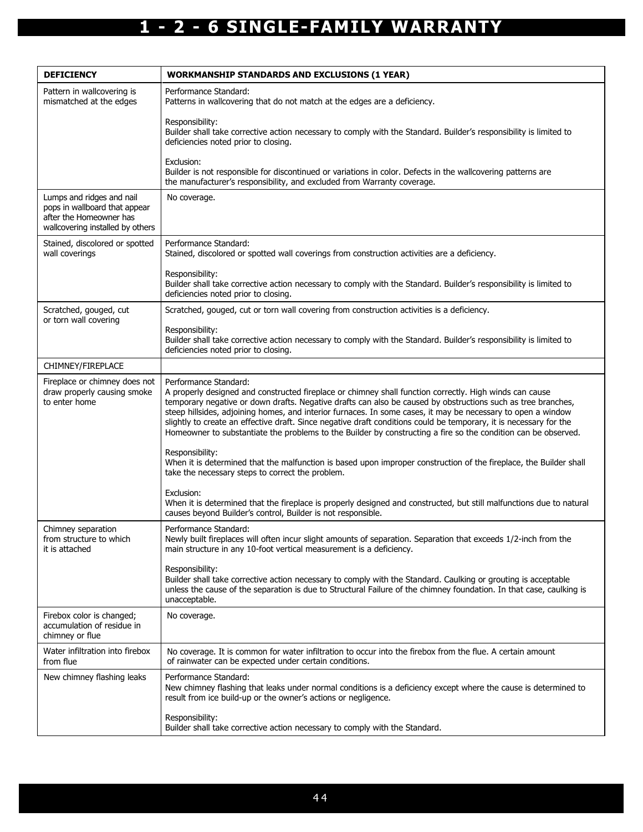| <b>DEFICIENCY</b>                                                                                                         | <b>WORKMANSHIP STANDARDS AND EXCLUSIONS (1 YEAR)</b>                                                                                                                                                                                                                                                                                                                                                                                                                                                                                                                                                     |
|---------------------------------------------------------------------------------------------------------------------------|----------------------------------------------------------------------------------------------------------------------------------------------------------------------------------------------------------------------------------------------------------------------------------------------------------------------------------------------------------------------------------------------------------------------------------------------------------------------------------------------------------------------------------------------------------------------------------------------------------|
| Pattern in wallcovering is<br>mismatched at the edges                                                                     | Performance Standard:<br>Patterns in wallcovering that do not match at the edges are a deficiency.                                                                                                                                                                                                                                                                                                                                                                                                                                                                                                       |
|                                                                                                                           | Responsibility:<br>Builder shall take corrective action necessary to comply with the Standard. Builder's responsibility is limited to<br>deficiencies noted prior to closing.                                                                                                                                                                                                                                                                                                                                                                                                                            |
|                                                                                                                           | Exclusion:<br>Builder is not responsible for discontinued or variations in color. Defects in the wallcovering patterns are<br>the manufacturer's responsibility, and excluded from Warranty coverage.                                                                                                                                                                                                                                                                                                                                                                                                    |
| Lumps and ridges and nail<br>pops in wallboard that appear<br>after the Homeowner has<br>wallcovering installed by others | No coverage.                                                                                                                                                                                                                                                                                                                                                                                                                                                                                                                                                                                             |
| Stained, discolored or spotted<br>wall coverings                                                                          | Performance Standard:<br>Stained, discolored or spotted wall coverings from construction activities are a deficiency.                                                                                                                                                                                                                                                                                                                                                                                                                                                                                    |
|                                                                                                                           | Responsibility:<br>Builder shall take corrective action necessary to comply with the Standard. Builder's responsibility is limited to<br>deficiencies noted prior to closing.                                                                                                                                                                                                                                                                                                                                                                                                                            |
| Scratched, gouged, cut<br>or torn wall covering                                                                           | Scratched, gouged, cut or torn wall covering from construction activities is a deficiency.                                                                                                                                                                                                                                                                                                                                                                                                                                                                                                               |
|                                                                                                                           | Responsibility:<br>Builder shall take corrective action necessary to comply with the Standard. Builder's responsibility is limited to<br>deficiencies noted prior to closing.                                                                                                                                                                                                                                                                                                                                                                                                                            |
| CHIMNEY/FIREPLACE                                                                                                         |                                                                                                                                                                                                                                                                                                                                                                                                                                                                                                                                                                                                          |
| Fireplace or chimney does not<br>draw properly causing smoke<br>to enter home                                             | Performance Standard:<br>A properly designed and constructed fireplace or chimney shall function correctly. High winds can cause<br>temporary negative or down drafts. Negative drafts can also be caused by obstructions such as tree branches,<br>steep hillsides, adjoining homes, and interior furnaces. In some cases, it may be necessary to open a window<br>slightly to create an effective draft. Since negative draft conditions could be temporary, it is necessary for the<br>Homeowner to substantiate the problems to the Builder by constructing a fire so the condition can be observed. |
|                                                                                                                           | Responsibility:<br>When it is determined that the malfunction is based upon improper construction of the fireplace, the Builder shall<br>take the necessary steps to correct the problem.                                                                                                                                                                                                                                                                                                                                                                                                                |
|                                                                                                                           | Exclusion:<br>When it is determined that the fireplace is properly designed and constructed, but still malfunctions due to natural<br>causes beyond Builder's control, Builder is not responsible.                                                                                                                                                                                                                                                                                                                                                                                                       |
| Chimney separation<br>from structure to which<br>it is attached                                                           | Performance Standard:<br>Newly built fireplaces will often incur slight amounts of separation. Separation that exceeds 1/2-inch from the<br>main structure in any 10-foot vertical measurement is a deficiency.                                                                                                                                                                                                                                                                                                                                                                                          |
|                                                                                                                           | Responsibility:<br>Builder shall take corrective action necessary to comply with the Standard. Caulking or grouting is acceptable<br>unless the cause of the separation is due to Structural Failure of the chimney foundation. In that case, caulking is<br>unacceptable.                                                                                                                                                                                                                                                                                                                               |
| Firebox color is changed;<br>accumulation of residue in<br>chimney or flue                                                | No coverage.                                                                                                                                                                                                                                                                                                                                                                                                                                                                                                                                                                                             |
| Water infiltration into firebox<br>from flue                                                                              | No coverage. It is common for water infiltration to occur into the firebox from the flue. A certain amount<br>of rainwater can be expected under certain conditions.                                                                                                                                                                                                                                                                                                                                                                                                                                     |
| New chimney flashing leaks                                                                                                | Performance Standard:<br>New chimney flashing that leaks under normal conditions is a deficiency except where the cause is determined to<br>result from ice build-up or the owner's actions or negligence.                                                                                                                                                                                                                                                                                                                                                                                               |
|                                                                                                                           | Responsibility:<br>Builder shall take corrective action necessary to comply with the Standard.                                                                                                                                                                                                                                                                                                                                                                                                                                                                                                           |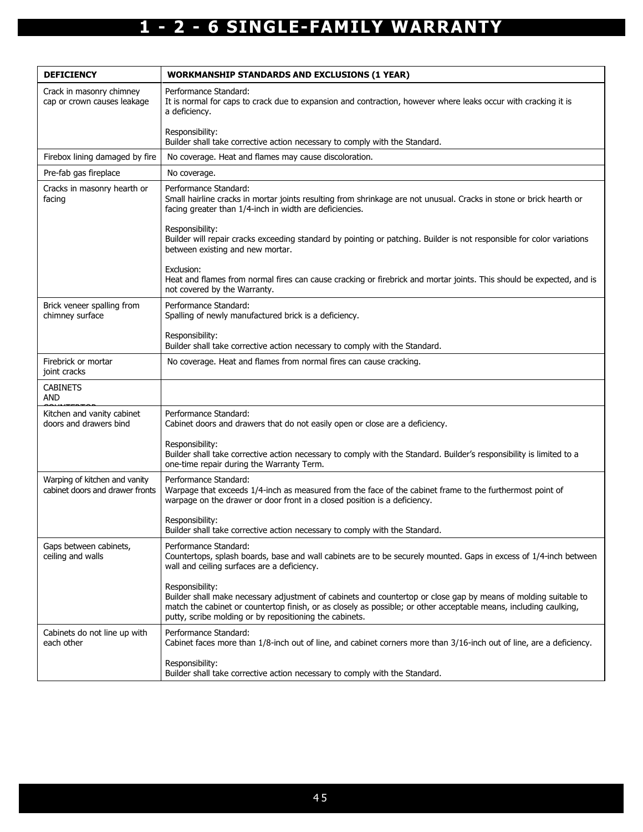| <b>DEFICIENCY</b>                                                | <b>WORKMANSHIP STANDARDS AND EXCLUSIONS (1 YEAR)</b>                                                                                                                                                                                                                                                               |
|------------------------------------------------------------------|--------------------------------------------------------------------------------------------------------------------------------------------------------------------------------------------------------------------------------------------------------------------------------------------------------------------|
| Crack in masonry chimney<br>cap or crown causes leakage          | Performance Standard:<br>It is normal for caps to crack due to expansion and contraction, however where leaks occur with cracking it is<br>a deficiency.                                                                                                                                                           |
|                                                                  | Responsibility:<br>Builder shall take corrective action necessary to comply with the Standard.                                                                                                                                                                                                                     |
| Firebox lining damaged by fire                                   | No coverage. Heat and flames may cause discoloration.                                                                                                                                                                                                                                                              |
| Pre-fab gas fireplace                                            | No coverage.                                                                                                                                                                                                                                                                                                       |
| Cracks in masonry hearth or<br>facing                            | Performance Standard:<br>Small hairline cracks in mortar joints resulting from shrinkage are not unusual. Cracks in stone or brick hearth or<br>facing greater than 1/4-inch in width are deficiencies.                                                                                                            |
|                                                                  | Responsibility:<br>Builder will repair cracks exceeding standard by pointing or patching. Builder is not responsible for color variations<br>between existing and new mortar.                                                                                                                                      |
|                                                                  | Exclusion:<br>Heat and flames from normal fires can cause cracking or firebrick and mortar joints. This should be expected, and is<br>not covered by the Warranty.                                                                                                                                                 |
| Brick veneer spalling from<br>chimney surface                    | Performance Standard:<br>Spalling of newly manufactured brick is a deficiency.                                                                                                                                                                                                                                     |
|                                                                  | Responsibility:<br>Builder shall take corrective action necessary to comply with the Standard.                                                                                                                                                                                                                     |
| Firebrick or mortar<br>joint cracks                              | No coverage. Heat and flames from normal fires can cause cracking.                                                                                                                                                                                                                                                 |
| <b>CABINETS</b><br>AND                                           |                                                                                                                                                                                                                                                                                                                    |
| Kitchen and vanity cabinet<br>doors and drawers bind             | Performance Standard:<br>Cabinet doors and drawers that do not easily open or close are a deficiency.                                                                                                                                                                                                              |
|                                                                  | Responsibility:<br>Builder shall take corrective action necessary to comply with the Standard. Builder's responsibility is limited to a<br>one-time repair during the Warranty Term.                                                                                                                               |
| Warping of kitchen and vanity<br>cabinet doors and drawer fronts | Performance Standard:<br>Warpage that exceeds 1/4-inch as measured from the face of the cabinet frame to the furthermost point of<br>warpage on the drawer or door front in a closed position is a deficiency.                                                                                                     |
|                                                                  | Responsibility:<br>Builder shall take corrective action necessary to comply with the Standard.                                                                                                                                                                                                                     |
| Gaps between cabinets,<br>ceiling and walls                      | Performance Standard:<br>Countertops, splash boards, base and wall cabinets are to be securely mounted. Gaps in excess of 1/4-inch between<br>wall and ceiling surfaces are a deficiency.                                                                                                                          |
|                                                                  | Responsibility:<br>Builder shall make necessary adjustment of cabinets and countertop or close gap by means of molding suitable to<br>match the cabinet or countertop finish, or as closely as possible; or other acceptable means, including caulking,<br>putty, scribe molding or by repositioning the cabinets. |
| Cabinets do not line up with<br>each other                       | Performance Standard:<br>Cabinet faces more than 1/8-inch out of line, and cabinet corners more than 3/16-inch out of line, are a deficiency.                                                                                                                                                                      |
|                                                                  | Responsibility:<br>Builder shall take corrective action necessary to comply with the Standard.                                                                                                                                                                                                                     |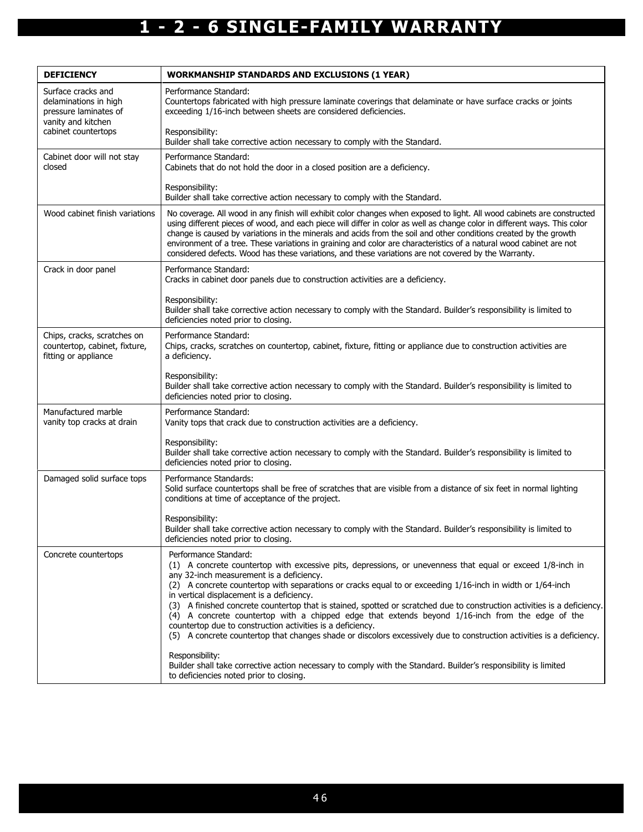| <b>DEFICIENCY</b>                                                                                                 | <b>WORKMANSHIP STANDARDS AND EXCLUSIONS (1 YEAR)</b>                                                                                                                                                                                                                                                                                                                                                                                                                                                                                                                                                                                                                                                                                                              |
|-------------------------------------------------------------------------------------------------------------------|-------------------------------------------------------------------------------------------------------------------------------------------------------------------------------------------------------------------------------------------------------------------------------------------------------------------------------------------------------------------------------------------------------------------------------------------------------------------------------------------------------------------------------------------------------------------------------------------------------------------------------------------------------------------------------------------------------------------------------------------------------------------|
| Surface cracks and<br>delaminations in high<br>pressure laminates of<br>vanity and kitchen<br>cabinet countertops | Performance Standard:<br>Countertops fabricated with high pressure laminate coverings that delaminate or have surface cracks or joints<br>exceeding 1/16-inch between sheets are considered deficiencies.                                                                                                                                                                                                                                                                                                                                                                                                                                                                                                                                                         |
|                                                                                                                   | Responsibility:<br>Builder shall take corrective action necessary to comply with the Standard.                                                                                                                                                                                                                                                                                                                                                                                                                                                                                                                                                                                                                                                                    |
| Cabinet door will not stay<br>closed                                                                              | Performance Standard:<br>Cabinets that do not hold the door in a closed position are a deficiency.                                                                                                                                                                                                                                                                                                                                                                                                                                                                                                                                                                                                                                                                |
|                                                                                                                   | Responsibility:<br>Builder shall take corrective action necessary to comply with the Standard.                                                                                                                                                                                                                                                                                                                                                                                                                                                                                                                                                                                                                                                                    |
| Wood cabinet finish variations                                                                                    | No coverage. All wood in any finish will exhibit color changes when exposed to light. All wood cabinets are constructed<br>using different pieces of wood, and each piece will differ in color as well as change color in different ways. This color<br>change is caused by variations in the minerals and acids from the soil and other conditions created by the growth<br>environment of a tree. These variations in graining and color are characteristics of a natural wood cabinet are not<br>considered defects. Wood has these variations, and these variations are not covered by the Warranty.                                                                                                                                                          |
| Crack in door panel                                                                                               | Performance Standard:<br>Cracks in cabinet door panels due to construction activities are a deficiency.                                                                                                                                                                                                                                                                                                                                                                                                                                                                                                                                                                                                                                                           |
|                                                                                                                   | Responsibility:<br>Builder shall take corrective action necessary to comply with the Standard. Builder's responsibility is limited to<br>deficiencies noted prior to closing.                                                                                                                                                                                                                                                                                                                                                                                                                                                                                                                                                                                     |
| Chips, cracks, scratches on<br>countertop, cabinet, fixture,<br>fitting or appliance                              | Performance Standard:<br>Chips, cracks, scratches on countertop, cabinet, fixture, fitting or appliance due to construction activities are<br>a deficiency.                                                                                                                                                                                                                                                                                                                                                                                                                                                                                                                                                                                                       |
|                                                                                                                   | Responsibility:<br>Builder shall take corrective action necessary to comply with the Standard. Builder's responsibility is limited to<br>deficiencies noted prior to closing.                                                                                                                                                                                                                                                                                                                                                                                                                                                                                                                                                                                     |
| Manufactured marble<br>vanity top cracks at drain                                                                 | Performance Standard:<br>Vanity tops that crack due to construction activities are a deficiency.                                                                                                                                                                                                                                                                                                                                                                                                                                                                                                                                                                                                                                                                  |
|                                                                                                                   | Responsibility:<br>Builder shall take corrective action necessary to comply with the Standard. Builder's responsibility is limited to<br>deficiencies noted prior to closing.                                                                                                                                                                                                                                                                                                                                                                                                                                                                                                                                                                                     |
| Damaged solid surface tops                                                                                        | Performance Standards:<br>Solid surface countertops shall be free of scratches that are visible from a distance of six feet in normal lighting<br>conditions at time of acceptance of the project.                                                                                                                                                                                                                                                                                                                                                                                                                                                                                                                                                                |
|                                                                                                                   | Responsibility:<br>Builder shall take corrective action necessary to comply with the Standard. Builder's responsibility is limited to<br>deficiencies noted prior to closing.                                                                                                                                                                                                                                                                                                                                                                                                                                                                                                                                                                                     |
| Concrete countertops                                                                                              | Performance Standard:<br>(1) A concrete countertop with excessive pits, depressions, or unevenness that equal or exceed 1/8-inch in<br>any 32-inch measurement is a deficiency.<br>(2) A concrete countertop with separations or cracks equal to or exceeding 1/16-inch in width or 1/64-inch<br>in vertical displacement is a deficiency.<br>(3) A finished concrete countertop that is stained, spotted or scratched due to construction activities is a deficiency.<br>(4) A concrete countertop with a chipped edge that extends beyond 1/16-inch from the edge of the<br>countertop due to construction activities is a deficiency.<br>(5) A concrete countertop that changes shade or discolors excessively due to construction activities is a deficiency. |
|                                                                                                                   | Responsibility:<br>Builder shall take corrective action necessary to comply with the Standard. Builder's responsibility is limited<br>to deficiencies noted prior to closing.                                                                                                                                                                                                                                                                                                                                                                                                                                                                                                                                                                                     |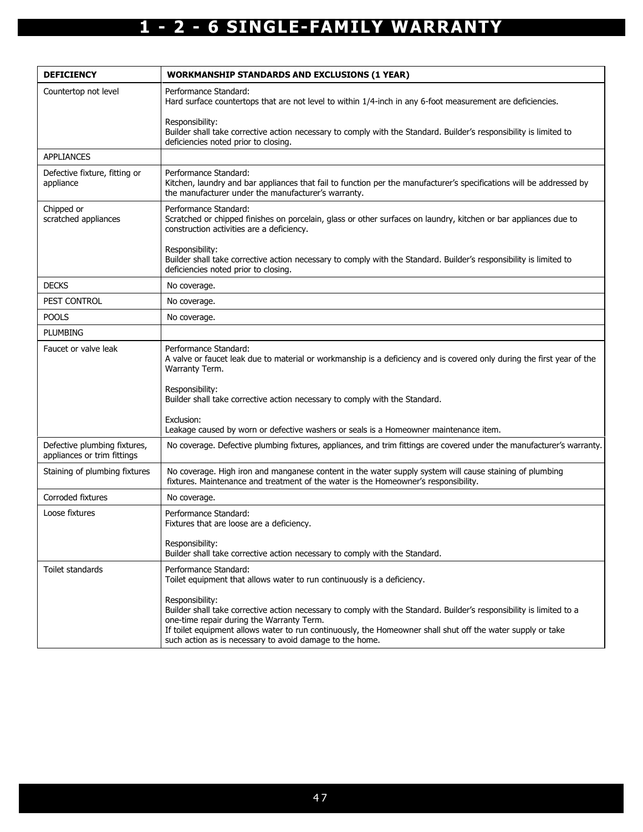| <b>DEFICIENCY</b>                                           | <b>WORKMANSHIP STANDARDS AND EXCLUSIONS (1 YEAR)</b>                                                                                                                                                                                                                                                                                                            |
|-------------------------------------------------------------|-----------------------------------------------------------------------------------------------------------------------------------------------------------------------------------------------------------------------------------------------------------------------------------------------------------------------------------------------------------------|
| Countertop not level                                        | Performance Standard:<br>Hard surface countertops that are not level to within 1/4-inch in any 6-foot measurement are deficiencies.                                                                                                                                                                                                                             |
|                                                             | Responsibility:<br>Builder shall take corrective action necessary to comply with the Standard. Builder's responsibility is limited to<br>deficiencies noted prior to closing.                                                                                                                                                                                   |
| <b>APPLIANCES</b>                                           |                                                                                                                                                                                                                                                                                                                                                                 |
| Defective fixture, fitting or<br>appliance                  | Performance Standard:<br>Kitchen, laundry and bar appliances that fail to function per the manufacturer's specifications will be addressed by<br>the manufacturer under the manufacturer's warranty.                                                                                                                                                            |
| Chipped or<br>scratched appliances                          | Performance Standard:<br>Scratched or chipped finishes on porcelain, glass or other surfaces on laundry, kitchen or bar appliances due to<br>construction activities are a deficiency.                                                                                                                                                                          |
|                                                             | Responsibility:<br>Builder shall take corrective action necessary to comply with the Standard. Builder's responsibility is limited to<br>deficiencies noted prior to closing.                                                                                                                                                                                   |
| <b>DECKS</b>                                                | No coverage.                                                                                                                                                                                                                                                                                                                                                    |
| PEST CONTROL                                                | No coverage.                                                                                                                                                                                                                                                                                                                                                    |
| <b>POOLS</b>                                                | No coverage.                                                                                                                                                                                                                                                                                                                                                    |
| <b>PLUMBING</b>                                             |                                                                                                                                                                                                                                                                                                                                                                 |
| Faucet or valve leak                                        | Performance Standard:<br>A valve or faucet leak due to material or workmanship is a deficiency and is covered only during the first year of the<br>Warranty Term.                                                                                                                                                                                               |
|                                                             | Responsibility:<br>Builder shall take corrective action necessary to comply with the Standard.                                                                                                                                                                                                                                                                  |
|                                                             | Exclusion:<br>Leakage caused by worn or defective washers or seals is a Homeowner maintenance item.                                                                                                                                                                                                                                                             |
| Defective plumbing fixtures,<br>appliances or trim fittings | No coverage. Defective plumbing fixtures, appliances, and trim fittings are covered under the manufacturer's warranty.                                                                                                                                                                                                                                          |
| Staining of plumbing fixtures                               | No coverage. High iron and manganese content in the water supply system will cause staining of plumbing<br>fixtures. Maintenance and treatment of the water is the Homeowner's responsibility.                                                                                                                                                                  |
| Corroded fixtures                                           | No coverage.                                                                                                                                                                                                                                                                                                                                                    |
| Loose fixtures                                              | Performance Standard:<br>Fixtures that are loose are a deficiency.                                                                                                                                                                                                                                                                                              |
|                                                             | Responsibility:<br>Builder shall take corrective action necessary to comply with the Standard.                                                                                                                                                                                                                                                                  |
| Toilet standards                                            | Performance Standard:<br>Toilet equipment that allows water to run continuously is a deficiency.                                                                                                                                                                                                                                                                |
|                                                             | Responsibility:<br>Builder shall take corrective action necessary to comply with the Standard. Builder's responsibility is limited to a<br>one-time repair during the Warranty Term.<br>If toilet equipment allows water to run continuously, the Homeowner shall shut off the water supply or take<br>such action as is necessary to avoid damage to the home. |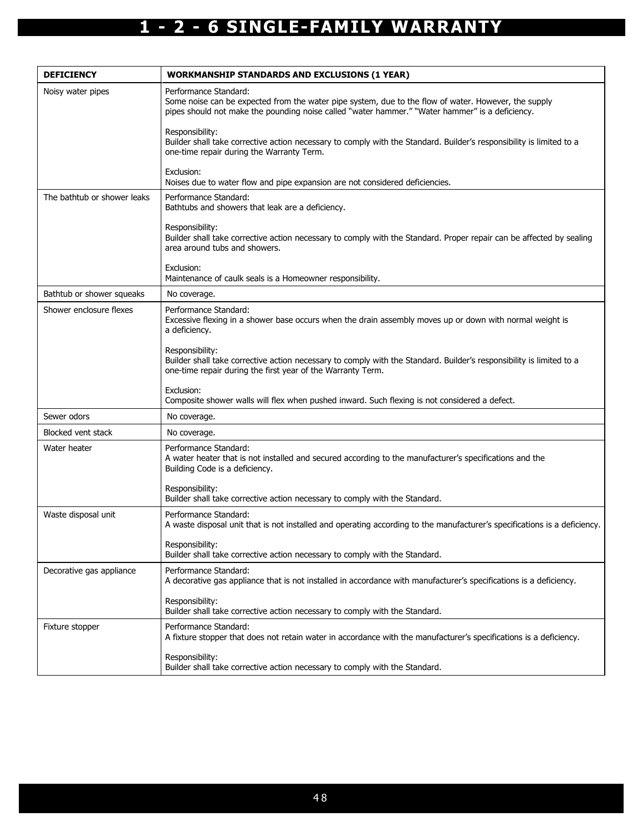| <b>DEFICIENCY</b>           | <b>WORKMANSHIP STANDARDS AND EXCLUSIONS (1 YEAR)</b>                                                                                                                                                                             |
|-----------------------------|----------------------------------------------------------------------------------------------------------------------------------------------------------------------------------------------------------------------------------|
| Noisy water pipes           | Performance Standard:<br>Some noise can be expected from the water pipe system, due to the flow of water. However, the supply<br>pipes should not make the pounding noise called "water hammer." "Water hammer" is a deficiency. |
|                             | Responsibility:<br>Builder shall take corrective action necessary to comply with the Standard. Builder's responsibility is limited to a<br>one-time repair during the Warranty Term.                                             |
|                             | Exclusion:<br>Noises due to water flow and pipe expansion are not considered deficiencies.                                                                                                                                       |
| The bathtub or shower leaks | Performance Standard:<br>Bathtubs and showers that leak are a deficiency.                                                                                                                                                        |
|                             | Responsibility:<br>Builder shall take corrective action necessary to comply with the Standard. Proper repair can be affected by sealing<br>area around tubs and showers.                                                         |
|                             | Exclusion:<br>Maintenance of caulk seals is a Homeowner responsibility.                                                                                                                                                          |
| Bathtub or shower squeaks   | No coverage.                                                                                                                                                                                                                     |
| Shower enclosure flexes     | Performance Standard:<br>Excessive flexing in a shower base occurs when the drain assembly moves up or down with normal weight is<br>a deficiency.                                                                               |
|                             | Responsibility:<br>Builder shall take corrective action necessary to comply with the Standard. Builder's responsibility is limited to a<br>one-time repair during the first year of the Warranty Term.                           |
|                             | Exclusion:<br>Composite shower walls will flex when pushed inward. Such flexing is not considered a defect.                                                                                                                      |
| Sewer odors                 | No coverage.                                                                                                                                                                                                                     |
| Blocked vent stack          | No coverage.                                                                                                                                                                                                                     |
| Water heater                | Performance Standard:<br>A water heater that is not installed and secured according to the manufacturer's specifications and the<br>Building Code is a deficiency.                                                               |
|                             | Responsibility:<br>Builder shall take corrective action necessary to comply with the Standard.                                                                                                                                   |
| Waste disposal unit         | Performance Standard:<br>A waste disposal unit that is not installed and operating according to the manufacturer's specifications is a deficiency.                                                                               |
|                             | Responsibility:<br>Builder shall take corrective action necessary to comply with the Standard.                                                                                                                                   |
| Decorative gas appliance    | Performance Standard:<br>A decorative gas appliance that is not installed in accordance with manufacturer's specifications is a deficiency.                                                                                      |
|                             | Responsibility:<br>Builder shall take corrective action necessary to comply with the Standard.                                                                                                                                   |
| Fixture stopper             | Performance Standard:<br>A fixture stopper that does not retain water in accordance with the manufacturer's specifications is a deficiency.                                                                                      |
|                             | Responsibility:<br>Builder shall take corrective action necessary to comply with the Standard.                                                                                                                                   |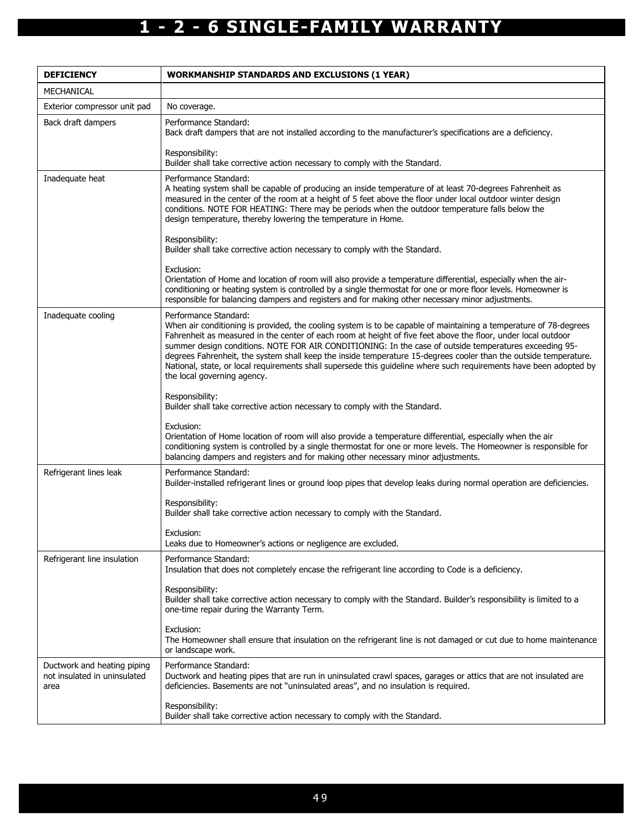| <b>DEFICIENCY</b>                                                   | <b>WORKMANSHIP STANDARDS AND EXCLUSIONS (1 YEAR)</b>                                                                                                                                                                                                                                                                                                                                                                                                                                                                                                                                                                                           |  |  |
|---------------------------------------------------------------------|------------------------------------------------------------------------------------------------------------------------------------------------------------------------------------------------------------------------------------------------------------------------------------------------------------------------------------------------------------------------------------------------------------------------------------------------------------------------------------------------------------------------------------------------------------------------------------------------------------------------------------------------|--|--|
| MECHANICAL                                                          |                                                                                                                                                                                                                                                                                                                                                                                                                                                                                                                                                                                                                                                |  |  |
| Exterior compressor unit pad                                        | No coverage.                                                                                                                                                                                                                                                                                                                                                                                                                                                                                                                                                                                                                                   |  |  |
| Back draft dampers                                                  | Performance Standard:<br>Back draft dampers that are not installed according to the manufacturer's specifications are a deficiency.                                                                                                                                                                                                                                                                                                                                                                                                                                                                                                            |  |  |
|                                                                     | Responsibility:<br>Builder shall take corrective action necessary to comply with the Standard.                                                                                                                                                                                                                                                                                                                                                                                                                                                                                                                                                 |  |  |
| Inadequate heat                                                     | Performance Standard:<br>A heating system shall be capable of producing an inside temperature of at least 70-degrees Fahrenheit as<br>measured in the center of the room at a height of 5 feet above the floor under local outdoor winter design<br>conditions. NOTE FOR HEATING: There may be periods when the outdoor temperature falls below the<br>design temperature, thereby lowering the temperature in Home.                                                                                                                                                                                                                           |  |  |
|                                                                     | Responsibility:<br>Builder shall take corrective action necessary to comply with the Standard.                                                                                                                                                                                                                                                                                                                                                                                                                                                                                                                                                 |  |  |
|                                                                     | Exclusion:<br>Orientation of Home and location of room will also provide a temperature differential, especially when the air-<br>conditioning or heating system is controlled by a single thermostat for one or more floor levels. Homeowner is<br>responsible for balancing dampers and registers and for making other necessary minor adjustments.                                                                                                                                                                                                                                                                                           |  |  |
| Inadequate cooling                                                  | Performance Standard:<br>When air conditioning is provided, the cooling system is to be capable of maintaining a temperature of 78-degrees<br>Fahrenheit as measured in the center of each room at height of five feet above the floor, under local outdoor<br>summer design conditions. NOTE FOR AIR CONDITIONING: In the case of outside temperatures exceeding 95-<br>degrees Fahrenheit, the system shall keep the inside temperature 15-degrees cooler than the outside temperature.<br>National, state, or local requirements shall supersede this guideline where such requirements have been adopted by<br>the local governing agency. |  |  |
|                                                                     | Responsibility:<br>Builder shall take corrective action necessary to comply with the Standard.                                                                                                                                                                                                                                                                                                                                                                                                                                                                                                                                                 |  |  |
|                                                                     | Exclusion:<br>Orientation of Home location of room will also provide a temperature differential, especially when the air<br>conditioning system is controlled by a single thermostat for one or more levels. The Homeowner is responsible for<br>balancing dampers and registers and for making other necessary minor adjustments.                                                                                                                                                                                                                                                                                                             |  |  |
| Refrigerant lines leak                                              | Performance Standard:<br>Builder-installed refrigerant lines or ground loop pipes that develop leaks during normal operation are deficiencies.                                                                                                                                                                                                                                                                                                                                                                                                                                                                                                 |  |  |
|                                                                     | Responsibility:<br>Builder shall take corrective action necessary to comply with the Standard.                                                                                                                                                                                                                                                                                                                                                                                                                                                                                                                                                 |  |  |
|                                                                     | Exclusion:<br>Leaks due to Homeowner's actions or negligence are excluded.                                                                                                                                                                                                                                                                                                                                                                                                                                                                                                                                                                     |  |  |
| Refrigerant line insulation                                         | Performance Standard:<br>Insulation that does not completely encase the refrigerant line according to Code is a deficiency.                                                                                                                                                                                                                                                                                                                                                                                                                                                                                                                    |  |  |
|                                                                     | Responsibility:<br>Builder shall take corrective action necessary to comply with the Standard. Builder's responsibility is limited to a<br>one-time repair during the Warranty Term.                                                                                                                                                                                                                                                                                                                                                                                                                                                           |  |  |
|                                                                     | Exclusion:<br>The Homeowner shall ensure that insulation on the refrigerant line is not damaged or cut due to home maintenance<br>or landscape work.                                                                                                                                                                                                                                                                                                                                                                                                                                                                                           |  |  |
| Ductwork and heating piping<br>not insulated in uninsulated<br>area | Performance Standard:<br>Ductwork and heating pipes that are run in uninsulated crawl spaces, garages or attics that are not insulated are<br>deficiencies. Basements are not "uninsulated areas", and no insulation is required.                                                                                                                                                                                                                                                                                                                                                                                                              |  |  |
|                                                                     | Responsibility:<br>Builder shall take corrective action necessary to comply with the Standard.                                                                                                                                                                                                                                                                                                                                                                                                                                                                                                                                                 |  |  |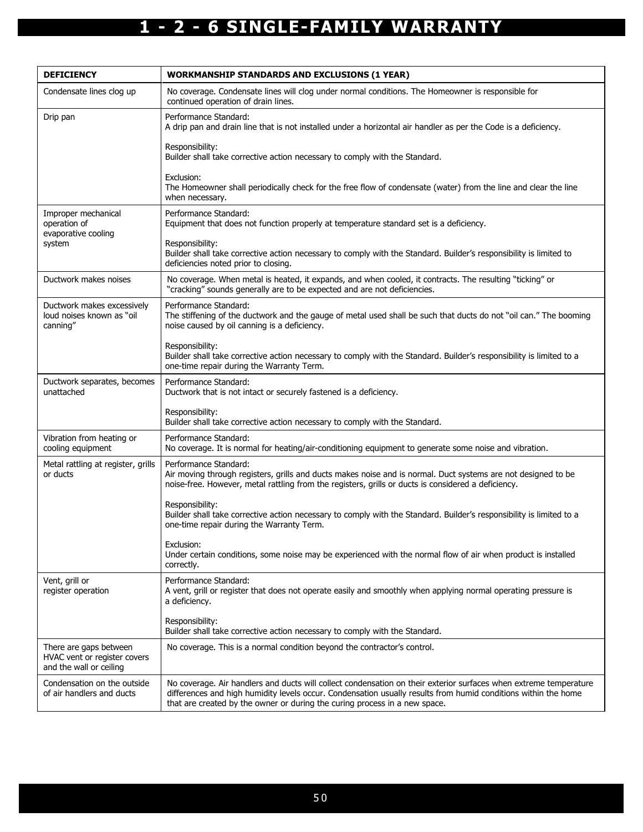| <b>DEFICIENCY</b>                                                                 | <b>WORKMANSHIP STANDARDS AND EXCLUSIONS (1 YEAR)</b>                                                                                                                                                                                                                                                              |  |  |
|-----------------------------------------------------------------------------------|-------------------------------------------------------------------------------------------------------------------------------------------------------------------------------------------------------------------------------------------------------------------------------------------------------------------|--|--|
| Condensate lines clog up                                                          | No coverage. Condensate lines will clog under normal conditions. The Homeowner is responsible for<br>continued operation of drain lines.                                                                                                                                                                          |  |  |
| Drip pan                                                                          | Performance Standard:<br>A drip pan and drain line that is not installed under a horizontal air handler as per the Code is a deficiency.                                                                                                                                                                          |  |  |
|                                                                                   | Responsibility:<br>Builder shall take corrective action necessary to comply with the Standard.                                                                                                                                                                                                                    |  |  |
|                                                                                   | Exclusion:<br>The Homeowner shall periodically check for the free flow of condensate (water) from the line and clear the line<br>when necessary.                                                                                                                                                                  |  |  |
| Improper mechanical<br>operation of<br>evaporative cooling<br>system              | Performance Standard:<br>Equipment that does not function properly at temperature standard set is a deficiency.                                                                                                                                                                                                   |  |  |
|                                                                                   | Responsibility:<br>Builder shall take corrective action necessary to comply with the Standard. Builder's responsibility is limited to<br>deficiencies noted prior to closing.                                                                                                                                     |  |  |
| Ductwork makes noises                                                             | No coverage. When metal is heated, it expands, and when cooled, it contracts. The resulting "ticking" or<br>"cracking" sounds generally are to be expected and are not deficiencies.                                                                                                                              |  |  |
| Ductwork makes excessively<br>loud noises known as "oil<br>canning"               | Performance Standard:<br>The stiffening of the ductwork and the gauge of metal used shall be such that ducts do not "oil can." The booming<br>noise caused by oil canning is a deficiency.                                                                                                                        |  |  |
|                                                                                   | Responsibility:<br>Builder shall take corrective action necessary to comply with the Standard. Builder's responsibility is limited to a<br>one-time repair during the Warranty Term.                                                                                                                              |  |  |
| Ductwork separates, becomes<br>unattached                                         | Performance Standard:<br>Ductwork that is not intact or securely fastened is a deficiency.                                                                                                                                                                                                                        |  |  |
|                                                                                   | Responsibility:<br>Builder shall take corrective action necessary to comply with the Standard.                                                                                                                                                                                                                    |  |  |
| Vibration from heating or<br>cooling equipment                                    | Performance Standard:<br>No coverage. It is normal for heating/air-conditioning equipment to generate some noise and vibration.                                                                                                                                                                                   |  |  |
| Metal rattling at register, grills<br>or ducts                                    | Performance Standard:<br>Air moving through registers, grills and ducts makes noise and is normal. Duct systems are not designed to be<br>noise-free. However, metal rattling from the registers, grills or ducts is considered a deficiency.                                                                     |  |  |
|                                                                                   | Responsibility:<br>Builder shall take corrective action necessary to comply with the Standard. Builder's responsibility is limited to a<br>one-time repair during the Warranty Term.                                                                                                                              |  |  |
|                                                                                   | Exclusion:<br>Under certain conditions, some noise may be experienced with the normal flow of air when product is installed<br>correctly.                                                                                                                                                                         |  |  |
| Vent, grill or<br>register operation                                              | Performance Standard:<br>A vent, grill or register that does not operate easily and smoothly when applying normal operating pressure is<br>a deficiency.                                                                                                                                                          |  |  |
|                                                                                   | Responsibility:<br>Builder shall take corrective action necessary to comply with the Standard.                                                                                                                                                                                                                    |  |  |
| There are gaps between<br>HVAC vent or register covers<br>and the wall or ceiling | No coverage. This is a normal condition beyond the contractor's control.                                                                                                                                                                                                                                          |  |  |
| Condensation on the outside<br>of air handlers and ducts                          | No coverage. Air handlers and ducts will collect condensation on their exterior surfaces when extreme temperature<br>differences and high humidity levels occur. Condensation usually results from humid conditions within the home<br>that are created by the owner or during the curing process in a new space. |  |  |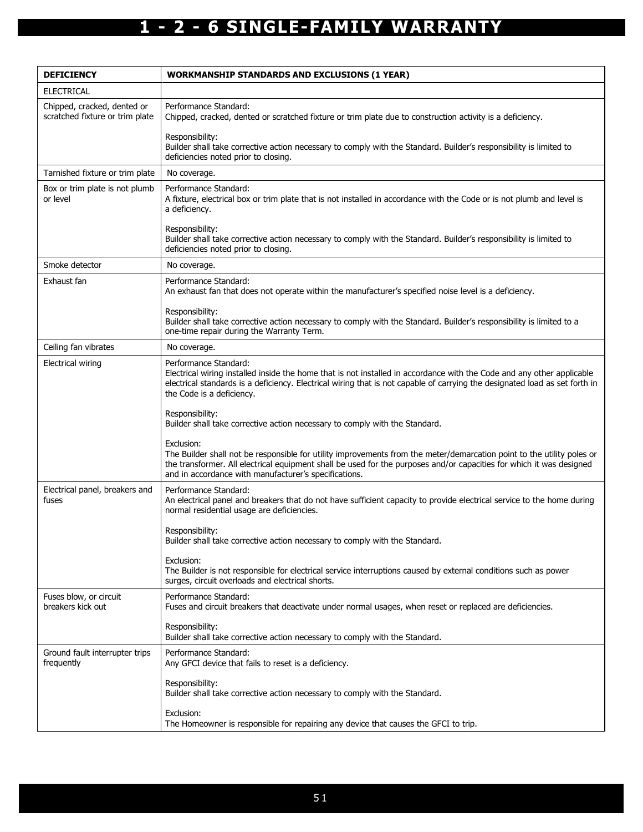| <b>DEFICIENCY</b>                                              | <b>WORKMANSHIP STANDARDS AND EXCLUSIONS (1 YEAR)</b>                                                                                                                                                                                                                                                                  |  |  |
|----------------------------------------------------------------|-----------------------------------------------------------------------------------------------------------------------------------------------------------------------------------------------------------------------------------------------------------------------------------------------------------------------|--|--|
| <b>ELECTRICAL</b>                                              |                                                                                                                                                                                                                                                                                                                       |  |  |
| Chipped, cracked, dented or<br>scratched fixture or trim plate | Performance Standard:<br>Chipped, cracked, dented or scratched fixture or trim plate due to construction activity is a deficiency.                                                                                                                                                                                    |  |  |
|                                                                | Responsibility:<br>Builder shall take corrective action necessary to comply with the Standard. Builder's responsibility is limited to<br>deficiencies noted prior to closing.                                                                                                                                         |  |  |
| Tarnished fixture or trim plate                                | No coverage.                                                                                                                                                                                                                                                                                                          |  |  |
| Box or trim plate is not plumb<br>or level                     | Performance Standard:<br>A fixture, electrical box or trim plate that is not installed in accordance with the Code or is not plumb and level is<br>a deficiency.                                                                                                                                                      |  |  |
|                                                                | Responsibility:<br>Builder shall take corrective action necessary to comply with the Standard. Builder's responsibility is limited to<br>deficiencies noted prior to closing.                                                                                                                                         |  |  |
| Smoke detector                                                 | No coverage.                                                                                                                                                                                                                                                                                                          |  |  |
| Exhaust fan                                                    | Performance Standard:<br>An exhaust fan that does not operate within the manufacturer's specified noise level is a deficiency.                                                                                                                                                                                        |  |  |
|                                                                | Responsibility:<br>Builder shall take corrective action necessary to comply with the Standard. Builder's responsibility is limited to a<br>one-time repair during the Warranty Term.                                                                                                                                  |  |  |
| Ceiling fan vibrates                                           | No coverage.                                                                                                                                                                                                                                                                                                          |  |  |
| <b>Electrical wiring</b>                                       | Performance Standard:<br>Electrical wiring installed inside the home that is not installed in accordance with the Code and any other applicable<br>electrical standards is a deficiency. Electrical wiring that is not capable of carrying the designated load as set forth in<br>the Code is a deficiency.           |  |  |
|                                                                | Responsibility:<br>Builder shall take corrective action necessary to comply with the Standard.                                                                                                                                                                                                                        |  |  |
|                                                                | Exclusion:<br>The Builder shall not be responsible for utility improvements from the meter/demarcation point to the utility poles or<br>the transformer. All electrical equipment shall be used for the purposes and/or capacities for which it was designed<br>and in accordance with manufacturer's specifications. |  |  |
| Electrical panel, breakers and<br>fuses                        | Performance Standard:<br>An electrical panel and breakers that do not have sufficient capacity to provide electrical service to the home during<br>normal residential usage are deficiencies.                                                                                                                         |  |  |
|                                                                | Responsibility:<br>Builder shall take corrective action necessary to comply with the Standard.                                                                                                                                                                                                                        |  |  |
|                                                                | Exclusion:<br>The Builder is not responsible for electrical service interruptions caused by external conditions such as power<br>surges, circuit overloads and electrical shorts.                                                                                                                                     |  |  |
| Fuses blow, or circuit<br>breakers kick out                    | Performance Standard:<br>Fuses and circuit breakers that deactivate under normal usages, when reset or replaced are deficiencies.                                                                                                                                                                                     |  |  |
|                                                                | Responsibility:<br>Builder shall take corrective action necessary to comply with the Standard.                                                                                                                                                                                                                        |  |  |
| Ground fault interrupter trips<br>frequently                   | Performance Standard:<br>Any GFCI device that fails to reset is a deficiency.                                                                                                                                                                                                                                         |  |  |
|                                                                | Responsibility:<br>Builder shall take corrective action necessary to comply with the Standard.                                                                                                                                                                                                                        |  |  |
|                                                                | Exclusion:<br>The Homeowner is responsible for repairing any device that causes the GFCI to trip.                                                                                                                                                                                                                     |  |  |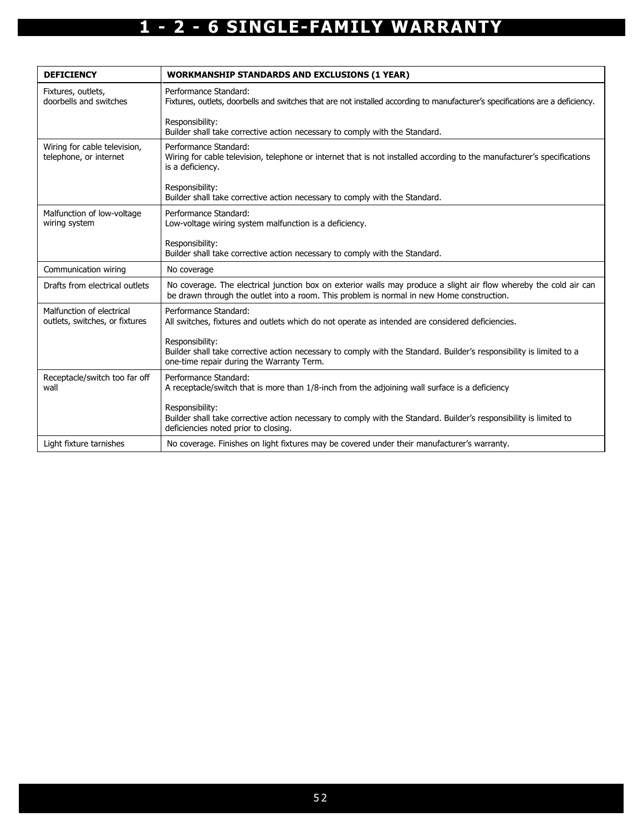| <b>DEFICIENCY</b>                                           | <b>WORKMANSHIP STANDARDS AND EXCLUSIONS (1 YEAR)</b>                                                                                                                                                           |
|-------------------------------------------------------------|----------------------------------------------------------------------------------------------------------------------------------------------------------------------------------------------------------------|
| Fixtures, outlets,<br>doorbells and switches                | Performance Standard:<br>Fixtures, outlets, doorbells and switches that are not installed according to manufacturer's specifications are a deficiency.                                                         |
|                                                             | Responsibility:<br>Builder shall take corrective action necessary to comply with the Standard.                                                                                                                 |
| Wiring for cable television,<br>telephone, or internet      | Performance Standard:<br>Wiring for cable television, telephone or internet that is not installed according to the manufacturer's specifications<br>is a deficiency.                                           |
|                                                             | Responsibility:<br>Builder shall take corrective action necessary to comply with the Standard.                                                                                                                 |
| Malfunction of low-voltage<br>wiring system                 | Performance Standard:<br>Low-voltage wiring system malfunction is a deficiency.                                                                                                                                |
|                                                             | Responsibility:<br>Builder shall take corrective action necessary to comply with the Standard.                                                                                                                 |
| Communication wiring                                        | No coverage                                                                                                                                                                                                    |
| Drafts from electrical outlets                              | No coverage. The electrical junction box on exterior walls may produce a slight air flow whereby the cold air can<br>be drawn through the outlet into a room. This problem is normal in new Home construction. |
| Malfunction of electrical<br>outlets, switches, or fixtures | Performance Standard:<br>All switches, fixtures and outlets which do not operate as intended are considered deficiencies.                                                                                      |
|                                                             | Responsibility:<br>Builder shall take corrective action necessary to comply with the Standard. Builder's responsibility is limited to a<br>one-time repair during the Warranty Term.                           |
| Receptacle/switch too far off<br>wall                       | Performance Standard:<br>A receptacle/switch that is more than 1/8-inch from the adjoining wall surface is a deficiency                                                                                        |
|                                                             | Responsibility:<br>Builder shall take corrective action necessary to comply with the Standard. Builder's responsibility is limited to<br>deficiencies noted prior to closing.                                  |
| Light fixture tarnishes                                     | No coverage. Finishes on light fixtures may be covered under their manufacturer's warranty.                                                                                                                    |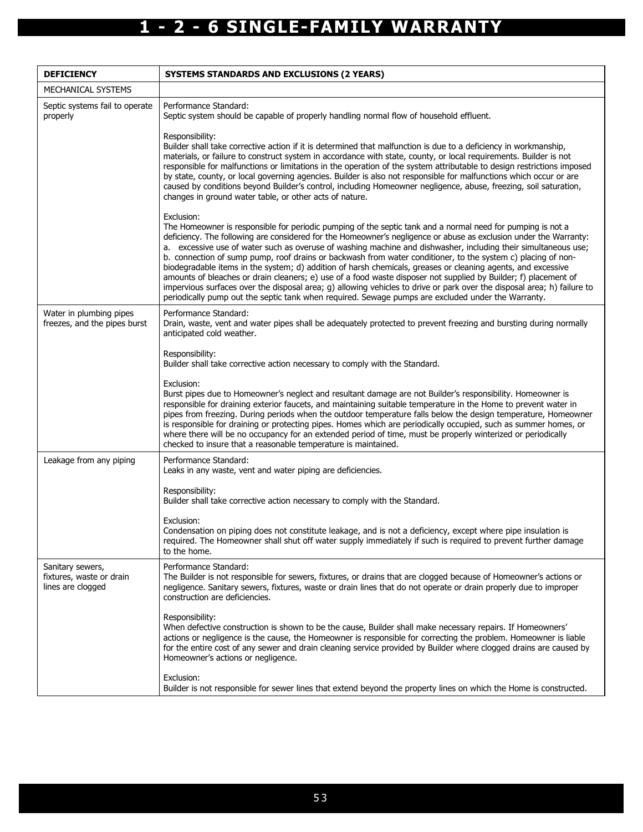| <b>DEFICIENCY</b>                                                 | <b>SYSTEMS STANDARDS AND EXCLUSIONS (2 YEARS)</b>                                                                                                                                                                                                                                                                                                                                                                                                                                                                                                                                                                                                                                                                                                                                                                                                                                                                                                    |  |  |
|-------------------------------------------------------------------|------------------------------------------------------------------------------------------------------------------------------------------------------------------------------------------------------------------------------------------------------------------------------------------------------------------------------------------------------------------------------------------------------------------------------------------------------------------------------------------------------------------------------------------------------------------------------------------------------------------------------------------------------------------------------------------------------------------------------------------------------------------------------------------------------------------------------------------------------------------------------------------------------------------------------------------------------|--|--|
| MECHANICAL SYSTEMS                                                |                                                                                                                                                                                                                                                                                                                                                                                                                                                                                                                                                                                                                                                                                                                                                                                                                                                                                                                                                      |  |  |
| Septic systems fail to operate<br>properly                        | Performance Standard:<br>Septic system should be capable of properly handling normal flow of household effluent.                                                                                                                                                                                                                                                                                                                                                                                                                                                                                                                                                                                                                                                                                                                                                                                                                                     |  |  |
|                                                                   | Responsibility:<br>Builder shall take corrective action if it is determined that malfunction is due to a deficiency in workmanship,<br>materials, or failure to construct system in accordance with state, county, or local requirements. Builder is not<br>responsible for malfunctions or limitations in the operation of the system attributable to design restrictions imposed<br>by state, county, or local governing agencies. Builder is also not responsible for malfunctions which occur or are<br>caused by conditions beyond Builder's control, including Homeowner negligence, abuse, freezing, soil saturation,<br>changes in ground water table, or other acts of nature.                                                                                                                                                                                                                                                              |  |  |
|                                                                   | Exclusion:<br>The Homeowner is responsible for periodic pumping of the septic tank and a normal need for pumping is not a<br>deficiency. The following are considered for the Homeowner's negligence or abuse as exclusion under the Warranty:<br>a. excessive use of water such as overuse of washing machine and dishwasher, including their simultaneous use;<br>b. connection of sump pump, roof drains or backwash from water conditioner, to the system c) placing of non-<br>biodegradable items in the system; d) addition of harsh chemicals, greases or cleaning agents, and excessive<br>amounts of bleaches or drain cleaners; e) use of a food waste disposer not supplied by Builder; f) placement of<br>impervious surfaces over the disposal area; g) allowing vehicles to drive or park over the disposal area; h) failure to<br>periodically pump out the septic tank when required. Sewage pumps are excluded under the Warranty. |  |  |
| Water in plumbing pipes<br>freezes, and the pipes burst           | Performance Standard:<br>Drain, waste, vent and water pipes shall be adequately protected to prevent freezing and bursting during normally<br>anticipated cold weather.                                                                                                                                                                                                                                                                                                                                                                                                                                                                                                                                                                                                                                                                                                                                                                              |  |  |
|                                                                   | Responsibility:<br>Builder shall take corrective action necessary to comply with the Standard.                                                                                                                                                                                                                                                                                                                                                                                                                                                                                                                                                                                                                                                                                                                                                                                                                                                       |  |  |
|                                                                   | Exclusion:<br>Burst pipes due to Homeowner's neglect and resultant damage are not Builder's responsibility. Homeowner is<br>responsible for draining exterior faucets, and maintaining suitable temperature in the Home to prevent water in<br>pipes from freezing. During periods when the outdoor temperature falls below the design temperature, Homeowner<br>is responsible for draining or protecting pipes. Homes which are periodically occupied, such as summer homes, or<br>where there will be no occupancy for an extended period of time, must be properly winterized or periodically<br>checked to insure that a reasonable temperature is maintained.                                                                                                                                                                                                                                                                                  |  |  |
| Leakage from any piping                                           | Performance Standard:<br>Leaks in any waste, vent and water piping are deficiencies.                                                                                                                                                                                                                                                                                                                                                                                                                                                                                                                                                                                                                                                                                                                                                                                                                                                                 |  |  |
|                                                                   | Responsibility:<br>Builder shall take corrective action necessary to comply with the Standard.                                                                                                                                                                                                                                                                                                                                                                                                                                                                                                                                                                                                                                                                                                                                                                                                                                                       |  |  |
|                                                                   | Exclusion:<br>Condensation on piping does not constitute leakage, and is not a deficiency, except where pipe insulation is<br>required. The Homeowner shall shut off water supply immediately if such is required to prevent further damage<br>to the home.                                                                                                                                                                                                                                                                                                                                                                                                                                                                                                                                                                                                                                                                                          |  |  |
| Sanitary sewers,<br>fixtures, waste or drain<br>lines are clogged | Performance Standard:<br>The Builder is not responsible for sewers, fixtures, or drains that are clogged because of Homeowner's actions or<br>negligence. Sanitary sewers, fixtures, waste or drain lines that do not operate or drain properly due to improper<br>construction are deficiencies.                                                                                                                                                                                                                                                                                                                                                                                                                                                                                                                                                                                                                                                    |  |  |
|                                                                   | Responsibility:<br>When defective construction is shown to be the cause, Builder shall make necessary repairs. If Homeowners'<br>actions or negligence is the cause, the Homeowner is responsible for correcting the problem. Homeowner is liable<br>for the entire cost of any sewer and drain cleaning service provided by Builder where clogged drains are caused by<br>Homeowner's actions or negligence.                                                                                                                                                                                                                                                                                                                                                                                                                                                                                                                                        |  |  |
|                                                                   | Exclusion:<br>Builder is not responsible for sewer lines that extend beyond the property lines on which the Home is constructed.                                                                                                                                                                                                                                                                                                                                                                                                                                                                                                                                                                                                                                                                                                                                                                                                                     |  |  |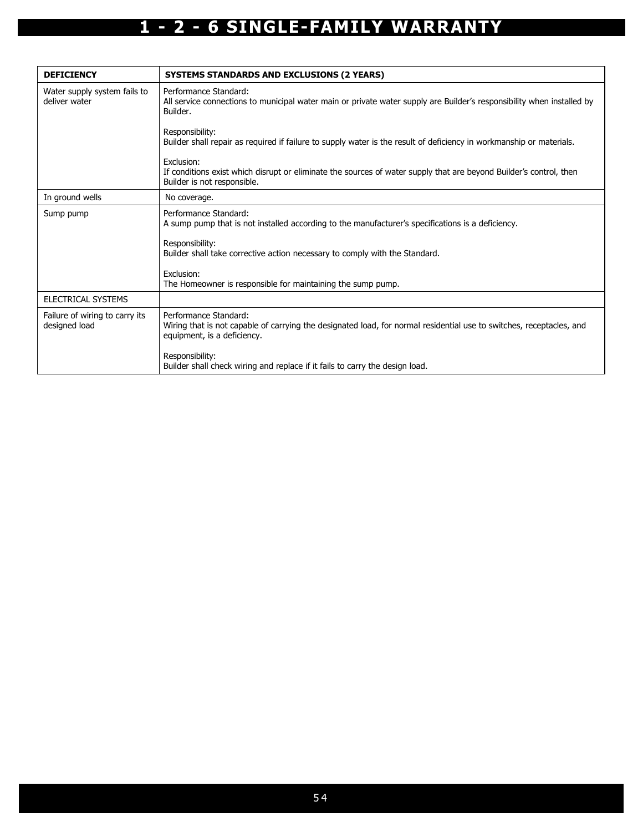| <b>DEFICIENCY</b>                               | <b>SYSTEMS STANDARDS AND EXCLUSIONS (2 YEARS)</b>                                                                                                                            |
|-------------------------------------------------|------------------------------------------------------------------------------------------------------------------------------------------------------------------------------|
| Water supply system fails to<br>deliver water   | Performance Standard:<br>All service connections to municipal water main or private water supply are Builder's responsibility when installed by<br>Builder.                  |
|                                                 | Responsibility:<br>Builder shall repair as required if failure to supply water is the result of deficiency in workmanship or materials.                                      |
|                                                 | Exclusion:<br>If conditions exist which disrupt or eliminate the sources of water supply that are beyond Builder's control, then<br>Builder is not responsible.              |
| In ground wells                                 | No coverage.                                                                                                                                                                 |
| Sump pump                                       | Performance Standard:<br>A sump pump that is not installed according to the manufacturer's specifications is a deficiency.                                                   |
|                                                 | Responsibility:<br>Builder shall take corrective action necessary to comply with the Standard.                                                                               |
|                                                 | Exclusion:<br>The Homeowner is responsible for maintaining the sump pump.                                                                                                    |
| ELECTRICAL SYSTEMS                              |                                                                                                                                                                              |
| Failure of wiring to carry its<br>designed load | Performance Standard:<br>Wiring that is not capable of carrying the designated load, for normal residential use to switches, receptacles, and<br>equipment, is a deficiency. |
|                                                 | Responsibility:<br>Builder shall check wiring and replace if it fails to carry the design load.                                                                              |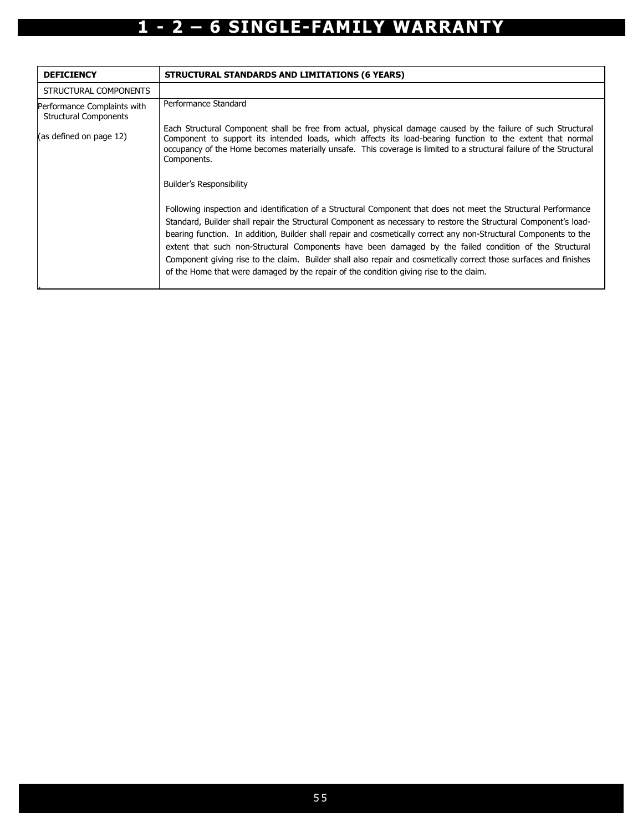| <b>DEFICIENCY</b>                                           | STRUCTURAL STANDARDS AND LIMITATIONS (6 YEARS)                                                                                                                                                                                                                                                                                                                                                                                                                                                                                                                                                                                                                                     |
|-------------------------------------------------------------|------------------------------------------------------------------------------------------------------------------------------------------------------------------------------------------------------------------------------------------------------------------------------------------------------------------------------------------------------------------------------------------------------------------------------------------------------------------------------------------------------------------------------------------------------------------------------------------------------------------------------------------------------------------------------------|
| STRUCTURAL COMPONENTS                                       |                                                                                                                                                                                                                                                                                                                                                                                                                                                                                                                                                                                                                                                                                    |
| Performance Complaints with<br><b>Structural Components</b> | Performance Standard                                                                                                                                                                                                                                                                                                                                                                                                                                                                                                                                                                                                                                                               |
| (as defined on page 12)                                     | Each Structural Component shall be free from actual, physical damage caused by the failure of such Structural<br>Component to support its intended loads, which affects its load-bearing function to the extent that normal<br>occupancy of the Home becomes materially unsafe. This coverage is limited to a structural failure of the Structural<br>Components.<br><b>Builder's Responsibility</b>                                                                                                                                                                                                                                                                               |
|                                                             | Following inspection and identification of a Structural Component that does not meet the Structural Performance<br>Standard, Builder shall repair the Structural Component as necessary to restore the Structural Component's load-<br>bearing function. In addition, Builder shall repair and cosmetically correct any non-Structural Components to the<br>extent that such non-Structural Components have been damaged by the failed condition of the Structural<br>Component giving rise to the claim. Builder shall also repair and cosmetically correct those surfaces and finishes<br>of the Home that were damaged by the repair of the condition giving rise to the claim. |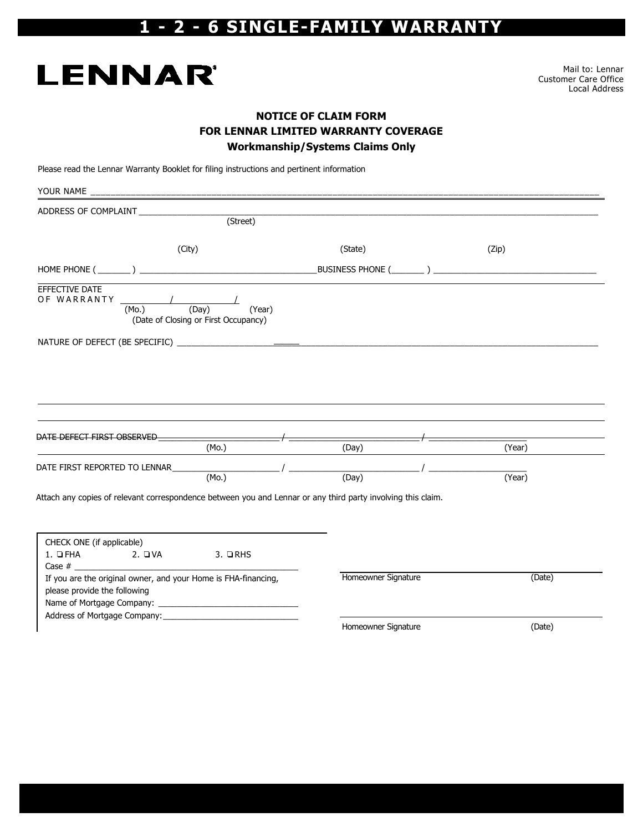# **LENNAR**

Mail to: Lennar Customer Care Office Local Address

#### NOTICE OF CLAIM FORM FOR LENNAR LIMITED WARRANTY COVERAGE Workmanship/Systems Claims Only

Please read the Lennar Warranty Booklet for filing instructions and pertinent information

| ADDRESS OF COMPLAINT __________________                                                                                |                     |        |
|------------------------------------------------------------------------------------------------------------------------|---------------------|--------|
| (Street)                                                                                                               |                     |        |
| (City)                                                                                                                 | (State)             | (Zip)  |
|                                                                                                                        |                     |        |
| EFFECTIVE DATE<br>OF WARRANTY ________<br>(Day)<br>(Year)<br>(M <sub>O</sub> )<br>(Date of Closing or First Occupancy) |                     |        |
|                                                                                                                        |                     |        |
|                                                                                                                        |                     |        |
|                                                                                                                        |                     |        |
|                                                                                                                        |                     |        |
|                                                                                                                        |                     |        |
| DATE DEFECT FIRST OBSERVED                                                                                             |                     |        |
| (Mo.)                                                                                                                  | (Day)               | (Year) |
| DATE FIRST REPORTED TO LENNAR ______________                                                                           |                     |        |
| (M <sub>0</sub> )                                                                                                      | (Day)               | (Year) |
| Attach any copies of relevant correspondence between you and Lennar or any third party involving this claim.           |                     |        |
|                                                                                                                        |                     |        |
|                                                                                                                        |                     |        |
| CHECK ONE (if applicable)<br>$1. \Box$ FHA 2. $\Box$ VA<br>$3.$ QRHS                                                   |                     |        |
|                                                                                                                        |                     |        |
| If you are the original owner, and your Home is FHA-financing,                                                         | Homeowner Signature | (Date) |
| please provide the following                                                                                           |                     |        |
|                                                                                                                        |                     |        |
|                                                                                                                        | Homeowner Signature | (Date) |